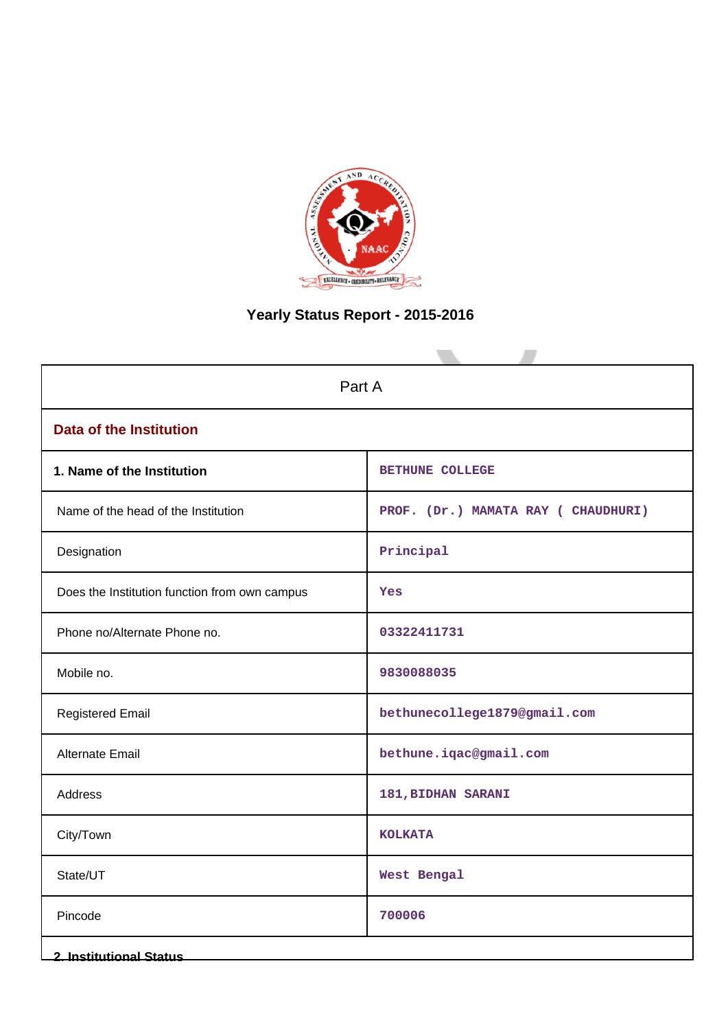

# **Yearly Status Report - 2015-2016**

| Part A                                        |                                    |  |
|-----------------------------------------------|------------------------------------|--|
| <b>Data of the Institution</b>                |                                    |  |
| 1. Name of the Institution                    | <b>BETHUNE COLLEGE</b>             |  |
| Name of the head of the Institution           | PROF. (Dr.) MAMATA RAY (CHAUDHURI) |  |
| Designation                                   | Principal                          |  |
| Does the Institution function from own campus | Yes                                |  |
| Phone no/Alternate Phone no.                  | 03322411731                        |  |
| Mobile no.                                    | 9830088035                         |  |
| <b>Registered Email</b>                       | bethunecollege1879@gmail.com       |  |
| Alternate Email                               | bethune.iqac@gmail.com             |  |
| Address                                       | 181, BIDHAN SARANI                 |  |
| City/Town                                     | <b>KOLKATA</b>                     |  |
| State/UT                                      | West Bengal                        |  |
| Pincode                                       | 700006                             |  |
| <b>2. Institutional Status</b>                |                                    |  |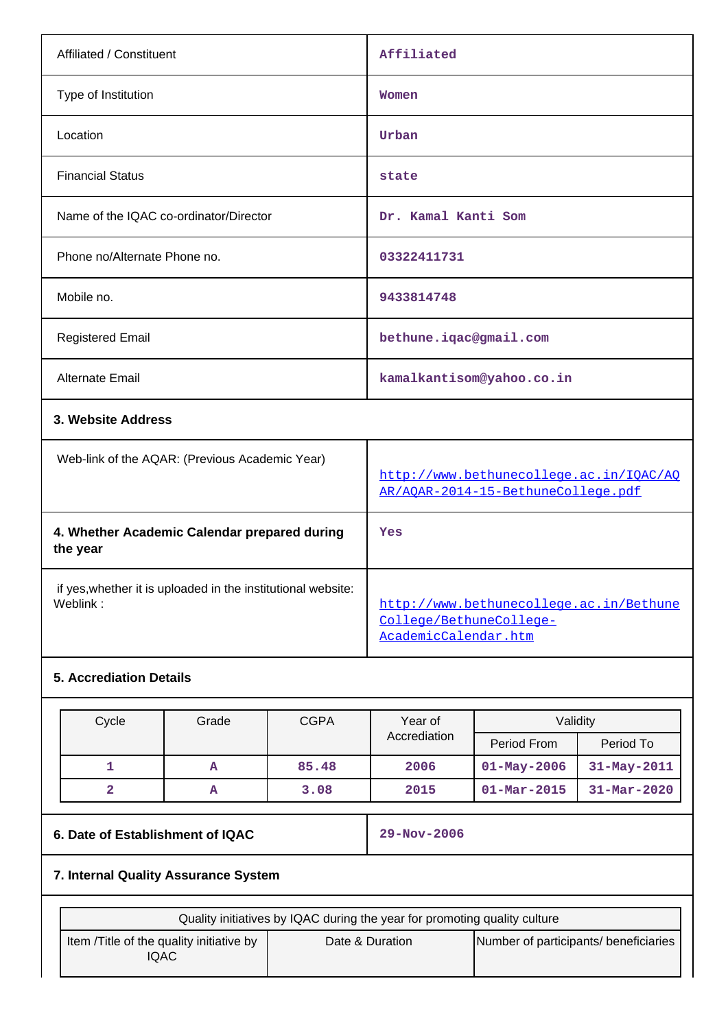| Affiliated / Constituent                                                 | Affiliated                                                                                 |
|--------------------------------------------------------------------------|--------------------------------------------------------------------------------------------|
| Type of Institution                                                      | Women                                                                                      |
| Location                                                                 | Urban                                                                                      |
| <b>Financial Status</b>                                                  | state                                                                                      |
| Name of the IQAC co-ordinator/Director                                   | Dr. Kamal Kanti Som                                                                        |
| Phone no/Alternate Phone no.                                             | 03322411731                                                                                |
| Mobile no.                                                               | 9433814748                                                                                 |
| <b>Registered Email</b>                                                  | bethune.iqac@gmail.com                                                                     |
| Alternate Email                                                          | kamalkantisom@yahoo.co.in                                                                  |
| 3. Website Address                                                       |                                                                                            |
| Web-link of the AQAR: (Previous Academic Year)                           | http://www.bethunecollege.ac.in/IOAC/AO<br>AR/AQAR-2014-15-BethuneCollege.pdf              |
| 4. Whether Academic Calendar prepared during<br>the year                 | Yes                                                                                        |
| if yes, whether it is uploaded in the institutional website:<br>Weblink: | http://www.bethunecollege.ac.in/Bethune<br>College/BethuneCollege-<br>AcademicCalendar.htm |
| <b>5. Accrediation Details</b>                                           |                                                                                            |

| Cycle | Grade | <b>CGPA</b> | Year of      | Validity                 |                   |
|-------|-------|-------------|--------------|--------------------------|-------------------|
|       |       |             | Accrediation | Period From              | Period To         |
|       | A     | 85.48       | 2006         | $01 - May - 2006$        | $31 - May - 2011$ |
|       | А     | 3.08        | 2015         | $01 - \text{Mar} - 2015$ | $31 - Mar - 2020$ |

# **6. Date of Establishment of IQAC 29-Nov-2006**

# **7. Internal Quality Assurance System**

| Quality initiatives by IQAC during the year for promoting quality culture |                 |                                       |  |
|---------------------------------------------------------------------------|-----------------|---------------------------------------|--|
| Item / Title of the quality initiative by<br>IQAC                         | Date & Duration | Number of participants/ beneficiaries |  |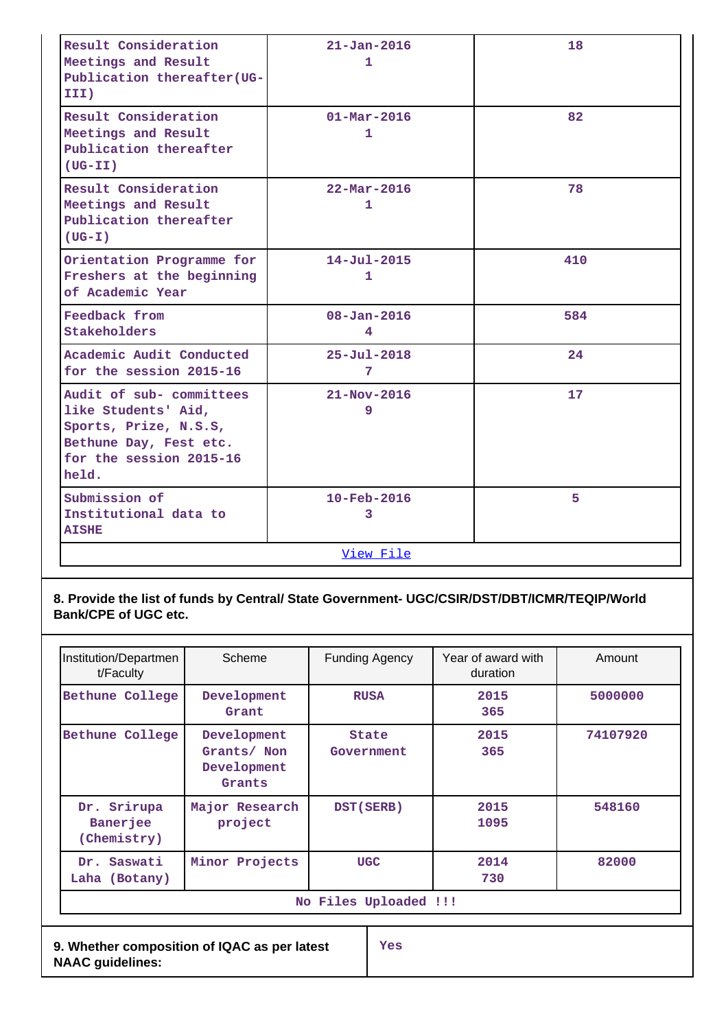| Result Consideration<br>Meetings and Result<br>Publication thereafter (UG-<br>III)                                                     | $21 - Jan - 2016$<br>1        | 18  |
|----------------------------------------------------------------------------------------------------------------------------------------|-------------------------------|-----|
| Result Consideration<br>Meetings and Result<br>Publication thereafter<br>$(UG-TI)$                                                     | $01 - \text{Mar} - 2016$<br>1 | 82  |
| Result Consideration<br>Meetings and Result<br>Publication thereafter<br>$(UG-T)$                                                      | $22 - \text{Mar} - 2016$<br>1 | 78  |
| Orientation Programme for<br>Freshers at the beginning<br>of Academic Year                                                             | $14 - Jul - 2015$<br>1        | 410 |
| Feedback from<br>Stakeholders                                                                                                          | $08 - Jan - 2016$<br>4        | 584 |
| Academic Audit Conducted<br>for the session 2015-16                                                                                    | $25 - Ju1 - 2018$<br>7        | 24  |
| Audit of sub- committees<br>like Students' Aid,<br>Sports, Prize, N.S.S,<br>Bethune Day, Fest etc.<br>for the session 2015-16<br>held. | $21 - Nov - 2016$<br>9        | 17  |
| Submission of<br>Institutional data to<br><b>AISHE</b>                                                                                 | 10-Feb-2016<br>3              | 5   |
|                                                                                                                                        | View File                     |     |

# **8. Provide the list of funds by Central/ State Government- UGC/CSIR/DST/DBT/ICMR/TEQIP/World Bank/CPE of UGC etc.**

| Institution/Departmen<br>t/Faculty                                             | Scheme                                              | <b>Funding Agency</b> | Year of award with<br>duration | Amount   |  |
|--------------------------------------------------------------------------------|-----------------------------------------------------|-----------------------|--------------------------------|----------|--|
| Bethune College                                                                | Development<br>Grant                                | <b>RUSA</b>           | 2015<br>365                    | 5000000  |  |
| Bethune College                                                                | Development<br>Grants/ Non<br>Development<br>Grants | State<br>Government   | 2015<br>365                    | 74107920 |  |
| Srirupa<br>Dr.<br>Banerjee<br>(Chemistry)                                      | Major Research<br>project                           | DST (SERB)            | 2015<br>1095                   | 548160   |  |
| Saswati<br>Dr.<br>Laha (Botany)                                                | Minor Projects                                      | <b>UGC</b>            | 2014<br>730                    | 82000    |  |
| No Files Uploaded !!!                                                          |                                                     |                       |                                |          |  |
| 9. Whether composition of IQAC as per latest<br>Yes<br><b>NAAC guidelines:</b> |                                                     |                       |                                |          |  |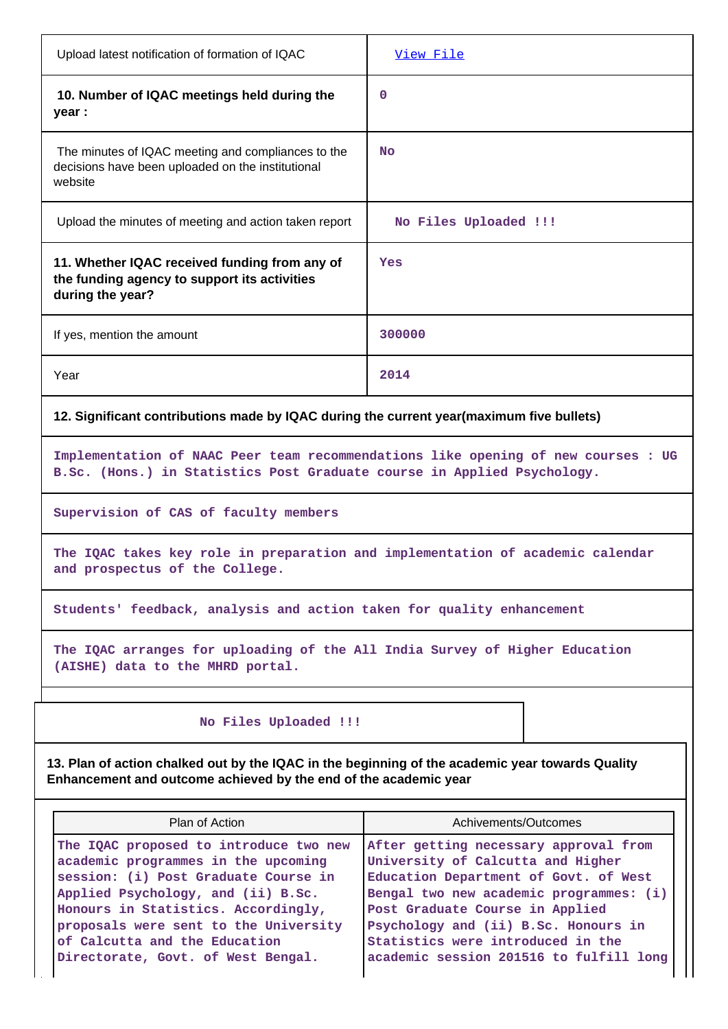| Upload latest notification of formation of IQAC                                                                                                                                                                                                                                                                    | View File                                                                                                                                                                                                                                                                                                                 |  |  |  |
|--------------------------------------------------------------------------------------------------------------------------------------------------------------------------------------------------------------------------------------------------------------------------------------------------------------------|---------------------------------------------------------------------------------------------------------------------------------------------------------------------------------------------------------------------------------------------------------------------------------------------------------------------------|--|--|--|
| 10. Number of IQAC meetings held during the<br>year :                                                                                                                                                                                                                                                              | $\mathbf 0$                                                                                                                                                                                                                                                                                                               |  |  |  |
| The minutes of IQAC meeting and compliances to the<br>decisions have been uploaded on the institutional<br>website                                                                                                                                                                                                 | <b>No</b>                                                                                                                                                                                                                                                                                                                 |  |  |  |
| Upload the minutes of meeting and action taken report                                                                                                                                                                                                                                                              | No Files Uploaded !!!                                                                                                                                                                                                                                                                                                     |  |  |  |
| 11. Whether IQAC received funding from any of<br>the funding agency to support its activities<br>during the year?                                                                                                                                                                                                  | Yes                                                                                                                                                                                                                                                                                                                       |  |  |  |
| If yes, mention the amount                                                                                                                                                                                                                                                                                         | 300000                                                                                                                                                                                                                                                                                                                    |  |  |  |
| Year                                                                                                                                                                                                                                                                                                               | 2014                                                                                                                                                                                                                                                                                                                      |  |  |  |
| 12. Significant contributions made by IQAC during the current year(maximum five bullets)                                                                                                                                                                                                                           |                                                                                                                                                                                                                                                                                                                           |  |  |  |
| B.Sc. (Hons.) in Statistics Post Graduate course in Applied Psychology.                                                                                                                                                                                                                                            | Implementation of NAAC Peer team recommendations like opening of new courses : UG                                                                                                                                                                                                                                         |  |  |  |
| Supervision of CAS of faculty members                                                                                                                                                                                                                                                                              |                                                                                                                                                                                                                                                                                                                           |  |  |  |
| The IQAC takes key role in preparation and implementation of academic calendar<br>and prospectus of the College.                                                                                                                                                                                                   |                                                                                                                                                                                                                                                                                                                           |  |  |  |
| Students' feedback, analysis and action taken for quality enhancement                                                                                                                                                                                                                                              |                                                                                                                                                                                                                                                                                                                           |  |  |  |
| The IQAC arranges for uploading of the All India Survey of Higher Education<br>(AISHE) data to the MHRD portal.                                                                                                                                                                                                    |                                                                                                                                                                                                                                                                                                                           |  |  |  |
| No Files Uploaded !!!                                                                                                                                                                                                                                                                                              |                                                                                                                                                                                                                                                                                                                           |  |  |  |
| 13. Plan of action chalked out by the IQAC in the beginning of the academic year towards Quality<br>Enhancement and outcome achieved by the end of the academic year                                                                                                                                               |                                                                                                                                                                                                                                                                                                                           |  |  |  |
| Plan of Action                                                                                                                                                                                                                                                                                                     | Achivements/Outcomes                                                                                                                                                                                                                                                                                                      |  |  |  |
| The IQAC proposed to introduce two new<br>academic programmes in the upcoming<br>session: (i) Post Graduate Course in<br>Applied Psychology, and (ii) B.Sc.<br>Honours in Statistics. Accordingly,<br>proposals were sent to the University<br>of Calcutta and the Education<br>Directorate, Govt. of West Bengal. | After getting necessary approval from<br>University of Calcutta and Higher<br>Education Department of Govt. of West<br>Bengal two new academic programmes: (i)<br>Post Graduate Course in Applied<br>Psychology and (ii) B.Sc. Honours in<br>Statistics were introduced in the<br>academic session 201516 to fulfill long |  |  |  |

Τ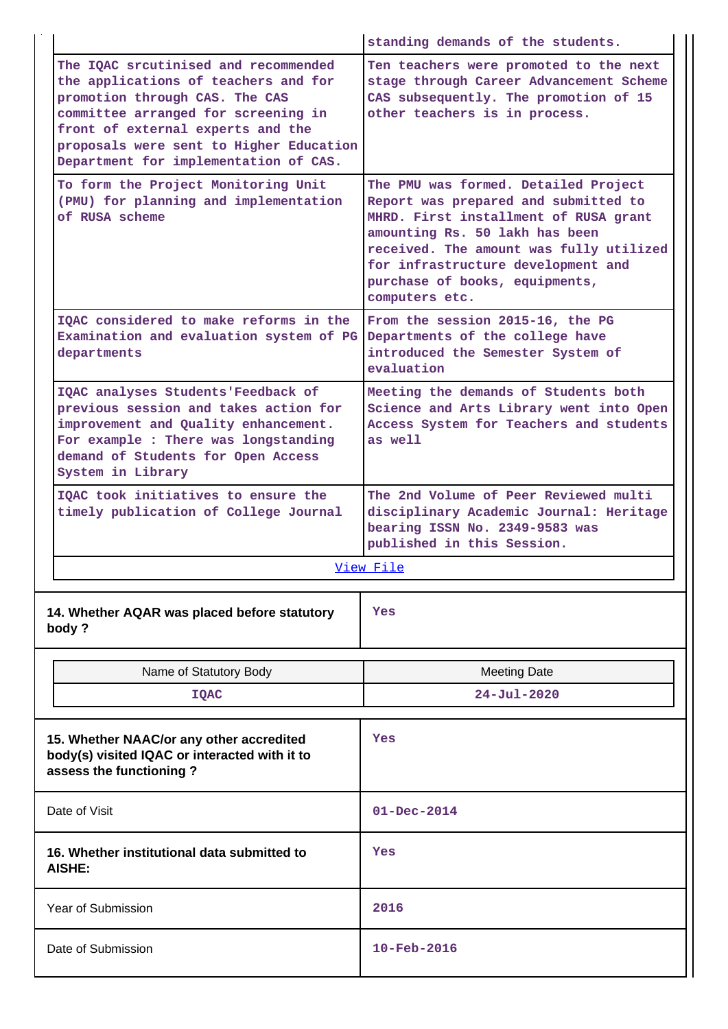|                                                                                                                      |                                                                                                                                                                                                                                                                                | standing demands of the students.                                                                                                                                                                                                                                                            |  |
|----------------------------------------------------------------------------------------------------------------------|--------------------------------------------------------------------------------------------------------------------------------------------------------------------------------------------------------------------------------------------------------------------------------|----------------------------------------------------------------------------------------------------------------------------------------------------------------------------------------------------------------------------------------------------------------------------------------------|--|
|                                                                                                                      | The IOAC srcutinised and recommended<br>the applications of teachers and for<br>promotion through CAS. The CAS<br>committee arranged for screening in<br>front of external experts and the<br>proposals were sent to Higher Education<br>Department for implementation of CAS. | Ten teachers were promoted to the next<br>stage through Career Advancement Scheme<br>CAS subsequently. The promotion of 15<br>other teachers is in process.                                                                                                                                  |  |
|                                                                                                                      | To form the Project Monitoring Unit<br>(PMU) for planning and implementation<br>of RUSA scheme                                                                                                                                                                                 | The PMU was formed. Detailed Project<br>Report was prepared and submitted to<br>MHRD. First installment of RUSA grant<br>amounting Rs. 50 lakh has been<br>received. The amount was fully utilized<br>for infrastructure development and<br>purchase of books, equipments,<br>computers etc. |  |
|                                                                                                                      | TOAC considered to make reforms in the<br>Examination and evaluation system of PG<br>departments                                                                                                                                                                               | From the session 2015-16, the PG<br>Departments of the college have<br>introduced the Semester System of<br>evaluation                                                                                                                                                                       |  |
|                                                                                                                      | IQAC analyses Students'Feedback of<br>previous session and takes action for<br>improvement and Quality enhancement.<br>For example : There was longstanding<br>demand of Students for Open Access<br>System in Library                                                         | Meeting the demands of Students both<br>Science and Arts Library went into Open<br>Access System for Teachers and students<br>as well                                                                                                                                                        |  |
|                                                                                                                      | IOAC took initiatives to ensure the<br>timely publication of College Journal                                                                                                                                                                                                   | The 2nd Volume of Peer Reviewed multi<br>disciplinary Academic Journal: Heritage<br>bearing ISSN No. 2349-9583 was<br>published in this Session.                                                                                                                                             |  |
|                                                                                                                      |                                                                                                                                                                                                                                                                                | View File                                                                                                                                                                                                                                                                                    |  |
|                                                                                                                      | 14. Whether AQAR was placed before statutory<br>body?                                                                                                                                                                                                                          | Yes                                                                                                                                                                                                                                                                                          |  |
|                                                                                                                      | Name of Statutory Body                                                                                                                                                                                                                                                         | <b>Meeting Date</b>                                                                                                                                                                                                                                                                          |  |
|                                                                                                                      | <b>IQAC</b>                                                                                                                                                                                                                                                                    | $24 - Jul - 2020$                                                                                                                                                                                                                                                                            |  |
| 15. Whether NAAC/or any other accredited<br>body(s) visited IQAC or interacted with it to<br>assess the functioning? |                                                                                                                                                                                                                                                                                | Yes                                                                                                                                                                                                                                                                                          |  |
| Date of Visit                                                                                                        |                                                                                                                                                                                                                                                                                | $01 - Dec - 2014$                                                                                                                                                                                                                                                                            |  |
| 16. Whether institutional data submitted to<br>AISHE:                                                                |                                                                                                                                                                                                                                                                                | Yes                                                                                                                                                                                                                                                                                          |  |
|                                                                                                                      | Year of Submission                                                                                                                                                                                                                                                             | 2016                                                                                                                                                                                                                                                                                         |  |
|                                                                                                                      | Date of Submission                                                                                                                                                                                                                                                             | $10 - \text{Feb} - 2016$                                                                                                                                                                                                                                                                     |  |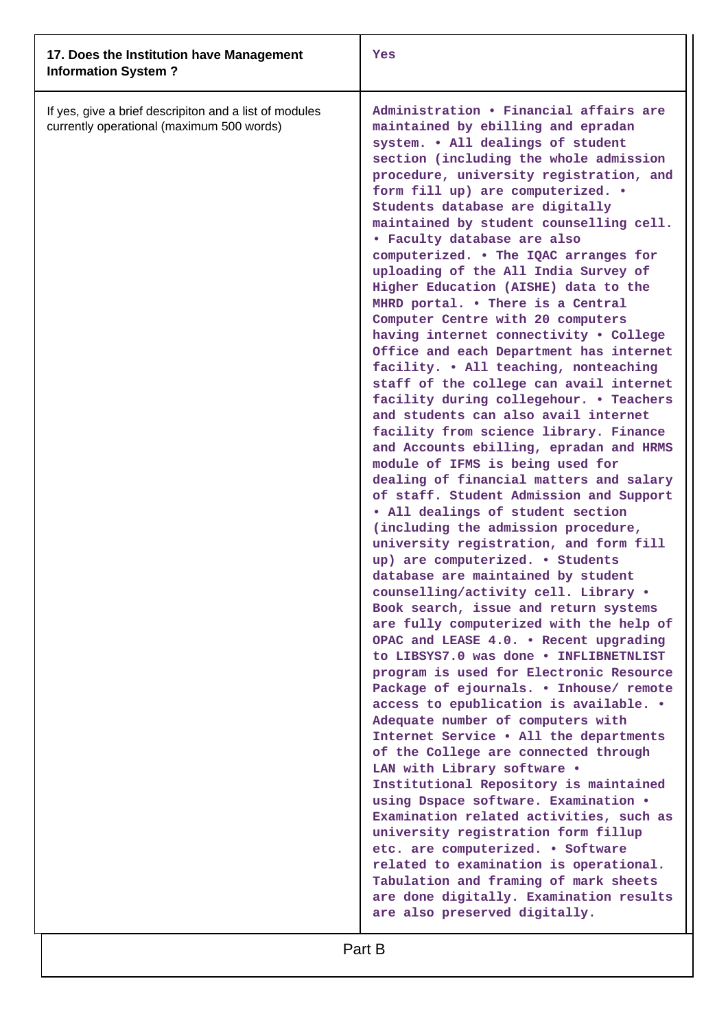| 17. Does the Institution have Management<br><b>Information System?</b>                              | Yes                                                                                                                                                                                                                                                                                                                                                                                                                                                                                                                                                                                                                                                                                                                                                                                                                                                                                                                                                                                                                                                                                                                                                                                                                                                                                                                                                                                                                                                                                                                                                                                                                                                                                                                                                                                                                                                                                                                                                                                                                                                                                                                  |
|-----------------------------------------------------------------------------------------------------|----------------------------------------------------------------------------------------------------------------------------------------------------------------------------------------------------------------------------------------------------------------------------------------------------------------------------------------------------------------------------------------------------------------------------------------------------------------------------------------------------------------------------------------------------------------------------------------------------------------------------------------------------------------------------------------------------------------------------------------------------------------------------------------------------------------------------------------------------------------------------------------------------------------------------------------------------------------------------------------------------------------------------------------------------------------------------------------------------------------------------------------------------------------------------------------------------------------------------------------------------------------------------------------------------------------------------------------------------------------------------------------------------------------------------------------------------------------------------------------------------------------------------------------------------------------------------------------------------------------------------------------------------------------------------------------------------------------------------------------------------------------------------------------------------------------------------------------------------------------------------------------------------------------------------------------------------------------------------------------------------------------------------------------------------------------------------------------------------------------------|
| If yes, give a brief descripiton and a list of modules<br>currently operational (maximum 500 words) | Administration . Financial affairs are<br>maintained by ebilling and epradan<br>system. . All dealings of student<br>section (including the whole admission<br>procedure, university registration, and<br>form fill up) are computerized. .<br>Students database are digitally<br>maintained by student counselling cell.<br>• Faculty database are also<br>computerized. • The IQAC arranges for<br>uploading of the All India Survey of<br>Higher Education (AISHE) data to the<br>MHRD portal. . There is a Central<br>Computer Centre with 20 computers<br>having internet connectivity . College<br>Office and each Department has internet<br>facility. . All teaching, nonteaching<br>staff of the college can avail internet<br>facility during collegehour. . Teachers<br>and students can also avail internet<br>facility from science library. Finance<br>and Accounts ebilling, epradan and HRMS<br>module of IFMS is being used for<br>dealing of financial matters and salary<br>of staff. Student Admission and Support<br>. All dealings of student section<br>(including the admission procedure,<br>university registration, and form fill<br>up) are computerized. . Students<br>database are maintained by student<br>counselling/activity cell. Library .<br>Book search, issue and return systems<br>are fully computerized with the help of<br>OPAC and LEASE 4.0. . Recent upgrading<br>to LIBSYS7.0 was done . INFLIBNETNLIST<br>program is used for Electronic Resource<br>Package of ejournals. . Inhouse/ remote<br>access to epublication is available. .<br>Adequate number of computers with<br>Internet Service . All the departments<br>of the College are connected through<br>LAN with Library software .<br>Institutional Repository is maintained<br>using Dspace software. Examination .<br>Examination related activities, such as<br>university registration form fillup<br>etc. are computerized. . Software<br>related to examination is operational.<br>Tabulation and framing of mark sheets<br>are done digitally. Examination results<br>are also preserved digitally. |
|                                                                                                     |                                                                                                                                                                                                                                                                                                                                                                                                                                                                                                                                                                                                                                                                                                                                                                                                                                                                                                                                                                                                                                                                                                                                                                                                                                                                                                                                                                                                                                                                                                                                                                                                                                                                                                                                                                                                                                                                                                                                                                                                                                                                                                                      |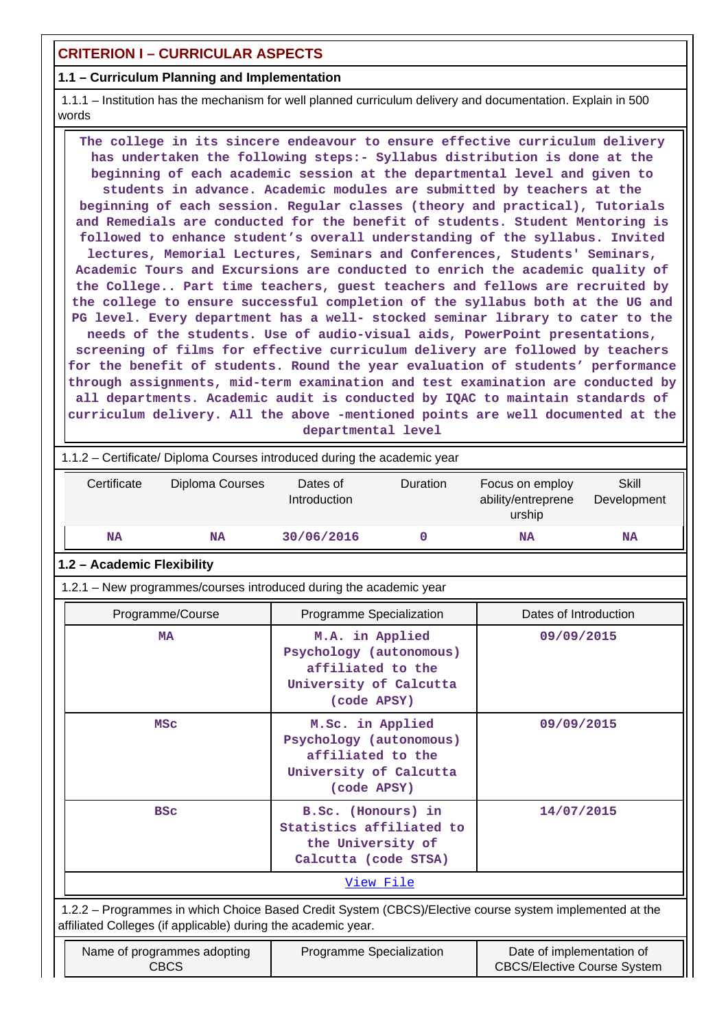# **CRITERION I – CURRICULAR ASPECTS**

## **1.1 – Curriculum Planning and Implementation**

 1.1.1 – Institution has the mechanism for well planned curriculum delivery and documentation. Explain in 500 words

 **The college in its sincere endeavour to ensure effective curriculum delivery has undertaken the following steps:- Syllabus distribution is done at the beginning of each academic session at the departmental level and given to students in advance. Academic modules are submitted by teachers at the beginning of each session. Regular classes (theory and practical), Tutorials and Remedials are conducted for the benefit of students. Student Mentoring is followed to enhance student's overall understanding of the syllabus. Invited lectures, Memorial Lectures, Seminars and Conferences, Students' Seminars, Academic Tours and Excursions are conducted to enrich the academic quality of the College.. Part time teachers, guest teachers and fellows are recruited by the college to ensure successful completion of the syllabus both at the UG and PG level. Every department has a well- stocked seminar library to cater to the needs of the students. Use of audio-visual aids, PowerPoint presentations, screening of films for effective curriculum delivery are followed by teachers for the benefit of students. Round the year evaluation of students' performance through assignments, mid-term examination and test examination are conducted by all departments. Academic audit is conducted by IQAC to maintain standards of curriculum delivery. All the above -mentioned points are well documented at the departmental level**

|             | 1.1.2 – Certificate/ Diploma Courses introduced during the academic year |                          |                 |                                                 |                      |
|-------------|--------------------------------------------------------------------------|--------------------------|-----------------|-------------------------------------------------|----------------------|
| Certificate | Diploma Courses                                                          | Dates of<br>Introduction | <b>Duration</b> | Focus on employ<br>ability/entreprene<br>urship | Skill<br>Development |
| NA          | NA                                                                       | 30/06/2016               |                 | NA                                              | <b>NA</b>            |

#### **1.2 – Academic Flexibility**

1.2.1 – New programmes/courses introduced during the academic year

| Programme/Course                                                                                                                                                         | Programme Specialization                                                                                           | Dates of Introduction                           |  |  |
|--------------------------------------------------------------------------------------------------------------------------------------------------------------------------|--------------------------------------------------------------------------------------------------------------------|-------------------------------------------------|--|--|
| <b>MA</b>                                                                                                                                                                | M.A. in Applied<br>Psychology (autonomous)<br>affiliated to the<br>University of Calcutta<br>(code APSY)           | 09/09/2015                                      |  |  |
| <b>MSC</b>                                                                                                                                                               | M.Sc. in Applied<br>Psychology (autonomous)<br>affiliated to the<br>University of Calcutta<br>(code APSY)          | 09/09/2015                                      |  |  |
| <b>BSC</b>                                                                                                                                                               | B.Sc. (Honours) in<br>Statistics affiliated to<br>the University of<br>Calcutta (code STSA)                        | 14/07/2015                                      |  |  |
| View File                                                                                                                                                                |                                                                                                                    |                                                 |  |  |
| 1.2.2 - Programmes in which Choice Based Credit System (CBCS)/Elective course system implemented at the<br>affiliated Colleges (if applicable) during the academic year. |                                                                                                                    |                                                 |  |  |
| <b>N</b> Let $\mathbf{r}$ be a let $\mathbf{r}$ be a let $\mathbf{r}$ be a let $\mathbf{r}$ be a let $\mathbf{r}$ be a let $\mathbf{r}$                                  | $\mathbf{D}$ and $\mathbf{D}$ are $\mathbf{D}$ and $\mathbf{D}$ are $\mathbf{D}$ and $\mathbf{D}$ and $\mathbf{D}$ | Protect of the set of a control of the set of a |  |  |

| Name of programmes adopting<br>CBCS | Programme Specialization | Date of implementation of<br><b>CBCS/Elective Course System</b> |
|-------------------------------------|--------------------------|-----------------------------------------------------------------|
|                                     |                          |                                                                 |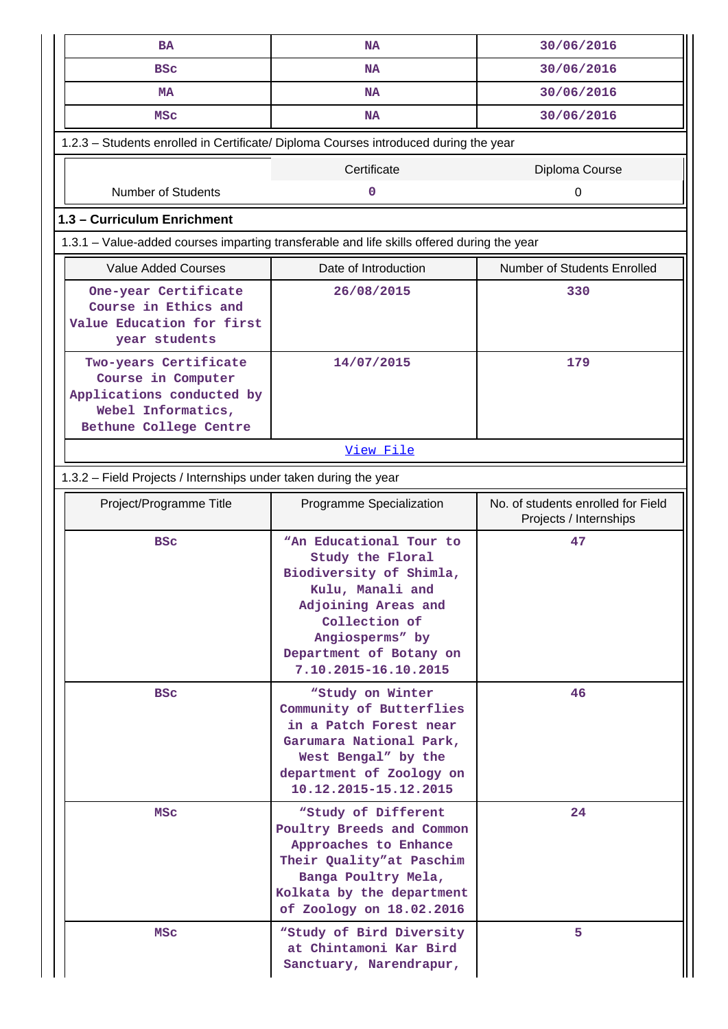| <b>BA</b>                                                                                                                | <b>NA</b>                                                                                                                                                                                                | 30/06/2016                                                   |  |  |  |  |  |  |  |
|--------------------------------------------------------------------------------------------------------------------------|----------------------------------------------------------------------------------------------------------------------------------------------------------------------------------------------------------|--------------------------------------------------------------|--|--|--|--|--|--|--|
| <b>BSC</b>                                                                                                               | <b>NA</b>                                                                                                                                                                                                | 30/06/2016                                                   |  |  |  |  |  |  |  |
| <b>MA</b>                                                                                                                | <b>NA</b>                                                                                                                                                                                                | 30/06/2016                                                   |  |  |  |  |  |  |  |
| <b>MSC</b>                                                                                                               | <b>NA</b>                                                                                                                                                                                                | 30/06/2016                                                   |  |  |  |  |  |  |  |
| 1.2.3 - Students enrolled in Certificate/ Diploma Courses introduced during the year                                     |                                                                                                                                                                                                          |                                                              |  |  |  |  |  |  |  |
|                                                                                                                          | Certificate                                                                                                                                                                                              | Diploma Course                                               |  |  |  |  |  |  |  |
| <b>Number of Students</b>                                                                                                | 0                                                                                                                                                                                                        | 0                                                            |  |  |  |  |  |  |  |
| 1.3 - Curriculum Enrichment                                                                                              |                                                                                                                                                                                                          |                                                              |  |  |  |  |  |  |  |
|                                                                                                                          | 1.3.1 - Value-added courses imparting transferable and life skills offered during the year                                                                                                               |                                                              |  |  |  |  |  |  |  |
| <b>Value Added Courses</b><br>Date of Introduction<br>Number of Students Enrolled                                        |                                                                                                                                                                                                          |                                                              |  |  |  |  |  |  |  |
| One-year Certificate<br>Course in Ethics and<br>Value Education for first<br>year students                               | 26/08/2015                                                                                                                                                                                               | 330                                                          |  |  |  |  |  |  |  |
| Two-years Certificate<br>Course in Computer<br>Applications conducted by<br>Webel Informatics,<br>Bethune College Centre | 14/07/2015                                                                                                                                                                                               | 179                                                          |  |  |  |  |  |  |  |
|                                                                                                                          | View File                                                                                                                                                                                                |                                                              |  |  |  |  |  |  |  |
| 1.3.2 - Field Projects / Internships under taken during the year                                                         |                                                                                                                                                                                                          |                                                              |  |  |  |  |  |  |  |
| Project/Programme Title                                                                                                  | Programme Specialization                                                                                                                                                                                 | No. of students enrolled for Field<br>Projects / Internships |  |  |  |  |  |  |  |
| <b>BSC</b>                                                                                                               | "An Educational Tour to<br>Study the Floral<br>Biodiversity of Shimla,<br>Kulu, Manali and<br>Adjoining Areas and<br>Collection of<br>Angiosperms" by<br>Department of Botany on<br>7.10.2015-16.10.2015 | 47                                                           |  |  |  |  |  |  |  |
| <b>BSC</b>                                                                                                               | "Study on Winter<br>Community of Butterflies<br>in a Patch Forest near<br>Garumara National Park,<br>West Bengal" by the<br>department of Zoology on<br>10.12.2015-15.12.2015                            | 46                                                           |  |  |  |  |  |  |  |
| <b>MSC</b>                                                                                                               | "Study of Different<br>Poultry Breeds and Common<br>Approaches to Enhance<br>Their Quality"at Paschim<br>Banga Poultry Mela,<br>Kolkata by the department<br>of Zoology on 18.02.2016                    | 24                                                           |  |  |  |  |  |  |  |
| <b>MSC</b>                                                                                                               | "Study of Bird Diversity<br>at Chintamoni Kar Bird<br>Sanctuary, Narendrapur,                                                                                                                            | 5.                                                           |  |  |  |  |  |  |  |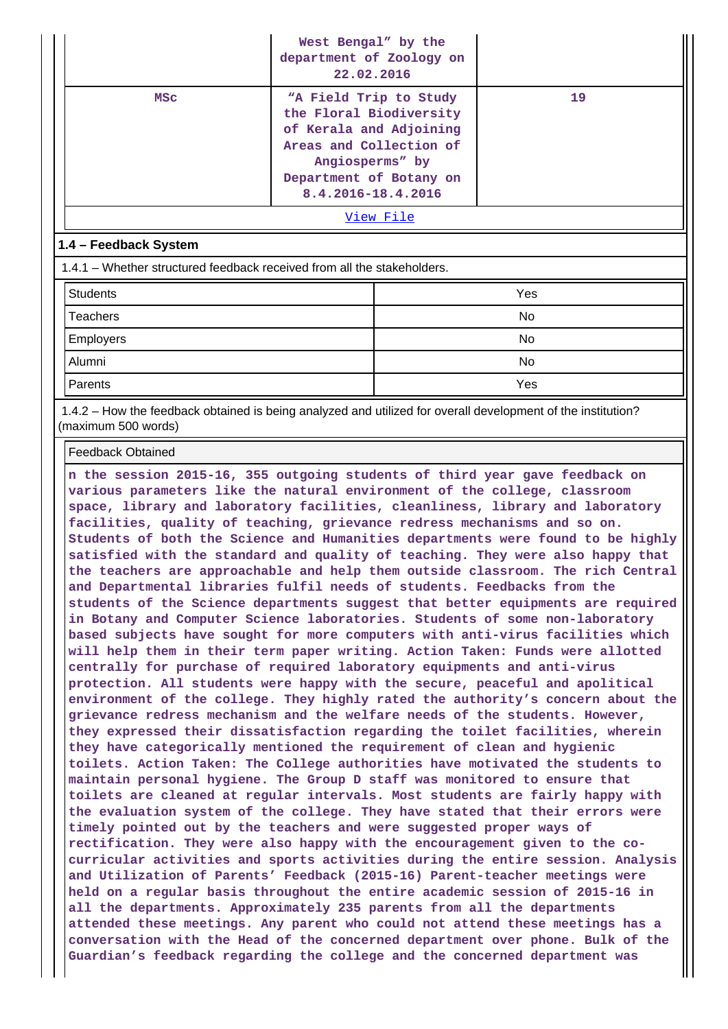|                                                                         | West Bengal" by the<br>department of Zoology on<br>22.02.2016                                                                                     |                        |    |  |
|-------------------------------------------------------------------------|---------------------------------------------------------------------------------------------------------------------------------------------------|------------------------|----|--|
| <b>MSC</b>                                                              | the Floral Biodiversity<br>of Kerala and Adjoining<br>Areas and Collection of<br>Angiosperms" by<br>Department of Botany on<br>8.4.2016-18.4.2016 | "A Field Trip to Study | 19 |  |
|                                                                         |                                                                                                                                                   | View File              |    |  |
| 1.4 - Feedback System                                                   |                                                                                                                                                   |                        |    |  |
| 1.4.1 – Whether structured feedback received from all the stakeholders. |                                                                                                                                                   |                        |    |  |
| <b>Students</b>                                                         |                                                                                                                                                   | Yes                    |    |  |
| <b>Teachers</b>                                                         |                                                                                                                                                   | No                     |    |  |
| <b>Employers</b>                                                        |                                                                                                                                                   | <b>No</b>              |    |  |
| Alumni                                                                  |                                                                                                                                                   | No.                    |    |  |

 1.4.2 – How the feedback obtained is being analyzed and utilized for overall development of the institution? (maximum 500 words)

Parents Yes

Feedback Obtained

**n the session 2015-16, 355 outgoing students of third year gave feedback on various parameters like the natural environment of the college, classroom space, library and laboratory facilities, cleanliness, library and laboratory facilities, quality of teaching, grievance redress mechanisms and so on. Students of both the Science and Humanities departments were found to be highly satisfied with the standard and quality of teaching. They were also happy that the teachers are approachable and help them outside classroom. The rich Central and Departmental libraries fulfil needs of students. Feedbacks from the students of the Science departments suggest that better equipments are required in Botany and Computer Science laboratories. Students of some non-laboratory based subjects have sought for more computers with anti-virus facilities which will help them in their term paper writing. Action Taken: Funds were allotted centrally for purchase of required laboratory equipments and anti-virus protection. All students were happy with the secure, peaceful and apolitical environment of the college. They highly rated the authority's concern about the grievance redress mechanism and the welfare needs of the students. However, they expressed their dissatisfaction regarding the toilet facilities, wherein they have categorically mentioned the requirement of clean and hygienic toilets. Action Taken: The College authorities have motivated the students to maintain personal hygiene. The Group D staff was monitored to ensure that toilets are cleaned at regular intervals. Most students are fairly happy with the evaluation system of the college. They have stated that their errors were timely pointed out by the teachers and were suggested proper ways of rectification. They were also happy with the encouragement given to the cocurricular activities and sports activities during the entire session. Analysis and Utilization of Parents' Feedback (2015-16) Parent-teacher meetings were held on a regular basis throughout the entire academic session of 2015-16 in all the departments. Approximately 235 parents from all the departments attended these meetings. Any parent who could not attend these meetings has a conversation with the Head of the concerned department over phone. Bulk of the Guardian's feedback regarding the college and the concerned department was**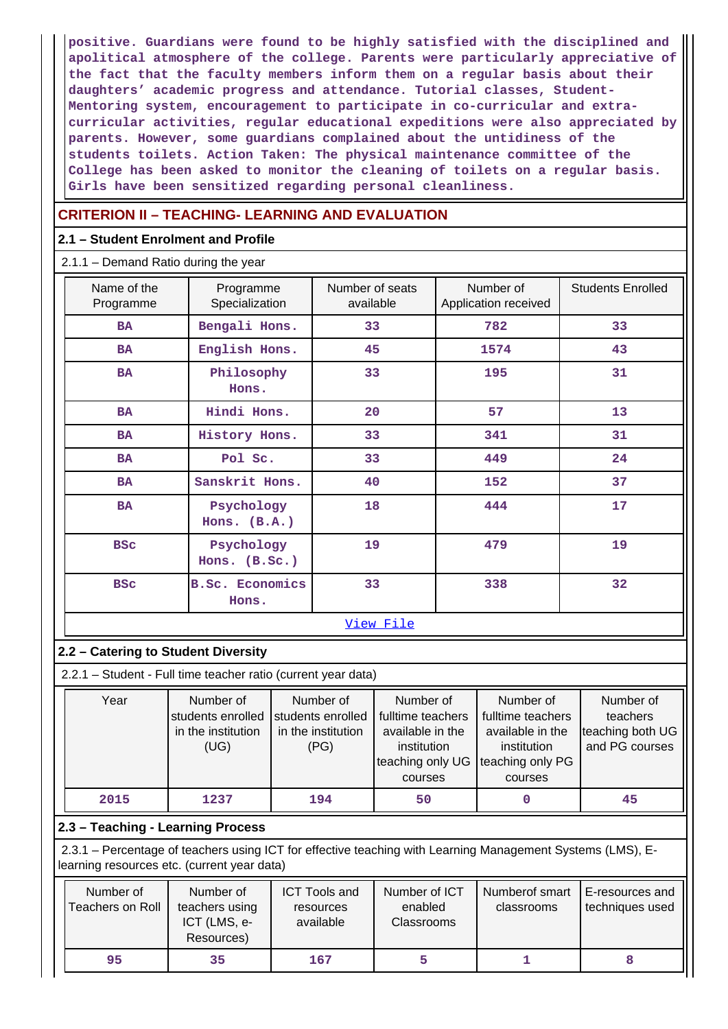**positive. Guardians were found to be highly satisfied with the disciplined and apolitical atmosphere of the college. Parents were particularly appreciative of the fact that the faculty members inform them on a regular basis about their daughters' academic progress and attendance. Tutorial classes, Student-Mentoring system, encouragement to participate in co-curricular and extracurricular activities, regular educational expeditions were also appreciated by parents. However, some guardians complained about the untidiness of the students toilets. Action Taken: The physical maintenance committee of the College has been asked to monitor the cleaning of toilets on a regular basis. Girls have been sensitized regarding personal cleanliness.**

# **CRITERION II – TEACHING- LEARNING AND EVALUATION**

## **2.1 – Student Enrolment and Profile**

2.1.1 – Demand Ratio during the year

| Name of the<br>Programme                  | Programme<br>Specialization     | Number of seats<br>available | Number of<br>Application received | <b>Students Enrolled</b> |
|-------------------------------------------|---------------------------------|------------------------------|-----------------------------------|--------------------------|
| <b>BA</b>                                 | Bengali Hons.                   | 33                           | 782                               | 33                       |
| <b>BA</b>                                 | English Hons.                   | 45                           | 1574                              | 43                       |
| Philosophy<br><b>BA</b><br>Hons.          |                                 | 33                           | 195                               | 31                       |
| <b>BA</b>                                 | Hindi Hons.                     | 20                           | 57                                | 13                       |
| <b>BA</b>                                 | History Hons.                   | 33                           | 341                               | 31                       |
| <b>BA</b>                                 | Pol Sc.                         | 33                           | 449                               | 24                       |
| <b>BA</b>                                 | Sanskrit Hons.                  | 40                           | 152                               | 37                       |
| <b>BA</b>                                 | Psychology<br>Hons. (B.A.)      | 18                           | 444                               | 17                       |
| Psychology<br><b>BSC</b><br>Hons. (B.Sc.) |                                 | 19                           | 479                               | 19                       |
| <b>BSC</b>                                | <b>B.Sc. Economics</b><br>Hons. | 33                           | 338                               | 32                       |
|                                           |                                 | View File                    |                                   |                          |

## **2.2 – Catering to Student Diversity**

2.2.1 – Student - Full time teacher ratio (current year data)

| Year | Number of          | Number of                              | Number of         | Number of         | Number of        |
|------|--------------------|----------------------------------------|-------------------|-------------------|------------------|
|      | students enrolled  | students enrolled                      | fulltime teachers | fulltime teachers | teachers         |
|      | in the institution | in the institution<br>available in the |                   | available in the  | teaching both UG |
|      | (UG)               |                                        | institution       | institution       | and PG courses   |
|      |                    |                                        | teaching only UG  | teaching only PG  |                  |
|      |                    |                                        | courses           | courses           |                  |
| 2015 | 1237               | 194                                    | 50                |                   | 45               |

## **2.3 – Teaching - Learning Process**

 2.3.1 – Percentage of teachers using ICT for effective teaching with Learning Management Systems (LMS), Elearning resources etc. (current year data)

| Number of<br>Teachers on Roll | Number of<br>teachers using<br>ICT (LMS, e-<br>Resources) | <b>ICT Tools and</b><br>resources<br>available | Number of ICT<br>enabled<br><b>Classrooms</b> | Numberof smart<br>classrooms | E-resources and<br>techniques used |
|-------------------------------|-----------------------------------------------------------|------------------------------------------------|-----------------------------------------------|------------------------------|------------------------------------|
| 95                            | 35                                                        | 167                                            |                                               |                              |                                    |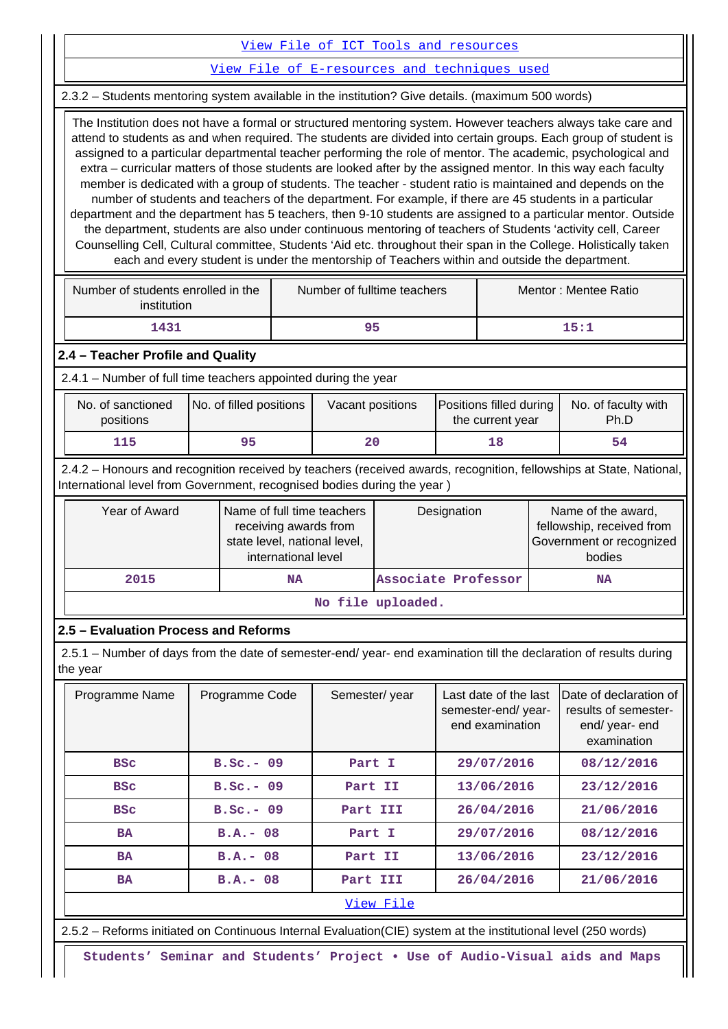[View File of ICT Tools and resources](https://assessmentonline.naac.gov.in/public/Postacc/ict_tools/6149_ict_tools_1595974437.xlsx)

[View File of E-resources and techniques used](https://assessmentonline.naac.gov.in/public/Postacc/e_resource/6149_e_resource_1595974443.xlsx)

2.3.2 – Students mentoring system available in the institution? Give details. (maximum 500 words)

 The Institution does not have a formal or structured mentoring system. However teachers always take care and attend to students as and when required. The students are divided into certain groups. Each group of student is assigned to a particular departmental teacher performing the role of mentor. The academic, psychological and extra – curricular matters of those students are looked after by the assigned mentor. In this way each faculty member is dedicated with a group of students. The teacher - student ratio is maintained and depends on the number of students and teachers of the department. For example, if there are 45 students in a particular department and the department has 5 teachers, then 9-10 students are assigned to a particular mentor. Outside the department, students are also under continuous mentoring of teachers of Students 'activity cell, Career Counselling Cell, Cultural committee, Students 'Aid etc. throughout their span in the College. Holistically taken each and every student is under the mentorship of Teachers within and outside the department.

| Number of students enrolled in the<br>institution | Number of fulltime teachers | Mentor: Mentee Ratio |  |  |
|---------------------------------------------------|-----------------------------|----------------------|--|--|
| 1431                                              | 95                          | 15:1                 |  |  |

#### **2.4 – Teacher Profile and Quality**

2.4.1 – Number of full time teachers appointed during the year

| No. of sanctioned<br>positions | No. of filled positions | Vacant positions | <b>Positions filled during</b><br>the current year | No. of faculty with<br>Ph.D |  |
|--------------------------------|-------------------------|------------------|----------------------------------------------------|-----------------------------|--|
| 115                            | 95                      | 20               |                                                    |                             |  |

 2.4.2 – Honours and recognition received by teachers (received awards, recognition, fellowships at State, National, International level from Government, recognised bodies during the year )

| Name of full time teachers<br>Year of Award<br>receiving awards from<br>state level, national level,<br>international level |    | Designation         | Name of the award,<br>fellowship, received from<br>Government or recognized<br>bodies |  |  |  |  |  |
|-----------------------------------------------------------------------------------------------------------------------------|----|---------------------|---------------------------------------------------------------------------------------|--|--|--|--|--|
| 2015                                                                                                                        | NA | Associate Professor | NA                                                                                    |  |  |  |  |  |
| No file uploaded.                                                                                                           |    |                     |                                                                                       |  |  |  |  |  |

## **2.5 – Evaluation Process and Reforms**

 2.5.1 – Number of days from the date of semester-end/ year- end examination till the declaration of results during the year

| Programme Name                                                                                                  | Programme Code | Semester/year | Last date of the last<br>semester-end/year-<br>end examination | Date of declaration of<br>results of semester-<br>end/year-end<br>examination |  |  |  |  |
|-----------------------------------------------------------------------------------------------------------------|----------------|---------------|----------------------------------------------------------------|-------------------------------------------------------------------------------|--|--|--|--|
| <b>BSC</b>                                                                                                      | $B.SC. - 09$   | Part I        | 29/07/2016                                                     | 08/12/2016                                                                    |  |  |  |  |
| <b>BSC</b>                                                                                                      | $B.SC. - 09$   | Part II       | 13/06/2016                                                     | 23/12/2016                                                                    |  |  |  |  |
| <b>BSC</b>                                                                                                      | $B.SC. - 09$   | Part III      | 26/04/2016                                                     | 21/06/2016                                                                    |  |  |  |  |
| <b>BA</b>                                                                                                       | $B.A.-08$      |               | 29/07/2016                                                     | 08/12/2016                                                                    |  |  |  |  |
| <b>BA</b>                                                                                                       | $B.A. - 08$    | Part II       | 13/06/2016                                                     | 23/12/2016                                                                    |  |  |  |  |
| <b>BA</b>                                                                                                       | $B.A. - 08$    | Part III      | 26/04/2016                                                     | 21/06/2016                                                                    |  |  |  |  |
| View File                                                                                                       |                |               |                                                                |                                                                               |  |  |  |  |
| 2.5.2 – Reforms initiated on Continuous Internal Evaluation (CIE) system at the institutional level (250 words) |                |               |                                                                |                                                                               |  |  |  |  |

**Students' Seminar and Students' Project • Use of Audio-Visual aids and Maps**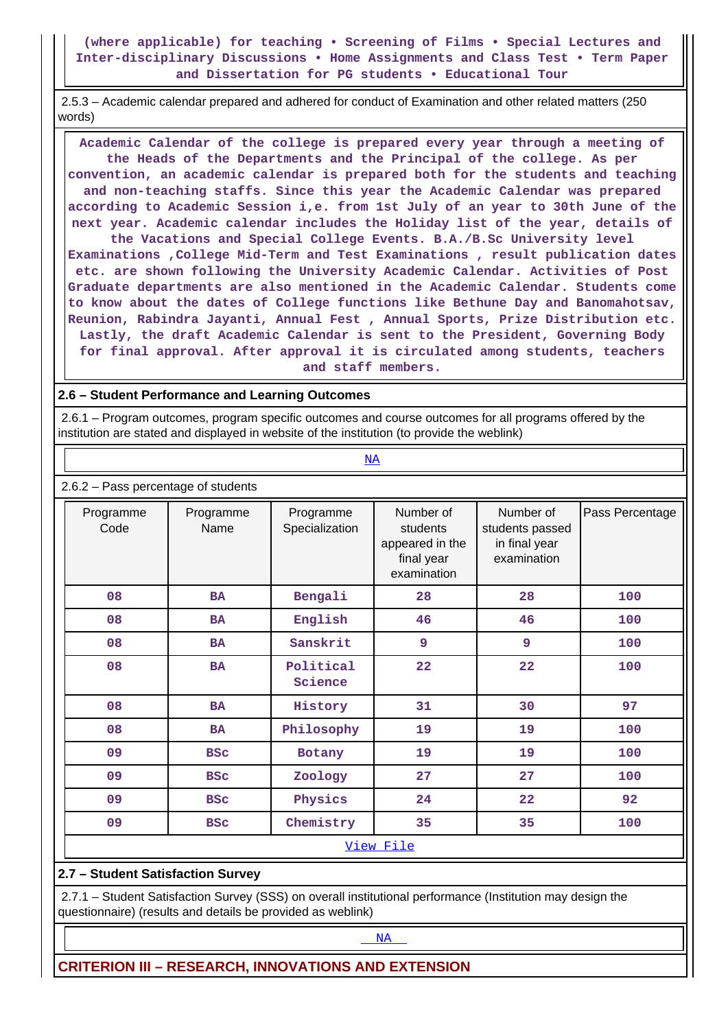## **(where applicable) for teaching • Screening of Films • Special Lectures and Inter-disciplinary Discussions • Home Assignments and Class Test • Term Paper and Dissertation for PG students • Educational Tour**

 2.5.3 – Academic calendar prepared and adhered for conduct of Examination and other related matters (250 words)

 **Academic Calendar of the college is prepared every year through a meeting of the Heads of the Departments and the Principal of the college. As per convention, an academic calendar is prepared both for the students and teaching and non-teaching staffs. Since this year the Academic Calendar was prepared according to Academic Session i,e. from 1st July of an year to 30th June of the next year. Academic calendar includes the Holiday list of the year, details of the Vacations and Special College Events. B.A./B.Sc University level Examinations ,College Mid-Term and Test Examinations , result publication dates etc. are shown following the University Academic Calendar. Activities of Post Graduate departments are also mentioned in the Academic Calendar. Students come to know about the dates of College functions like Bethune Day and Banomahotsav, Reunion, Rabindra Jayanti, Annual Fest , Annual Sports, Prize Distribution etc. Lastly, the draft Academic Calendar is sent to the President, Governing Body for final approval. After approval it is circulated among students, teachers and staff members.**

### **2.6 – Student Performance and Learning Outcomes**

<u><NA></u>

 2.6.1 – Program outcomes, program specific outcomes and course outcomes for all programs offered by the institution are stated and displayed in website of the institution (to provide the weblink)

| 2.6.2 - Pass percentage of students |                   |                             |                                                                       |                                                              |                 |  |  |  |  |  |
|-------------------------------------|-------------------|-----------------------------|-----------------------------------------------------------------------|--------------------------------------------------------------|-----------------|--|--|--|--|--|
| Programme<br>Code                   | Programme<br>Name | Programme<br>Specialization | Number of<br>students<br>appeared in the<br>final year<br>examination | Number of<br>students passed<br>in final year<br>examination | Pass Percentage |  |  |  |  |  |
| 08                                  | <b>BA</b>         | Bengali                     | 28                                                                    | 28                                                           | 100             |  |  |  |  |  |
| 08                                  | <b>BA</b>         | English                     | 46                                                                    | 46                                                           | 100             |  |  |  |  |  |
| 08                                  | <b>BA</b>         | Sanskrit                    | 9                                                                     | 9                                                            | 100             |  |  |  |  |  |
| 08                                  | <b>BA</b>         | Political<br>Science        | 22                                                                    | 22                                                           | 100             |  |  |  |  |  |
| 08                                  | <b>BA</b>         | History                     | 31                                                                    | 30                                                           | 97              |  |  |  |  |  |
| 08                                  | <b>BA</b>         | Philosophy                  | 19                                                                    | 19                                                           | 100             |  |  |  |  |  |
| 09                                  | <b>BSC</b>        | Botany                      | 19                                                                    | 19                                                           | 100             |  |  |  |  |  |
| 09                                  | <b>BSC</b>        | Zoology                     | 27                                                                    | 27                                                           | 100             |  |  |  |  |  |
| 09                                  | <b>BSC</b>        | Physics                     | 24                                                                    | 22                                                           | 92              |  |  |  |  |  |
| 09<br><b>BSC</b>                    |                   | Chemistry                   | 35                                                                    | 35                                                           | 100             |  |  |  |  |  |
|                                     | View File         |                             |                                                                       |                                                              |                 |  |  |  |  |  |

## **2.7 – Student Satisfaction Survey**

 2.7.1 – Student Satisfaction Survey (SSS) on overall institutional performance (Institution may design the questionnaire) (results and details be provided as weblink)

<NA>NA PARTICIPADA E DE LA CARACTERA E DE LA CARACTERA E DE LA CARACTERA E DE LA CARACTERA E DE LA CARACTERA E D

**CRITERION III – RESEARCH, INNOVATIONS AND EXTENSION**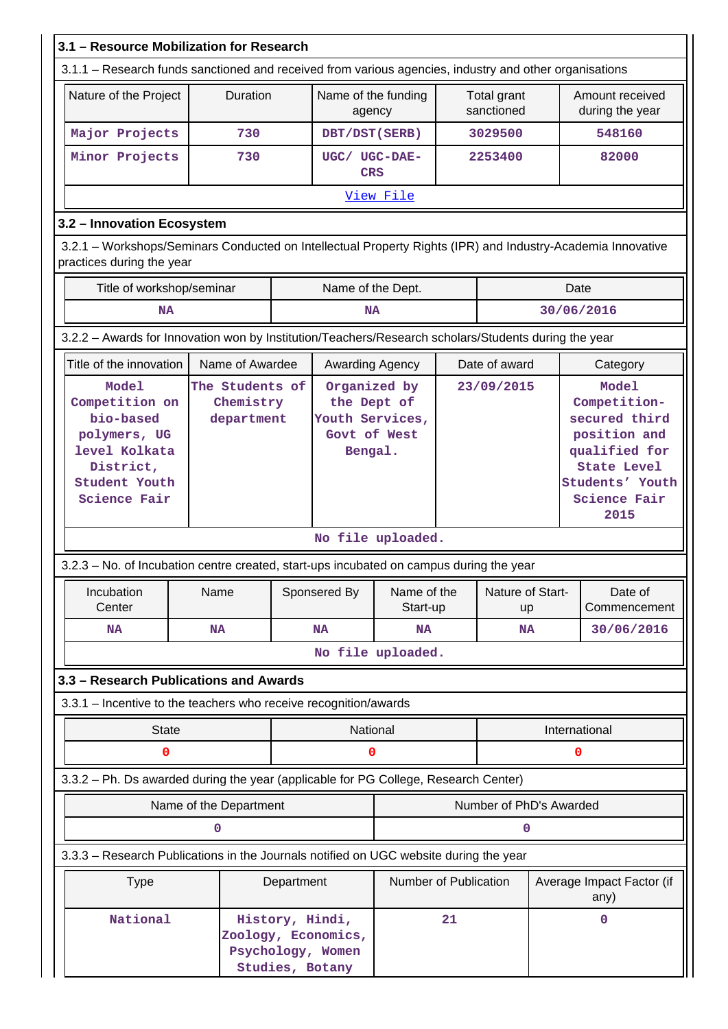| 3.1 - Resource Mobilization for Research                                                                                                 |                                                                              |                        |  |                                                                                |                         |            |                           |                                                                                                                                          |                                    |
|------------------------------------------------------------------------------------------------------------------------------------------|------------------------------------------------------------------------------|------------------------|--|--------------------------------------------------------------------------------|-------------------------|------------|---------------------------|------------------------------------------------------------------------------------------------------------------------------------------|------------------------------------|
| 3.1.1 - Research funds sanctioned and received from various agencies, industry and other organisations                                   |                                                                              |                        |  |                                                                                |                         |            |                           |                                                                                                                                          |                                    |
| Nature of the Project                                                                                                                    |                                                                              | Duration               |  | Name of the funding<br>agency                                                  |                         |            | Total grant<br>sanctioned |                                                                                                                                          | Amount received<br>during the year |
| Major Projects                                                                                                                           |                                                                              | 730                    |  | DBT/DST(SERB)                                                                  |                         |            | 3029500                   |                                                                                                                                          | 548160                             |
| Minor Projects                                                                                                                           |                                                                              | 730                    |  | UGC/ UGC-DAE-<br><b>CRS</b>                                                    |                         |            | 2253400                   |                                                                                                                                          | 82000                              |
|                                                                                                                                          |                                                                              |                        |  |                                                                                | View File               |            |                           |                                                                                                                                          |                                    |
| 3.2 - Innovation Ecosystem                                                                                                               |                                                                              |                        |  |                                                                                |                         |            |                           |                                                                                                                                          |                                    |
| 3.2.1 - Workshops/Seminars Conducted on Intellectual Property Rights (IPR) and Industry-Academia Innovative<br>practices during the year |                                                                              |                        |  |                                                                                |                         |            |                           |                                                                                                                                          |                                    |
| Title of workshop/seminar                                                                                                                |                                                                              |                        |  | Name of the Dept.                                                              |                         |            |                           |                                                                                                                                          | Date                               |
| <b>NA</b>                                                                                                                                |                                                                              |                        |  | <b>NA</b>                                                                      |                         |            |                           |                                                                                                                                          | 30/06/2016                         |
| 3.2.2 - Awards for Innovation won by Institution/Teachers/Research scholars/Students during the year                                     |                                                                              |                        |  |                                                                                |                         |            |                           |                                                                                                                                          |                                    |
| Title of the innovation                                                                                                                  |                                                                              | Name of Awardee        |  | Awarding Agency                                                                |                         |            | Date of award             |                                                                                                                                          | Category                           |
| bio-based<br>polymers, UG<br>level Kolkata<br>District,<br>Student Youth<br>Science Fair                                                 | <b>Model</b><br>The Students of<br>Competition on<br>Chemistry<br>department |                        |  | Organized by<br>the Dept of<br>Youth Services,<br>Govt of West<br>Bengal.      |                         | 23/09/2015 |                           | Model<br>Competition-<br>secured third<br>position and<br>qualified for<br><b>State Level</b><br>Students' Youth<br>Science Fair<br>2015 |                                    |
|                                                                                                                                          |                                                                              |                        |  |                                                                                | No file uploaded.       |            |                           |                                                                                                                                          |                                    |
| 3.2.3 – No. of Incubation centre created, start-ups incubated on campus during the year                                                  |                                                                              |                        |  |                                                                                |                         |            |                           |                                                                                                                                          |                                    |
| Incubation<br>Center                                                                                                                     | Name                                                                         |                        |  | Sponsered By                                                                   | Name of the<br>Start-up |            | Nature of Start-<br>up    |                                                                                                                                          | Date of<br>Commencement            |
| <b>NA</b>                                                                                                                                | <b>NA</b>                                                                    |                        |  | <b>NA</b>                                                                      | <b>NA</b><br><b>NA</b>  |            |                           |                                                                                                                                          | 30/06/2016                         |
|                                                                                                                                          |                                                                              |                        |  |                                                                                | No file uploaded.       |            |                           |                                                                                                                                          |                                    |
| 3.3 - Research Publications and Awards                                                                                                   |                                                                              |                        |  |                                                                                |                         |            |                           |                                                                                                                                          |                                    |
| 3.3.1 - Incentive to the teachers who receive recognition/awards                                                                         |                                                                              |                        |  |                                                                                |                         |            |                           |                                                                                                                                          |                                    |
| <b>State</b>                                                                                                                             |                                                                              |                        |  | National                                                                       |                         |            |                           | International                                                                                                                            |                                    |
| 0                                                                                                                                        |                                                                              |                        |  | 0                                                                              |                         |            |                           |                                                                                                                                          | 0                                  |
| 3.3.2 - Ph. Ds awarded during the year (applicable for PG College, Research Center)                                                      |                                                                              |                        |  |                                                                                |                         |            |                           |                                                                                                                                          |                                    |
|                                                                                                                                          |                                                                              | Name of the Department |  |                                                                                |                         |            | Number of PhD's Awarded   |                                                                                                                                          |                                    |
|                                                                                                                                          | 0                                                                            |                        |  |                                                                                |                         |            | 0                         |                                                                                                                                          |                                    |
| 3.3.3 - Research Publications in the Journals notified on UGC website during the year                                                    |                                                                              |                        |  |                                                                                |                         |            |                           |                                                                                                                                          |                                    |
| <b>Type</b>                                                                                                                              | Department                                                                   |                        |  |                                                                                | Number of Publication   |            |                           |                                                                                                                                          | Average Impact Factor (if<br>any)  |
| National                                                                                                                                 |                                                                              |                        |  | History, Hindi,<br>Zoology, Economics,<br>Psychology, Women<br>Studies, Botany |                         | 21         |                           |                                                                                                                                          | 0                                  |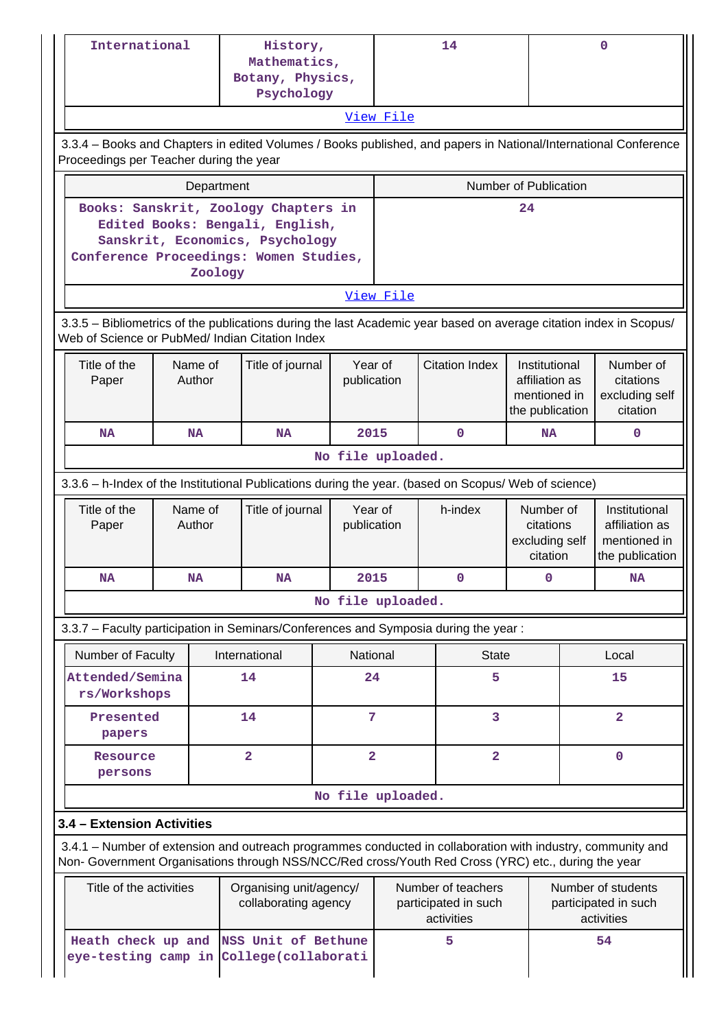|                                                                                                                                                                       | International                           |                   | History,<br>Mathematics,<br>Botany, Physics,<br>Psychology                                                                                                            |                                            |                         | 14                                                                                                                                                                                                                          |                                                                    |                         | 0                                                                  |
|-----------------------------------------------------------------------------------------------------------------------------------------------------------------------|-----------------------------------------|-------------------|-----------------------------------------------------------------------------------------------------------------------------------------------------------------------|--------------------------------------------|-------------------------|-----------------------------------------------------------------------------------------------------------------------------------------------------------------------------------------------------------------------------|--------------------------------------------------------------------|-------------------------|--------------------------------------------------------------------|
|                                                                                                                                                                       |                                         |                   |                                                                                                                                                                       |                                            | View File               |                                                                                                                                                                                                                             |                                                                    |                         |                                                                    |
|                                                                                                                                                                       | Proceedings per Teacher during the year |                   | 3.3.4 - Books and Chapters in edited Volumes / Books published, and papers in National/International Conference                                                       |                                            |                         |                                                                                                                                                                                                                             |                                                                    |                         |                                                                    |
|                                                                                                                                                                       |                                         |                   | Department                                                                                                                                                            |                                            |                         |                                                                                                                                                                                                                             | Number of Publication                                              |                         |                                                                    |
| Books: Sanskrit, Zoology Chapters in<br>24<br>Edited Books: Bengali, English,<br>Sanskrit, Economics, Psychology<br>Conference Proceedings: Women Studies,<br>Zoology |                                         |                   |                                                                                                                                                                       |                                            |                         |                                                                                                                                                                                                                             |                                                                    |                         |                                                                    |
|                                                                                                                                                                       |                                         |                   |                                                                                                                                                                       |                                            | View File               |                                                                                                                                                                                                                             |                                                                    |                         |                                                                    |
|                                                                                                                                                                       |                                         |                   | 3.3.5 - Bibliometrics of the publications during the last Academic year based on average citation index in Scopus/<br>Web of Science or PubMed/ Indian Citation Index |                                            |                         |                                                                                                                                                                                                                             |                                                                    |                         |                                                                    |
|                                                                                                                                                                       | Title of the<br>Paper                   | Name of<br>Author |                                                                                                                                                                       | Year of<br>Title of journal<br>publication |                         | <b>Citation Index</b>                                                                                                                                                                                                       | Institutional<br>affiliation as<br>mentioned in<br>the publication |                         | Number of<br>citations<br>excluding self<br>citation               |
|                                                                                                                                                                       | <b>NA</b>                               | <b>NA</b>         | <b>NA</b>                                                                                                                                                             |                                            | 2015                    | 0                                                                                                                                                                                                                           | <b>NA</b>                                                          |                         | 0                                                                  |
|                                                                                                                                                                       |                                         |                   |                                                                                                                                                                       | No file uploaded.                          |                         |                                                                                                                                                                                                                             |                                                                    |                         |                                                                    |
|                                                                                                                                                                       |                                         |                   | 3.3.6 - h-Index of the Institutional Publications during the year. (based on Scopus/ Web of science)                                                                  |                                            |                         |                                                                                                                                                                                                                             |                                                                    |                         |                                                                    |
|                                                                                                                                                                       | Title of the<br>Paper                   | Name of<br>Author | Title of journal                                                                                                                                                      |                                            | Year of<br>publication  | h-index                                                                                                                                                                                                                     | Number of<br>citations<br>excluding self<br>citation               |                         | Institutional<br>affiliation as<br>mentioned in<br>the publication |
|                                                                                                                                                                       | <b>NA</b>                               | <b>NA</b>         | ΝA                                                                                                                                                                    |                                            | 2015                    | 0                                                                                                                                                                                                                           |                                                                    |                         | <b>NA</b>                                                          |
|                                                                                                                                                                       |                                         |                   |                                                                                                                                                                       | No file uploaded.                          |                         |                                                                                                                                                                                                                             |                                                                    |                         |                                                                    |
|                                                                                                                                                                       |                                         |                   | 3.3.7 - Faculty participation in Seminars/Conferences and Symposia during the year:                                                                                   |                                            |                         |                                                                                                                                                                                                                             |                                                                    |                         |                                                                    |
|                                                                                                                                                                       | Number of Faculty                       |                   | International                                                                                                                                                         |                                            | National                | <b>State</b>                                                                                                                                                                                                                |                                                                    |                         | Local                                                              |
|                                                                                                                                                                       | Attended/Semina<br>rs/Workshops         |                   | 14                                                                                                                                                                    |                                            | 24                      | 5                                                                                                                                                                                                                           |                                                                    | 15                      |                                                                    |
|                                                                                                                                                                       | Presented<br>papers                     |                   | 14                                                                                                                                                                    |                                            | 7                       | 3                                                                                                                                                                                                                           |                                                                    | $\overline{\mathbf{2}}$ |                                                                    |
|                                                                                                                                                                       | Resource<br>persons                     |                   | $\overline{\mathbf{2}}$                                                                                                                                               |                                            | $\overline{\mathbf{2}}$ | $\overline{\mathbf{2}}$                                                                                                                                                                                                     |                                                                    |                         | $\mathbf 0$                                                        |
|                                                                                                                                                                       |                                         |                   |                                                                                                                                                                       | No file uploaded.                          |                         |                                                                                                                                                                                                                             |                                                                    |                         |                                                                    |
|                                                                                                                                                                       | 3.4 - Extension Activities              |                   |                                                                                                                                                                       |                                            |                         |                                                                                                                                                                                                                             |                                                                    |                         |                                                                    |
|                                                                                                                                                                       |                                         |                   | 3.4.1 – Number of extension and outreach programmes conducted in collaboration with industry, community and                                                           |                                            |                         |                                                                                                                                                                                                                             |                                                                    |                         |                                                                    |
|                                                                                                                                                                       | Title of the activities                 |                   | Organising unit/agency/<br>collaborating agency                                                                                                                       |                                            |                         | Non- Government Organisations through NSS/NCC/Red cross/Youth Red Cross (YRC) etc., during the year<br>Number of teachers<br>Number of students<br>participated in such<br>participated in such<br>activities<br>activities |                                                                    |                         |                                                                    |
|                                                                                                                                                                       | Heath check up and                      |                   | NSS Unit of Bethune<br>eye-testing camp in College(collaborati                                                                                                        |                                            |                         | 5                                                                                                                                                                                                                           |                                                                    |                         | 54                                                                 |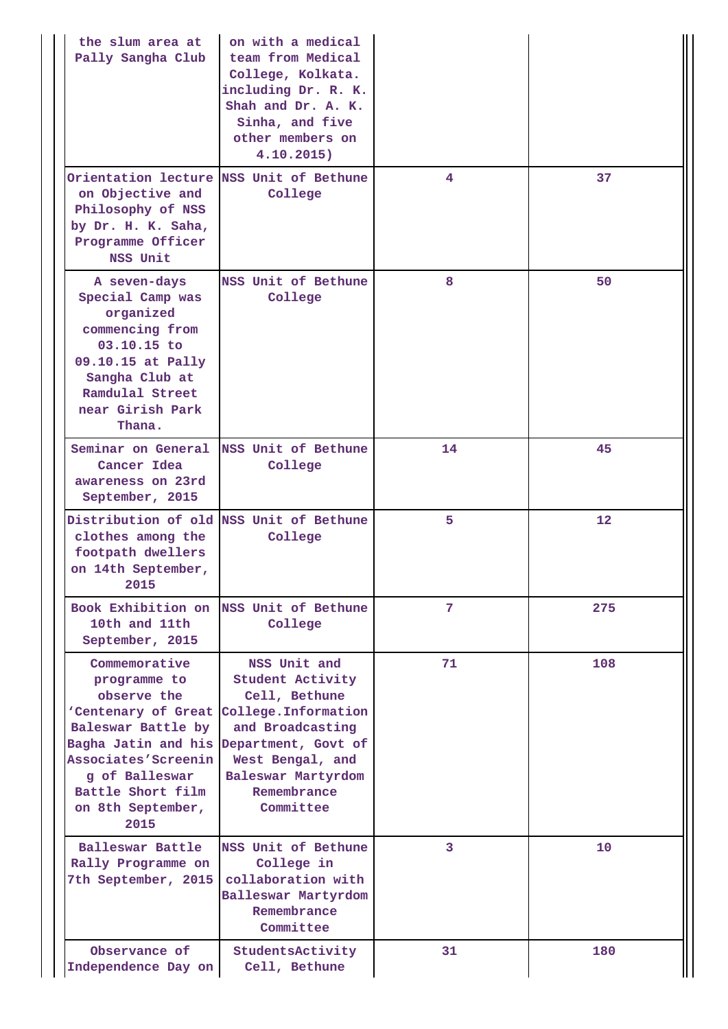| the slum area at<br>Pally Sangha Club                                                                                                                                                                       | on with a medical<br>team from Medical<br>College, Kolkata.<br>including Dr. R. K.<br>Shah and Dr. A. K.<br>Sinha, and five<br>other members on<br>4.10.2015)                                     |    |     |
|-------------------------------------------------------------------------------------------------------------------------------------------------------------------------------------------------------------|---------------------------------------------------------------------------------------------------------------------------------------------------------------------------------------------------|----|-----|
| on Objective and<br>Philosophy of NSS<br>by Dr. H. K. Saha,<br>Programme Officer<br>NSS Unit                                                                                                                | Orientation lecture NSS Unit of Bethune<br>College                                                                                                                                                | 4  | 37  |
| A seven-days<br>Special Camp was<br>organized<br>commencing from<br>03.10.15 to<br>09.10.15 at Pally<br>Sangha Club at<br>Ramdulal Street<br>near Girish Park<br>Thana.                                     | NSS Unit of Bethune<br>College                                                                                                                                                                    | 8  | 50  |
| Seminar on General<br>Cancer Idea<br>awareness on 23rd<br>September, 2015                                                                                                                                   | NSS Unit of Bethune<br>College                                                                                                                                                                    | 14 | 45  |
| Distribution of old NSS Unit of Bethune<br>clothes among the<br>footpath dwellers<br>on 14th September,<br>2015                                                                                             | College                                                                                                                                                                                           | 5  | 12  |
| Book Exhibition on<br>10th and 11th<br>September, 2015                                                                                                                                                      | NSS Unit of Bethune<br>College                                                                                                                                                                    | 7  | 275 |
| Commemorative<br>programme to<br>observe the<br>'Centenary of Great<br>Baleswar Battle by<br>Bagha Jatin and his<br>Associates'Screenin<br>q of Balleswar<br>Battle Short film<br>on 8th September,<br>2015 | NSS Unit and<br><b>Student Activity</b><br>Cell, Bethune<br>College. Information<br>and Broadcasting<br>Department, Govt of<br>West Bengal, and<br>Baleswar Martyrdom<br>Remembrance<br>Committee | 71 | 108 |
| Balleswar Battle<br>Rally Programme on<br>7th September, 2015                                                                                                                                               | NSS Unit of Bethune<br>College in<br>collaboration with<br>Balleswar Martyrdom<br>Remembrance<br>Committee                                                                                        | 3  | 10  |
| Observance of<br>Independence Day on                                                                                                                                                                        | StudentsActivity<br>Cell, Bethune                                                                                                                                                                 | 31 | 180 |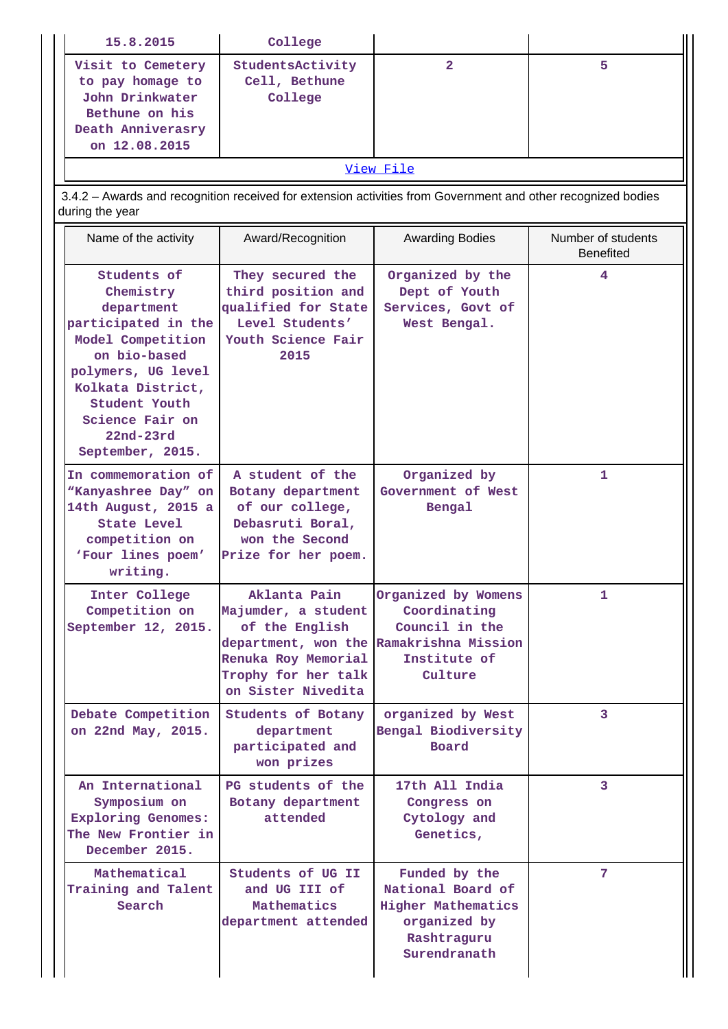| 15.8.2015                                                                                                                                                                                                            | College                                                                                                                   |                                                                                                                             |                                        |
|----------------------------------------------------------------------------------------------------------------------------------------------------------------------------------------------------------------------|---------------------------------------------------------------------------------------------------------------------------|-----------------------------------------------------------------------------------------------------------------------------|----------------------------------------|
| Visit to Cemetery<br>to pay homage to<br>John Drinkwater<br>Bethune on his<br>Death Anniverasry<br>on 12.08.2015                                                                                                     | StudentsActivity<br>Cell, Bethune<br>College                                                                              | $\overline{2}$                                                                                                              | 5                                      |
|                                                                                                                                                                                                                      |                                                                                                                           | View File                                                                                                                   |                                        |
| 3.4.2 - Awards and recognition received for extension activities from Government and other recognized bodies<br>during the year                                                                                      |                                                                                                                           |                                                                                                                             |                                        |
| Name of the activity                                                                                                                                                                                                 | Award/Recognition                                                                                                         | <b>Awarding Bodies</b>                                                                                                      | Number of students<br><b>Benefited</b> |
| Students of<br>Chemistry<br>department<br>participated in the<br>Model Competition<br>on bio-based<br>polymers, UG level<br>Kolkata District,<br>Student Youth<br>Science Fair on<br>$22nd-23rd$<br>September, 2015. | They secured the<br>third position and<br>qualified for State<br>Level Students'<br>Youth Science Fair<br>2015            | Organized by the<br>Dept of Youth<br>Services, Govt of<br>West Bengal.                                                      | 4                                      |
| In commemoration of<br>"Kanyashree Day" on<br>14th August, 2015 a<br>State Level<br>competition on<br>'Four lines poem'<br>writing.                                                                                  | A student of the<br>Botany department<br>of our college,<br>Debasruti Boral,<br>won the Second<br>Prize for her poem.     | Organized by<br>Government of West<br>Bengal                                                                                | 1                                      |
| Inter College<br>Competition on<br>September 12, 2015.                                                                                                                                                               | Aklanta Pain<br>Majumder, a student<br>of the English<br>Renuka Roy Memorial<br>Trophy for her talk<br>on Sister Nivedita | Organized by Womens<br>Coordinating<br>Council in the<br>department, won the Ramakrishna Mission<br>Institute of<br>Culture | 1.                                     |
| Debate Competition<br>on 22nd May, 2015.                                                                                                                                                                             | Students of Botany<br>department<br>participated and<br>won prizes                                                        | organized by West<br>Bengal Biodiversity<br>Board                                                                           | 3                                      |
| An International<br>Symposium on<br><b>Exploring Genomes:</b><br>The New Frontier in<br>December 2015.                                                                                                               | PG students of the<br>Botany department<br>attended                                                                       | 17th All India<br>Congress on<br>Cytology and<br>Genetics,                                                                  | 3                                      |
| Mathematical<br>Training and Talent<br>Search                                                                                                                                                                        | Students of UG II<br>and UG III of<br>Mathematics<br>department attended                                                  | Funded by the<br>National Board of<br><b>Higher Mathematics</b><br>organized by<br>Rashtraguru<br>Surendranath              | 7                                      |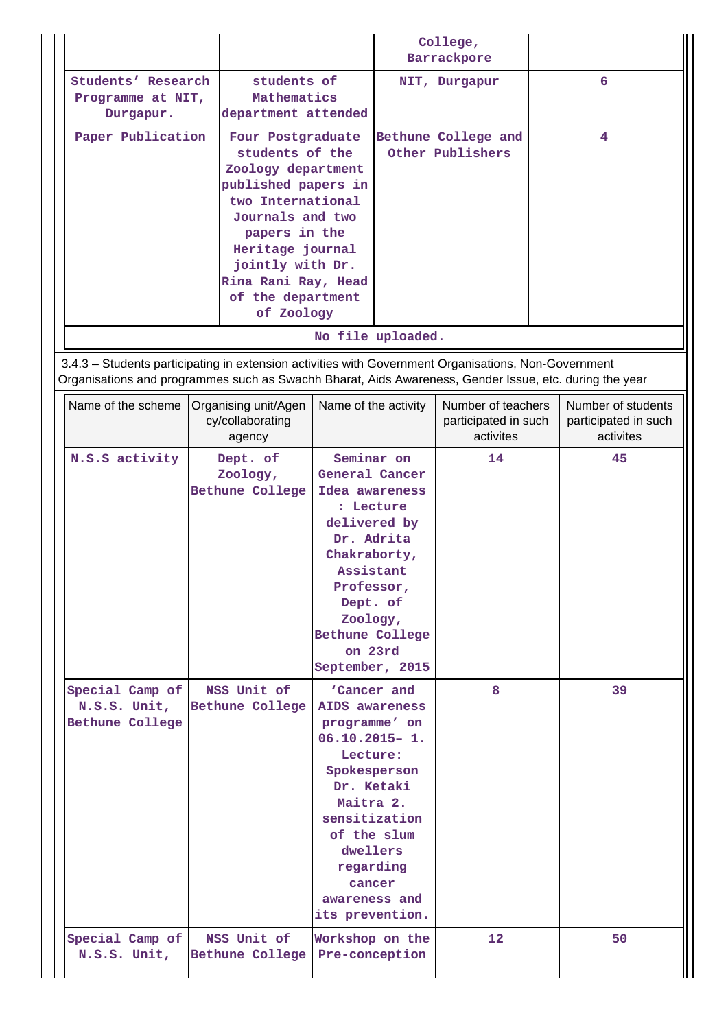|                                                                                                                                                                                                                |                                                                                                                                                                                                                                               |                                                                                                                                                                                                                                   | College,<br>Barrackpore                                 |                                                         |
|----------------------------------------------------------------------------------------------------------------------------------------------------------------------------------------------------------------|-----------------------------------------------------------------------------------------------------------------------------------------------------------------------------------------------------------------------------------------------|-----------------------------------------------------------------------------------------------------------------------------------------------------------------------------------------------------------------------------------|---------------------------------------------------------|---------------------------------------------------------|
| Students' Research<br>Programme at NIT,<br>Durgapur.                                                                                                                                                           | students of<br>Mathematics<br>department attended                                                                                                                                                                                             |                                                                                                                                                                                                                                   | NIT, Durgapur                                           | 6                                                       |
| Paper Publication                                                                                                                                                                                              | Four Postgraduate<br>students of the<br>Zoology department<br>published papers in<br>two International<br>Journals and two<br>papers in the<br>Heritage journal<br>jointly with Dr.<br>Rina Rani Ray, Head<br>of the department<br>of Zoology |                                                                                                                                                                                                                                   | Bethune College and<br>Other Publishers                 | 4                                                       |
|                                                                                                                                                                                                                |                                                                                                                                                                                                                                               | No file uploaded.                                                                                                                                                                                                                 |                                                         |                                                         |
| 3.4.3 - Students participating in extension activities with Government Organisations, Non-Government<br>Organisations and programmes such as Swachh Bharat, Aids Awareness, Gender Issue, etc. during the year |                                                                                                                                                                                                                                               |                                                                                                                                                                                                                                   |                                                         |                                                         |
| Name of the scheme                                                                                                                                                                                             | Organising unit/Agen<br>cy/collaborating<br>agency                                                                                                                                                                                            | Name of the activity                                                                                                                                                                                                              | Number of teachers<br>participated in such<br>activites | Number of students<br>participated in such<br>activites |
| N.S.S activity                                                                                                                                                                                                 | Dept. of<br>Zoology,<br>Bethune College                                                                                                                                                                                                       | Seminar on<br>General Cancer<br>Idea awareness<br>: Lecture<br>delivered by<br>Dr. Adrita<br>Chakraborty,<br>Assistant<br>Professor,<br>Dept. of<br>Zoology,<br>Bethune College<br>on 23rd<br>September, 2015                     | 14                                                      | 45                                                      |
| Special Camp of<br>N.S.S. Unit,<br>Bethune College                                                                                                                                                             | NSS Unit of<br><b>Bethune College</b>                                                                                                                                                                                                         | 'Cancer and<br>AIDS awareness<br>programme' on<br>$06.10.2015 - 1.$<br>Lecture:<br>Spokesperson<br>Dr. Ketaki<br>Maitra 2.<br>sensitization<br>of the slum<br>dwellers<br>regarding<br>cancer<br>awareness and<br>its prevention. | 8                                                       | 39                                                      |
| Special Camp of<br>N.S.S. Unit,                                                                                                                                                                                | NSS Unit of<br>Bethune College                                                                                                                                                                                                                | Workshop on the<br>Pre-conception                                                                                                                                                                                                 | 12                                                      | 50                                                      |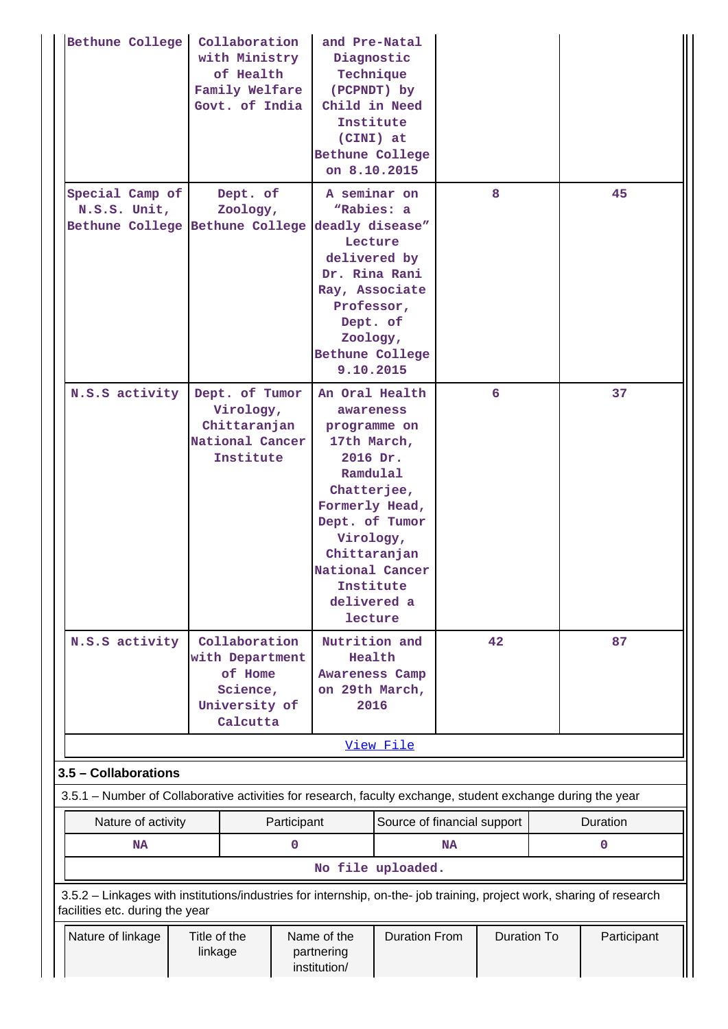| Bethune College                                                                                                                                          | Collaboration<br>with Ministry<br>of Health<br>Family Welfare<br>Govt. of India                                                                                                                                                                          |             | and Pre-Natal<br>Diagnostic<br>Child in Need<br>Institute<br>(CINI) at<br><b>Bethune College</b><br>on 8.10.2015                                                                                                             | Technique<br>(PCPNDT) by |           |                    |             |
|----------------------------------------------------------------------------------------------------------------------------------------------------------|----------------------------------------------------------------------------------------------------------------------------------------------------------------------------------------------------------------------------------------------------------|-------------|------------------------------------------------------------------------------------------------------------------------------------------------------------------------------------------------------------------------------|--------------------------|-----------|--------------------|-------------|
| Special Camp of<br>N.S.S. Unit,                                                                                                                          | A seminar on<br>8<br>Dept. of<br>"Rabies: a<br>Zoology,<br>Bethune College Bethune College<br>deadly disease"<br>Lecture<br>delivered by<br>Dr. Rina Rani<br>Ray, Associate<br>Professor,<br>Dept. of<br>Zoology,<br><b>Bethune College</b><br>9.10.2015 |             | 45                                                                                                                                                                                                                           |                          |           |                    |             |
| N.S.S activity                                                                                                                                           | Dept. of Tumor<br>Virology,<br>Chittaranjan<br>National Cancer<br>Institute                                                                                                                                                                              |             | An Oral Health<br>awareness<br>programme on<br>17th March,<br>2016 Dr.<br>Ramdulal<br>Chatterjee,<br>Formerly Head,<br>Dept. of Tumor<br>Virology,<br>Chittaranjan<br>National Cancer<br>Institute<br>delivered a<br>lecture |                          |           | 6                  | 37          |
| N.S.S activity                                                                                                                                           | Collaboration<br>with Department<br>of Home<br>Science,<br>University of<br>Calcutta                                                                                                                                                                     |             | Nutrition and<br>Health<br>Awareness Camp<br>on 29th March,<br>2016                                                                                                                                                          |                          |           | 42                 | 87          |
|                                                                                                                                                          |                                                                                                                                                                                                                                                          |             |                                                                                                                                                                                                                              | View File                |           |                    |             |
| 3.5 - Collaborations                                                                                                                                     |                                                                                                                                                                                                                                                          |             |                                                                                                                                                                                                                              |                          |           |                    |             |
| 3.5.1 – Number of Collaborative activities for research, faculty exchange, student exchange during the year                                              |                                                                                                                                                                                                                                                          |             |                                                                                                                                                                                                                              |                          |           |                    |             |
| Nature of activity                                                                                                                                       |                                                                                                                                                                                                                                                          | Participant | Source of financial support                                                                                                                                                                                                  |                          |           | Duration           |             |
| <b>NA</b>                                                                                                                                                |                                                                                                                                                                                                                                                          | $\mathbf 0$ |                                                                                                                                                                                                                              | No file uploaded.        | <b>NA</b> |                    | $\mathbf 0$ |
| 3.5.2 - Linkages with institutions/industries for internship, on-the- job training, project work, sharing of research<br>facilities etc. during the year |                                                                                                                                                                                                                                                          |             |                                                                                                                                                                                                                              |                          |           |                    |             |
| Nature of linkage                                                                                                                                        | Title of the<br>linkage                                                                                                                                                                                                                                  |             | Name of the<br>partnering<br>institution/                                                                                                                                                                                    | <b>Duration From</b>     |           | <b>Duration To</b> | Participant |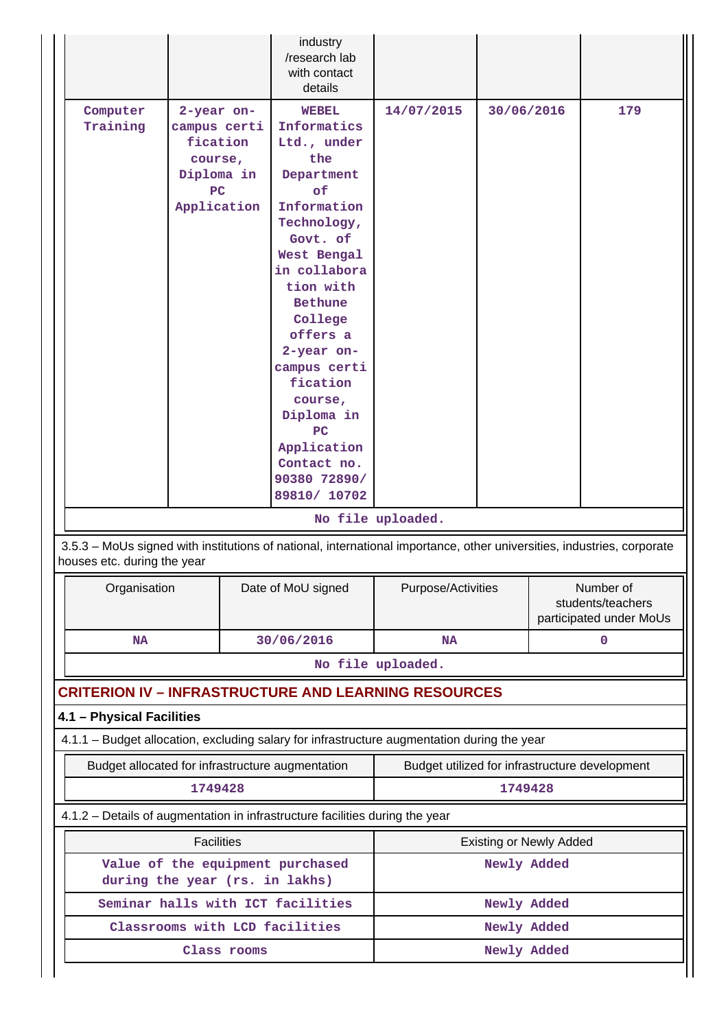|                                                             |                                                                                      |  | industry<br>/research lab<br>with contact<br>details                                                                                                                                                                                                                                                                        |                                                |             |                                |                                                           |
|-------------------------------------------------------------|--------------------------------------------------------------------------------------|--|-----------------------------------------------------------------------------------------------------------------------------------------------------------------------------------------------------------------------------------------------------------------------------------------------------------------------------|------------------------------------------------|-------------|--------------------------------|-----------------------------------------------------------|
| Computer<br>Training                                        | 2-year on-<br>campus certi<br>fication<br>course,<br>Diploma in<br>PC<br>Application |  | <b>WEBEL</b><br>Informatics<br>Ltd., under<br>the<br>Department<br>of<br>Information<br>Technology,<br>Govt. of<br>West Bengal<br>in collabora<br>tion with<br><b>Bethune</b><br>College<br>offers a<br>2-year on-<br>campus certi<br>fication<br>course,<br>Diploma in<br>PC<br>Application<br>Contact no.<br>90380 72890/ | 14/07/2015                                     | 30/06/2016  |                                | 179                                                       |
|                                                             |                                                                                      |  | 89810/ 10702                                                                                                                                                                                                                                                                                                                | No file uploaded.                              |             |                                |                                                           |
| houses etc. during the year                                 |                                                                                      |  | 3.5.3 - MoUs signed with institutions of national, international importance, other universities, industries, corporate                                                                                                                                                                                                      |                                                |             |                                |                                                           |
| Organisation                                                |                                                                                      |  | Date of MoU signed                                                                                                                                                                                                                                                                                                          | Purpose/Activities                             |             |                                | Number of<br>students/teachers<br>participated under MoUs |
| <b>NA</b>                                                   |                                                                                      |  | 30/06/2016                                                                                                                                                                                                                                                                                                                  | NA                                             |             | $\mathbf 0$                    |                                                           |
|                                                             |                                                                                      |  |                                                                                                                                                                                                                                                                                                                             | No file uploaded.                              |             |                                |                                                           |
| <b>CRITERION IV - INFRASTRUCTURE AND LEARNING RESOURCES</b> |                                                                                      |  |                                                                                                                                                                                                                                                                                                                             |                                                |             |                                |                                                           |
|                                                             |                                                                                      |  |                                                                                                                                                                                                                                                                                                                             |                                                |             |                                |                                                           |
| 4.1 - Physical Facilities                                   |                                                                                      |  |                                                                                                                                                                                                                                                                                                                             |                                                |             |                                |                                                           |
| Budget allocated for infrastructure augmentation            |                                                                                      |  | 4.1.1 - Budget allocation, excluding salary for infrastructure augmentation during the year                                                                                                                                                                                                                                 | Budget utilized for infrastructure development |             |                                |                                                           |
|                                                             | 1749428                                                                              |  |                                                                                                                                                                                                                                                                                                                             |                                                | 1749428     |                                |                                                           |
|                                                             |                                                                                      |  | 4.1.2 - Details of augmentation in infrastructure facilities during the year                                                                                                                                                                                                                                                |                                                |             |                                |                                                           |
|                                                             | <b>Facilities</b>                                                                    |  |                                                                                                                                                                                                                                                                                                                             |                                                |             | <b>Existing or Newly Added</b> |                                                           |
| during the year (rs. in lakhs)                              |                                                                                      |  | Value of the equipment purchased                                                                                                                                                                                                                                                                                            |                                                | Newly Added |                                |                                                           |
|                                                             |                                                                                      |  | Seminar halls with ICT facilities                                                                                                                                                                                                                                                                                           |                                                | Newly Added |                                |                                                           |
|                                                             |                                                                                      |  | Classrooms with LCD facilities                                                                                                                                                                                                                                                                                              |                                                | Newly Added |                                |                                                           |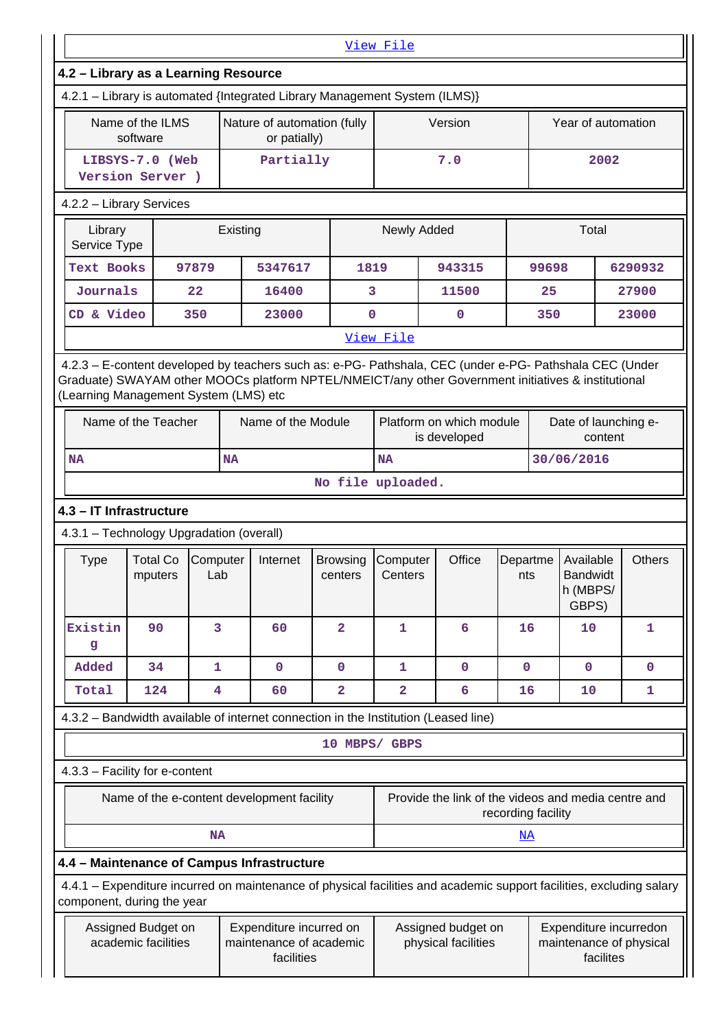|                                                                                                                                              |                                            |                 |          |                                                                  |                            | View File           |                                                                                                                                     |                    |       |                                            |         |                                                   |
|----------------------------------------------------------------------------------------------------------------------------------------------|--------------------------------------------|-----------------|----------|------------------------------------------------------------------|----------------------------|---------------------|-------------------------------------------------------------------------------------------------------------------------------------|--------------------|-------|--------------------------------------------|---------|---------------------------------------------------|
| 4.2 - Library as a Learning Resource                                                                                                         |                                            |                 |          |                                                                  |                            |                     |                                                                                                                                     |                    |       |                                            |         |                                                   |
| 4.2.1 - Library is automated {Integrated Library Management System (ILMS)}                                                                   |                                            |                 |          |                                                                  |                            |                     |                                                                                                                                     |                    |       |                                            |         |                                                   |
| Name of the ILMS<br>software                                                                                                                 |                                            |                 |          | Nature of automation (fully<br>or patially)                      |                            |                     | Version                                                                                                                             |                    |       | Year of automation                         |         |                                                   |
|                                                                                                                                              | LIBSYS-7.0 (Web<br>Version Server )        |                 |          | Partially                                                        |                            |                     | 7.0                                                                                                                                 |                    |       |                                            | 2002    |                                                   |
| 4.2.2 - Library Services                                                                                                                     |                                            |                 |          |                                                                  |                            |                     |                                                                                                                                     |                    |       |                                            |         |                                                   |
| Library<br>Service Type                                                                                                                      |                                            |                 | Existing |                                                                  |                            | Newly Added         |                                                                                                                                     |                    |       | Total                                      |         |                                                   |
| <b>Text Books</b>                                                                                                                            |                                            | 97879           |          | 5347617                                                          | 1819                       |                     | 943315                                                                                                                              |                    | 99698 |                                            |         | 6290932                                           |
| Journals                                                                                                                                     |                                            | 22              |          | 16400                                                            | 3                          |                     | 11500                                                                                                                               |                    | 25    |                                            |         | 27900                                             |
| CD & Video                                                                                                                                   |                                            | 350             |          | 23000                                                            | $\mathbf 0$                |                     | 0                                                                                                                                   |                    | 350   |                                            |         | 23000                                             |
|                                                                                                                                              |                                            |                 |          |                                                                  |                            | View File           |                                                                                                                                     |                    |       |                                            |         |                                                   |
| Graduate) SWAYAM other MOOCs platform NPTEL/NMEICT/any other Government initiatives & institutional<br>(Learning Management System (LMS) etc | Name of the Teacher                        |                 |          | Name of the Module                                               |                            |                     | 4.2.3 - E-content developed by teachers such as: e-PG- Pathshala, CEC (under e-PG- Pathshala CEC (Under<br>Platform on which module |                    |       | Date of launching e-                       |         |                                                   |
|                                                                                                                                              |                                            |                 |          |                                                                  |                            |                     | is developed                                                                                                                        |                    |       |                                            | content |                                                   |
| NA                                                                                                                                           |                                            |                 | NA       |                                                                  |                            | <b>NA</b>           |                                                                                                                                     |                    |       | 30/06/2016                                 |         |                                                   |
|                                                                                                                                              |                                            |                 |          |                                                                  | No file uploaded.          |                     |                                                                                                                                     |                    |       |                                            |         |                                                   |
| 4.3 - IT Infrastructure                                                                                                                      |                                            |                 |          |                                                                  |                            |                     |                                                                                                                                     |                    |       |                                            |         |                                                   |
| 4.3.1 - Technology Upgradation (overall)                                                                                                     |                                            |                 |          |                                                                  |                            |                     |                                                                                                                                     |                    |       |                                            |         |                                                   |
| Type                                                                                                                                         | <b>Total Co</b><br>mputers                 | Computer<br>Lab |          | Internet                                                         | <b>Browsing</b><br>centers | Computer<br>Centers | Office                                                                                                                              | Departme<br>nts    |       | Available<br>Bandwidt<br>h (MBPS/<br>GBPS) |         | <b>Others</b>                                     |
| Existin<br>g                                                                                                                                 | 90                                         | 3               |          | 60                                                               | $\overline{a}$             | $\mathbf{1}$        | 6                                                                                                                                   | 16                 |       | 10                                         |         | 1                                                 |
| Added                                                                                                                                        | 34                                         | 1               |          | $\mathbf 0$                                                      | $\mathbf 0$                | 1                   | $\mathbf 0$                                                                                                                         | $\mathbf 0$        |       | $\mathbf 0$                                |         | 0                                                 |
| Total                                                                                                                                        | 124                                        | 4               |          | 60                                                               | $\overline{a}$             | $\overline{a}$      | 6                                                                                                                                   | 16                 |       | 10                                         |         | 1                                                 |
|                                                                                                                                              |                                            |                 |          |                                                                  |                            |                     | 4.3.2 - Bandwidth available of internet connection in the Institution (Leased line)                                                 |                    |       |                                            |         |                                                   |
|                                                                                                                                              |                                            |                 |          |                                                                  | 10 MBPS/ GBPS              |                     |                                                                                                                                     |                    |       |                                            |         |                                                   |
| 4.3.3 - Facility for e-content                                                                                                               |                                            |                 |          |                                                                  |                            |                     |                                                                                                                                     |                    |       |                                            |         |                                                   |
|                                                                                                                                              | Name of the e-content development facility |                 |          |                                                                  |                            |                     | Provide the link of the videos and media centre and                                                                                 | recording facility |       |                                            |         |                                                   |
|                                                                                                                                              |                                            | <b>NA</b>       |          |                                                                  |                            |                     |                                                                                                                                     | <u>NA</u>          |       |                                            |         |                                                   |
| 4.4 - Maintenance of Campus Infrastructure                                                                                                   |                                            |                 |          |                                                                  |                            |                     |                                                                                                                                     |                    |       |                                            |         |                                                   |
| component, during the year                                                                                                                   |                                            |                 |          |                                                                  |                            |                     | 4.4.1 - Expenditure incurred on maintenance of physical facilities and academic support facilities, excluding salary                |                    |       |                                            |         |                                                   |
|                                                                                                                                              | Assigned Budget on<br>academic facilities  |                 |          | Expenditure incurred on<br>maintenance of academic<br>facilities |                            |                     | Assigned budget on<br>physical facilities                                                                                           |                    |       | facilites                                  |         | Expenditure incurredon<br>maintenance of physical |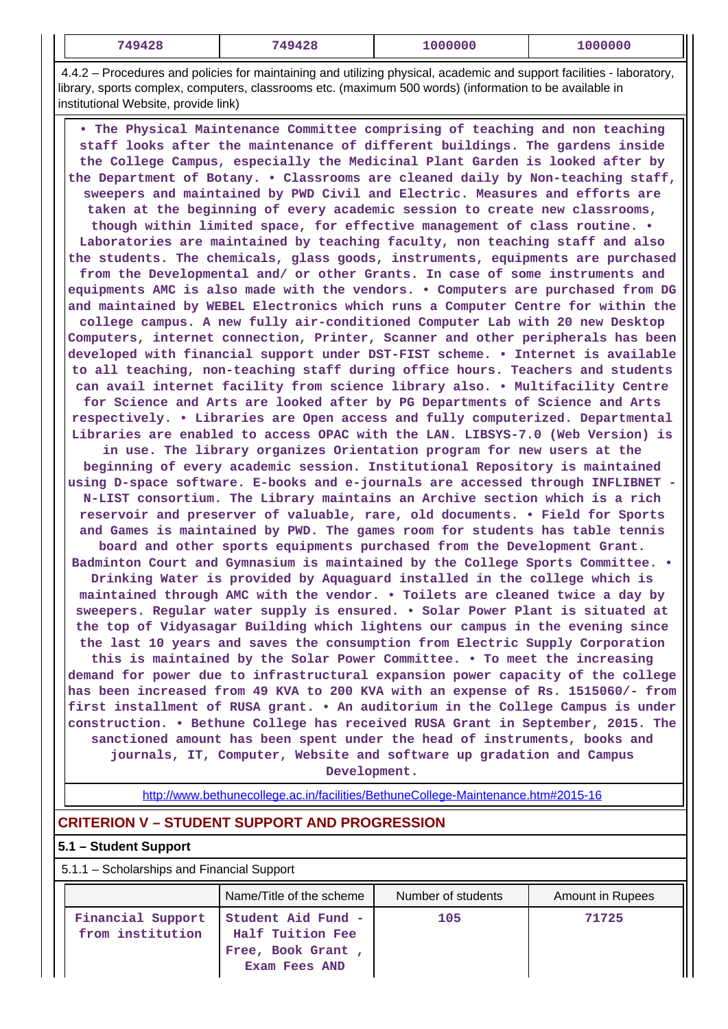|  | 749428<br>_______ | 0 ھ م | $\sim$ $\sim$ $\sim$<br>00000 | 000000 |
|--|-------------------|-------|-------------------------------|--------|
|--|-------------------|-------|-------------------------------|--------|

 4.4.2 – Procedures and policies for maintaining and utilizing physical, academic and support facilities - laboratory, library, sports complex, computers, classrooms etc. (maximum 500 words) (information to be available in institutional Website, provide link)

 **• The Physical Maintenance Committee comprising of teaching and non teaching staff looks after the maintenance of different buildings. The gardens inside the College Campus, especially the Medicinal Plant Garden is looked after by the Department of Botany. • Classrooms are cleaned daily by Non-teaching staff, sweepers and maintained by PWD Civil and Electric. Measures and efforts are taken at the beginning of every academic session to create new classrooms, though within limited space, for effective management of class routine. • Laboratories are maintained by teaching faculty, non teaching staff and also the students. The chemicals, glass goods, instruments, equipments are purchased from the Developmental and/ or other Grants. In case of some instruments and equipments AMC is also made with the vendors. • Computers are purchased from DG and maintained by WEBEL Electronics which runs a Computer Centre for within the college campus. A new fully air-conditioned Computer Lab with 20 new Desktop Computers, internet connection, Printer, Scanner and other peripherals has been developed with financial support under DST-FIST scheme. • Internet is available to all teaching, non-teaching staff during office hours. Teachers and students can avail internet facility from science library also. • Multifacility Centre for Science and Arts are looked after by PG Departments of Science and Arts respectively. • Libraries are Open access and fully computerized. Departmental Libraries are enabled to access OPAC with the LAN. LIBSYS-7.0 (Web Version) is in use. The library organizes Orientation program for new users at the beginning of every academic session. Institutional Repository is maintained using D-space software. E-books and e-journals are accessed through INFLIBNET - N-LIST consortium. The Library maintains an Archive section which is a rich reservoir and preserver of valuable, rare, old documents. • Field for Sports and Games is maintained by PWD. The games room for students has table tennis board and other sports equipments purchased from the Development Grant. Badminton Court and Gymnasium is maintained by the College Sports Committee. • Drinking Water is provided by Aquaguard installed in the college which is maintained through AMC with the vendor. • Toilets are cleaned twice a day by sweepers. Regular water supply is ensured. • Solar Power Plant is situated at the top of Vidyasagar Building which lightens our campus in the evening since the last 10 years and saves the consumption from Electric Supply Corporation this is maintained by the Solar Power Committee. • To meet the increasing demand for power due to infrastructural expansion power capacity of the college has been increased from 49 KVA to 200 KVA with an expense of Rs. 1515060/- from first installment of RUSA grant. • An auditorium in the College Campus is under construction. • Bethune College has received RUSA Grant in September, 2015. The sanctioned amount has been spent under the head of instruments, books and journals, IT, Computer, Website and software up gradation and Campus Development.**

<http://www.bethunecollege.ac.in/facilities/BethuneCollege-Maintenance.htm#2015-16>

## **CRITERION V – STUDENT SUPPORT AND PROGRESSION**

## **5.1 – Student Support**

5.1.1 – Scholarships and Financial Support

|                                       | Name/Title of the scheme                                                     | Number of students | <b>Amount in Rupees</b> |
|---------------------------------------|------------------------------------------------------------------------------|--------------------|-------------------------|
| Financial Support<br>from institution | Student Aid Fund -<br>Half Tuition Fee<br>Free, Book Grant,<br>Exam Fees AND | 105                | 71725                   |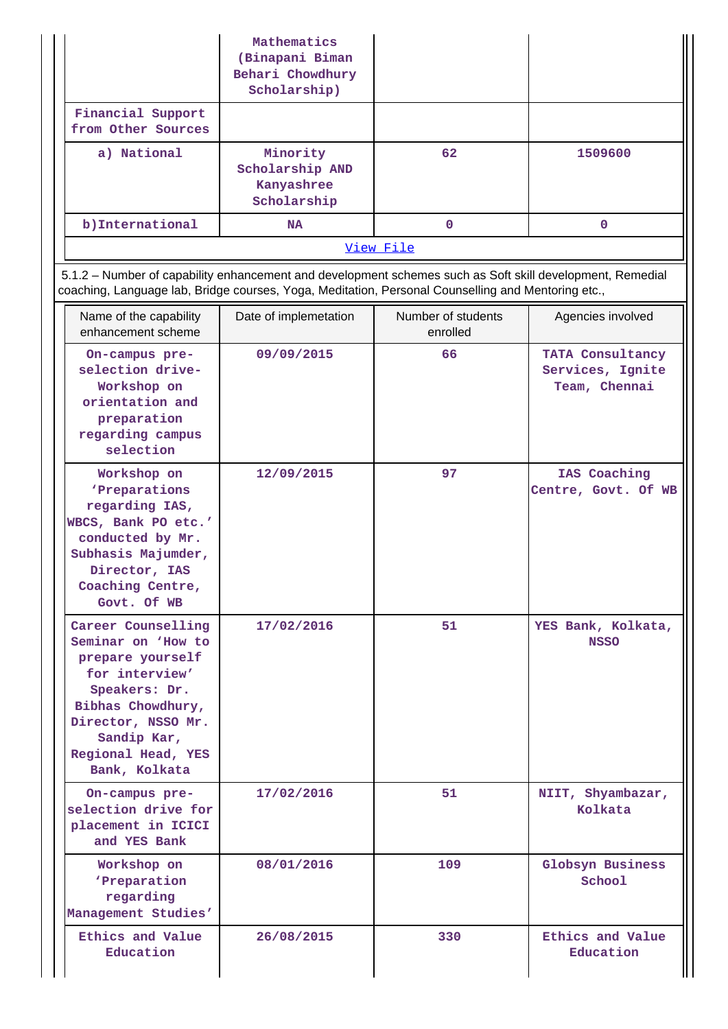|                                                                                                                                                                                                                 | Mathematics<br>(Binapani Biman<br>Behari Chowdhury<br>Scholarship) |                                |                                                       |
|-----------------------------------------------------------------------------------------------------------------------------------------------------------------------------------------------------------------|--------------------------------------------------------------------|--------------------------------|-------------------------------------------------------|
| Financial Support<br>from Other Sources                                                                                                                                                                         |                                                                    |                                |                                                       |
| a) National                                                                                                                                                                                                     | Minority<br>Scholarship AND<br>Kanyashree<br>Scholarship           | 62                             | 1509600                                               |
| b) International                                                                                                                                                                                                | <b>NA</b>                                                          | $\mathbf{0}$                   | $\mathbf{0}$                                          |
|                                                                                                                                                                                                                 |                                                                    | View File                      |                                                       |
| 5.1.2 - Number of capability enhancement and development schemes such as Soft skill development, Remedial<br>coaching, Language lab, Bridge courses, Yoga, Meditation, Personal Counselling and Mentoring etc., |                                                                    |                                |                                                       |
| Name of the capability<br>enhancement scheme                                                                                                                                                                    | Date of implemetation                                              | Number of students<br>enrolled | Agencies involved                                     |
| On-campus pre-<br>selection drive-<br>Workshop on<br>orientation and<br>preparation<br>regarding campus<br>selection                                                                                            | 09/09/2015                                                         | 66                             | TATA Consultancy<br>Services, Ignite<br>Team, Chennai |
| Workshop on<br>'Preparations<br>regarding IAS,<br>WBCS, Bank PO etc.'<br>conducted by Mr.<br>Subhasis Majumder,<br>Director, IAS<br>Coaching Centre,<br>Govt. Of WB                                             | 12/09/2015                                                         | 97                             | IAS Coaching<br>Centre, Govt. Of WB                   |
| Career Counselling<br>Seminar on 'How to<br>prepare yourself<br>for interview'<br>Speakers: Dr.<br>Bibhas Chowdhury,<br>Director, NSSO Mr.<br>Sandip Kar,<br>Regional Head, YES<br>Bank, Kolkata                | 17/02/2016                                                         | 51                             | YES Bank, Kolkata,<br><b>NSSO</b>                     |
| On-campus pre-<br>selection drive for<br>placement in ICICI<br>and YES Bank                                                                                                                                     | 17/02/2016                                                         | 51                             | NIIT, Shyambazar,<br>Kolkata                          |
| Workshop on<br>'Preparation<br>regarding<br>Management Studies'                                                                                                                                                 | 08/01/2016                                                         | 109                            | Globsyn Business<br>School                            |
| Ethics and Value<br>Education                                                                                                                                                                                   | 26/08/2015                                                         | 330                            | Ethics and Value<br>Education                         |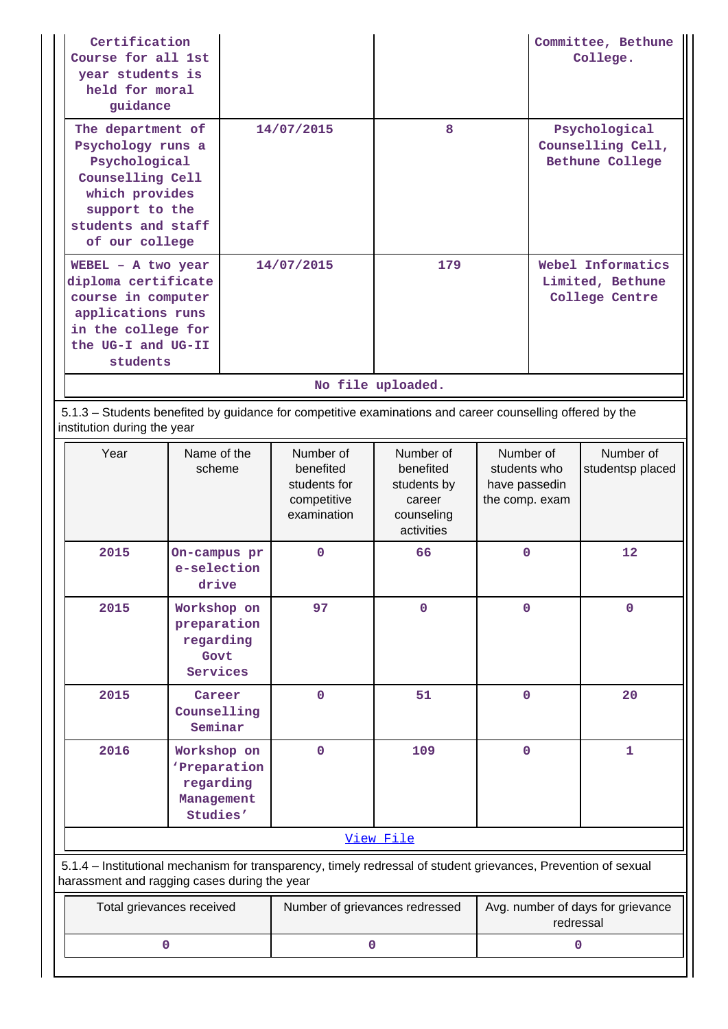| Certification<br>Course for all 1st<br>year students is<br>held for moral<br>guidance                                                                   |            |                   | Committee, Bethune<br>College.                          |
|---------------------------------------------------------------------------------------------------------------------------------------------------------|------------|-------------------|---------------------------------------------------------|
| The department of<br>Psychology runs a<br>Psychological<br>Counselling Cell<br>which provides<br>support to the<br>students and staff<br>of our college | 14/07/2015 | 8                 | Psychological<br>Counselling Cell,<br>Bethune College   |
| $WEBEL - A two year$<br>diploma certificate<br>course in computer<br>applications runs<br>in the college for<br>the UG-I and UG-II<br>students          | 14/07/2015 | 179               | Webel Informatics<br>Limited, Bethune<br>College Centre |
|                                                                                                                                                         |            | No file uploaded. |                                                         |

 5.1.3 – Students benefited by guidance for competitive examinations and career counselling offered by the institution during the year

| Year                                                                                                                                                           | Name of the<br>scheme                                              | Number of<br>benefited<br>students for<br>competitive<br>examination | Number of<br>benefited<br>students by<br>career<br>counseling<br>activities | Number of<br>students who<br>have passedin<br>the comp. exam | Number of<br>studentsp placed |  |
|----------------------------------------------------------------------------------------------------------------------------------------------------------------|--------------------------------------------------------------------|----------------------------------------------------------------------|-----------------------------------------------------------------------------|--------------------------------------------------------------|-------------------------------|--|
| 2015                                                                                                                                                           | On-campus pr<br>e-selection<br>drive                               | $\mathbf 0$                                                          | 66                                                                          | $\mathbf 0$                                                  | 12                            |  |
| 2015                                                                                                                                                           | Workshop on<br>preparation<br>regarding<br>Govt<br>Services        | 97                                                                   | $\mathbf 0$                                                                 | $\mathbf 0$                                                  | $\mathbf 0$                   |  |
| 2015                                                                                                                                                           | Career<br>Counselling<br>Seminar                                   | $\mathbf{0}$                                                         | 51                                                                          | $\mathbf 0$                                                  | 20                            |  |
| 2016                                                                                                                                                           | Workshop on<br>'Preparation<br>regarding<br>Management<br>Studies' | $\mathbf 0$                                                          | 109                                                                         | $\mathbf 0$                                                  | 1                             |  |
|                                                                                                                                                                |                                                                    |                                                                      | View File                                                                   |                                                              |                               |  |
| 5.1.4 – Institutional mechanism for transparency, timely redressal of student grievances, Prevention of sexual<br>harassment and ragging cases during the year |                                                                    |                                                                      |                                                                             |                                                              |                               |  |
|                                                                                                                                                                | Total grievances received                                          | Number of grievances redressed                                       |                                                                             | Avg. number of days for grievance<br>redressal               |                               |  |
|                                                                                                                                                                | 0                                                                  | $\mathbf 0$                                                          |                                                                             | $\mathbf 0$                                                  |                               |  |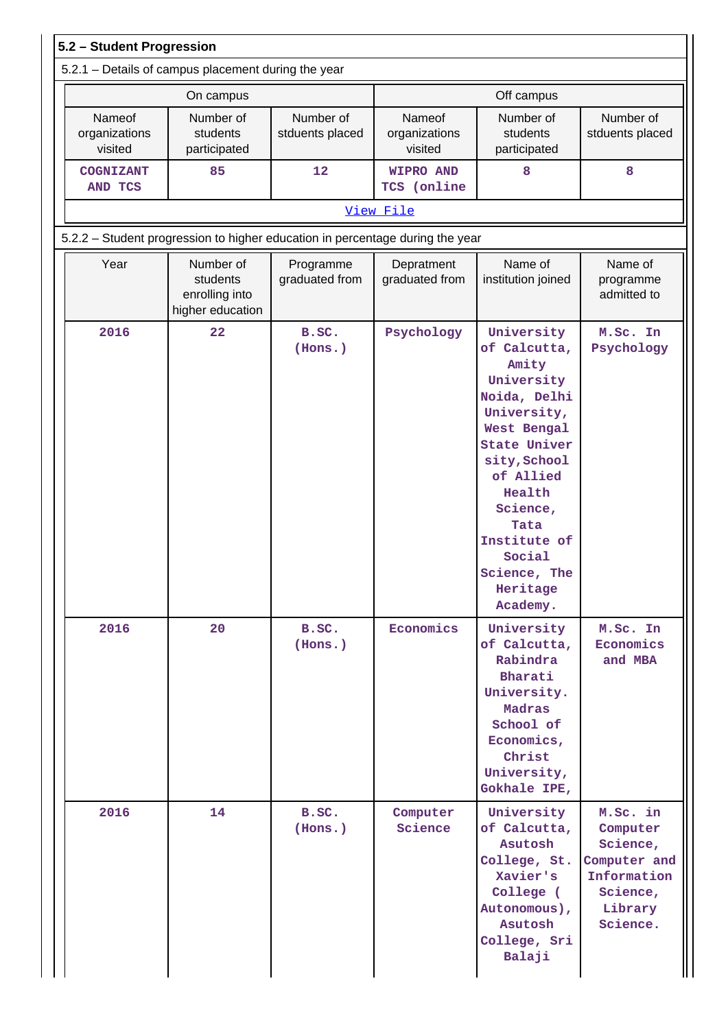|                                                                               | 5.2.1 - Details of campus placement during the year         |                              |                                    |                                                                                                                                                                                                                                                     |                                                                                                    |  |  |  |  |  |
|-------------------------------------------------------------------------------|-------------------------------------------------------------|------------------------------|------------------------------------|-----------------------------------------------------------------------------------------------------------------------------------------------------------------------------------------------------------------------------------------------------|----------------------------------------------------------------------------------------------------|--|--|--|--|--|
|                                                                               | On campus                                                   |                              |                                    | Off campus                                                                                                                                                                                                                                          |                                                                                                    |  |  |  |  |  |
| Nameof<br>organizations<br>visited                                            | Number of<br>students<br>participated                       | Number of<br>stduents placed | Nameof<br>organizations<br>visited | Number of<br>students<br>participated                                                                                                                                                                                                               | Number of<br>stduents placed                                                                       |  |  |  |  |  |
| <b>COGNIZANT</b><br>AND TCS                                                   | 85                                                          | 12                           | <b>WIPRO AND</b><br>TCS (online    | 8                                                                                                                                                                                                                                                   | 8                                                                                                  |  |  |  |  |  |
| View File                                                                     |                                                             |                              |                                    |                                                                                                                                                                                                                                                     |                                                                                                    |  |  |  |  |  |
| 5.2.2 - Student progression to higher education in percentage during the year |                                                             |                              |                                    |                                                                                                                                                                                                                                                     |                                                                                                    |  |  |  |  |  |
| Year                                                                          | Number of<br>students<br>enrolling into<br>higher education | Programme<br>graduated from  | Depratment<br>graduated from       | Name of<br>institution joined                                                                                                                                                                                                                       | Name of<br>programme<br>admitted to                                                                |  |  |  |  |  |
| 2016                                                                          | 22                                                          | B.SC.<br>(Hons.)             | Psychology                         | University<br>of Calcutta,<br>Amity<br>University<br>Noida, Delhi<br>University,<br>West Bengal<br><b>State Univer</b><br>sity, School<br>of Allied<br>Health<br>Science,<br>Tata<br>Institute of<br>Social<br>Science, The<br>Heritage<br>Academy. | M.Sc. In<br>Psychology                                                                             |  |  |  |  |  |
| 2016                                                                          | 20                                                          | B.SC.<br>(Hons.)             | Economics                          | University<br>of Calcutta,<br>Rabindra<br>Bharati<br>University.<br>Madras<br>School of<br>Economics,<br>Christ<br>University,<br>Gokhale IPE,                                                                                                      | M.Sc. In<br>Economics<br>and MBA                                                                   |  |  |  |  |  |
| 2016                                                                          | 14                                                          | B.SC.<br>(Hons.)             | Computer<br>Science                | University<br>of Calcutta,<br>Asutosh<br>College, St.<br>Xavier's<br>College (<br>Autonomous),<br>Asutosh<br>College, Sri<br>Balaji                                                                                                                 | M.Sc. in<br>Computer<br>Science,<br>Computer and<br>Information<br>Science,<br>Library<br>Science. |  |  |  |  |  |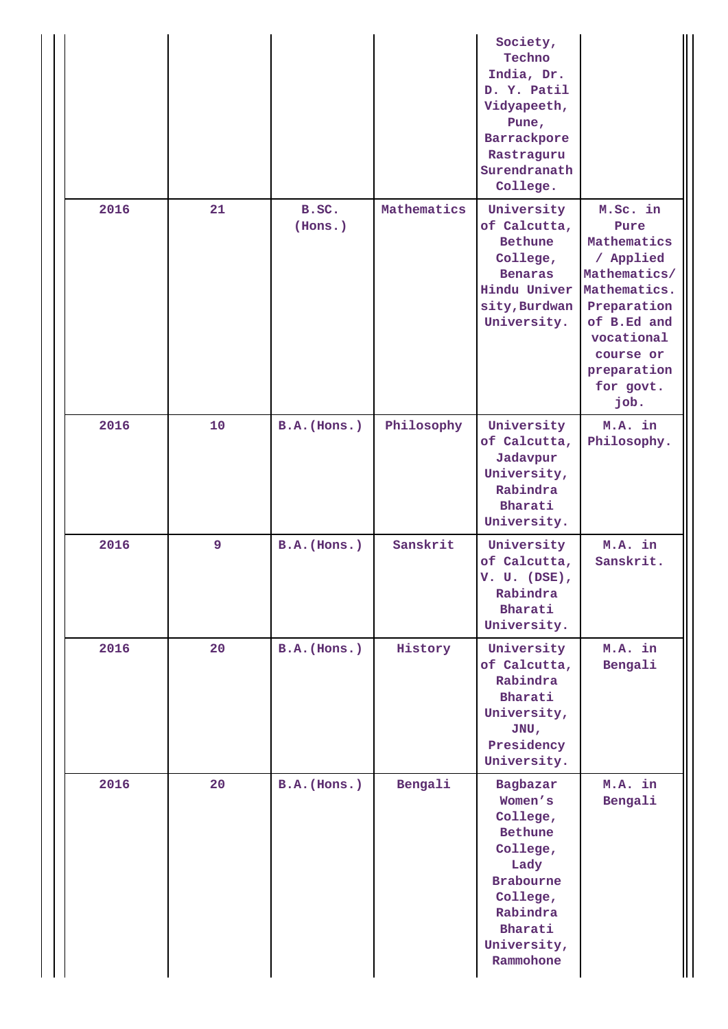|      |    |                  |             | Society,<br>Techno<br>India, Dr.<br>D. Y. Patil<br>Vidyapeeth,<br>Pune,<br>Barrackpore<br>Rastraguru<br>Surendranath<br>College.                         |                                                                                                                                                                           |
|------|----|------------------|-------------|----------------------------------------------------------------------------------------------------------------------------------------------------------|---------------------------------------------------------------------------------------------------------------------------------------------------------------------------|
| 2016 | 21 | B.SC.<br>(Hons.) | Mathematics | University<br>of Calcutta,<br><b>Bethune</b><br>College,<br><b>Benaras</b><br>Hindu Univer<br>sity, Burdwan<br>University.                               | M.Sc. in<br>Pure<br>Mathematics<br>/ Applied<br>Mathematics/<br>Mathematics.<br>Preparation<br>of B.Ed and<br>vocational<br>course or<br>preparation<br>for govt.<br>job. |
| 2016 | 10 | B.A. (Hons.)     | Philosophy  | University<br>of Calcutta,<br>Jadavpur<br>University,<br>Rabindra<br>Bharati<br>University.                                                              | M.A. in<br>Philosophy.                                                                                                                                                    |
| 2016 | 9  | B.A.(Hons.)      | Sanskrit    | University<br>of Calcutta,<br>$V. U. (DSE)$ ,<br>Rabindra<br>Bharati<br>University.                                                                      | M.A. in<br>Sanskrit.                                                                                                                                                      |
| 2016 | 20 | B.A.(Hons.)      | History     | University<br>of Calcutta,<br>Rabindra<br>Bharati<br>University,<br>JNU,<br>Presidency<br>University.                                                    | M.A. in<br>Bengali                                                                                                                                                        |
| 2016 | 20 | $B.A.$ (Hons.)   | Bengali     | Bagbazar<br>Women's<br>College,<br><b>Bethune</b><br>College,<br>Lady<br><b>Brabourne</b><br>College,<br>Rabindra<br>Bharati<br>University,<br>Rammohone | M.A. in<br>Bengali                                                                                                                                                        |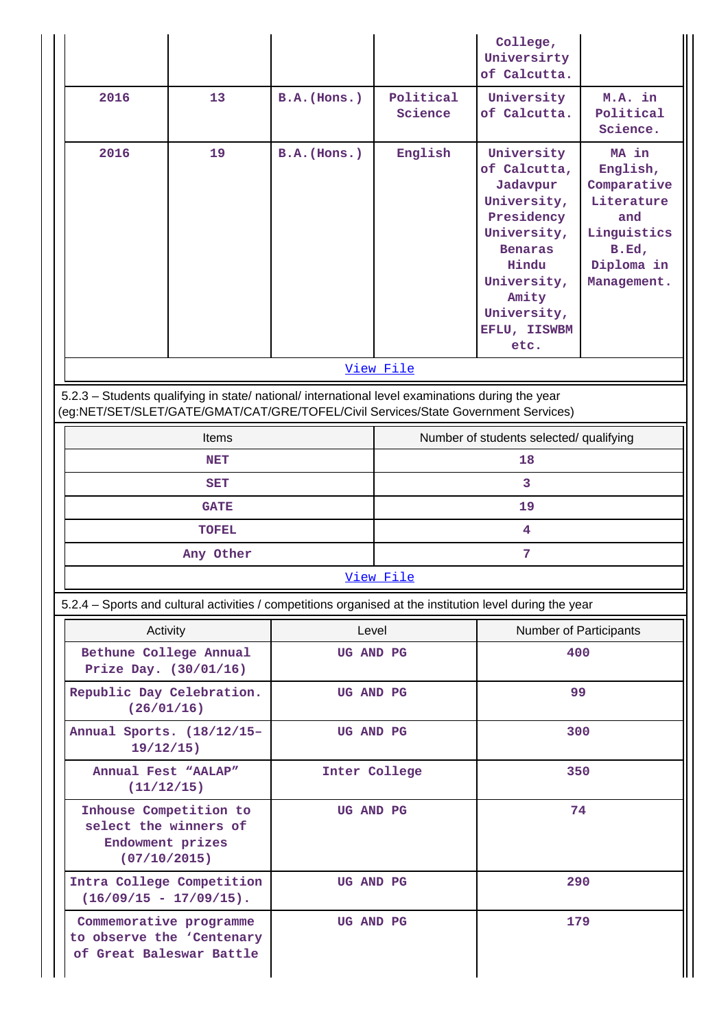|                                                                                                                                                                                        |              |                |                                         | College,<br>Universirty<br>of Calcutta.                                                                                                                                      |                                                                                                            |  |  |
|----------------------------------------------------------------------------------------------------------------------------------------------------------------------------------------|--------------|----------------|-----------------------------------------|------------------------------------------------------------------------------------------------------------------------------------------------------------------------------|------------------------------------------------------------------------------------------------------------|--|--|
| 2016<br>13                                                                                                                                                                             |              | B.A.(Hons.)    | Political<br>Science                    | University<br>of Calcutta.                                                                                                                                                   | M.A. in<br>Political<br>Science.                                                                           |  |  |
| 2016                                                                                                                                                                                   | 19           | $B.A.$ (Hons.) | English                                 | University<br>of Calcutta,<br>Jadavpur<br>University,<br>Presidency<br>University,<br><b>Benaras</b><br>Hindu<br>University,<br>Amity<br>University,<br>EFLU, IISWBM<br>etc. | MA in<br>English,<br>Comparative<br>Literature<br>and<br>Linguistics<br>B.Ed,<br>Diploma in<br>Management. |  |  |
|                                                                                                                                                                                        |              |                | View File                               |                                                                                                                                                                              |                                                                                                            |  |  |
| 5.2.3 - Students qualifying in state/ national/ international level examinations during the year<br>(eg:NET/SET/SLET/GATE/GMAT/CAT/GRE/TOFEL/Civil Services/State Government Services) |              |                |                                         |                                                                                                                                                                              |                                                                                                            |  |  |
| Items                                                                                                                                                                                  |              |                | Number of students selected/ qualifying |                                                                                                                                                                              |                                                                                                            |  |  |
| <b>NET</b>                                                                                                                                                                             |              |                | 18                                      |                                                                                                                                                                              |                                                                                                            |  |  |
| <b>SET</b>                                                                                                                                                                             |              |                | 3                                       |                                                                                                                                                                              |                                                                                                            |  |  |
| <b>GATE</b>                                                                                                                                                                            |              |                | 19                                      |                                                                                                                                                                              |                                                                                                            |  |  |
|                                                                                                                                                                                        | <b>TOFEL</b> |                | 4                                       |                                                                                                                                                                              |                                                                                                            |  |  |
|                                                                                                                                                                                        | Any Other    |                |                                         | 7                                                                                                                                                                            |                                                                                                            |  |  |
|                                                                                                                                                                                        |              |                | View File                               |                                                                                                                                                                              |                                                                                                            |  |  |
| 5.2.4 - Sports and cultural activities / competitions organised at the institution level during the year                                                                               |              |                |                                         |                                                                                                                                                                              |                                                                                                            |  |  |
| Activity                                                                                                                                                                               |              | Level          |                                         | Number of Participants                                                                                                                                                       |                                                                                                            |  |  |
| Bethune College Annual<br>Prize Day. (30/01/16)                                                                                                                                        |              | UG AND PG      |                                         | 400                                                                                                                                                                          |                                                                                                            |  |  |
| Republic Day Celebration.<br>(26/01/16)                                                                                                                                                |              | UG AND PG      |                                         | 99                                                                                                                                                                           |                                                                                                            |  |  |
| Annual Sports. (18/12/15-<br>$19/12/15$ )                                                                                                                                              |              |                | UG AND PG                               |                                                                                                                                                                              | 300                                                                                                        |  |  |
| Annual Fest "AALAP"<br>(11/12/15)                                                                                                                                                      |              |                | Inter College                           | 350                                                                                                                                                                          |                                                                                                            |  |  |
| Inhouse Competition to<br>select the winners of<br>Endowment prizes<br>(07/10/2015)                                                                                                    |              | UG AND PG      |                                         | 74                                                                                                                                                                           |                                                                                                            |  |  |
| Intra College Competition<br>$(16/09/15 - 17/09/15)$ .                                                                                                                                 |              | UG AND PG      |                                         | 290                                                                                                                                                                          |                                                                                                            |  |  |
| Commemorative programme<br>to observe the 'Centenary<br>of Great Baleswar Battle                                                                                                       |              | UG AND PG      |                                         | 179                                                                                                                                                                          |                                                                                                            |  |  |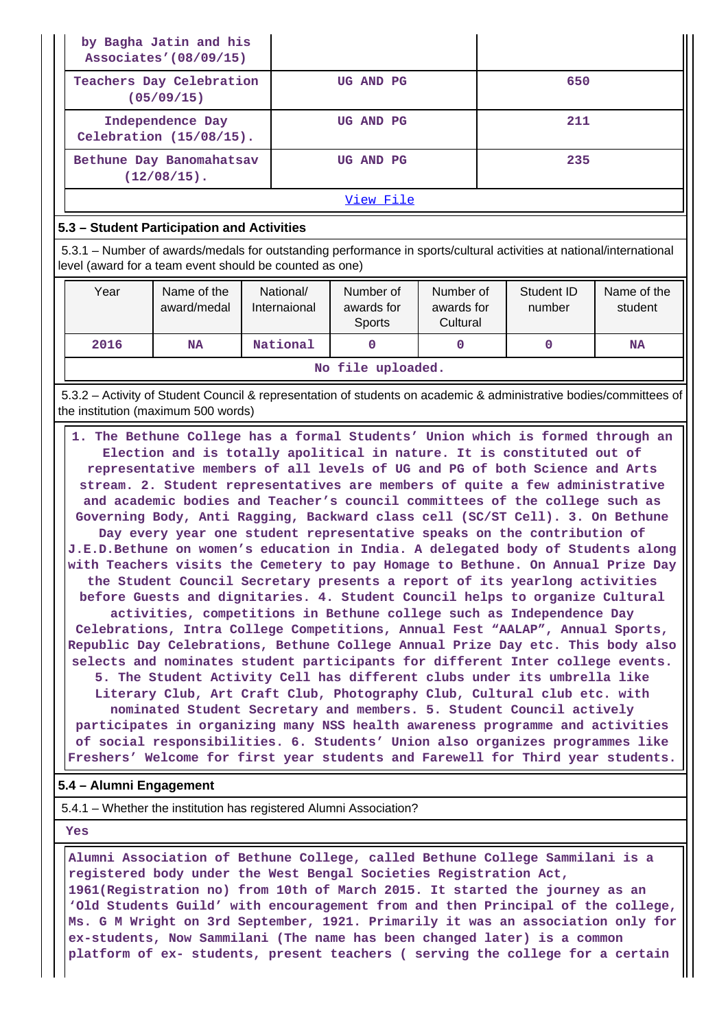| by Bagha Jatin and his<br>Associates' (08/09/15) |           |     |
|--------------------------------------------------|-----------|-----|
| Teachers Day Celebration<br>(05/09/15)           | UG AND PG | 650 |
| Independence Day<br>Celebration $(15/08/15)$ .   | UG AND PG | 211 |
| Bethune Day Banomahatsav<br>$(12/08/15)$ .       | UG AND PG | 235 |
|                                                  |           |     |

#### [View File](https://assessmentonline.naac.gov.in/public/Postacc/Activities_Organised/6149_Activities_Organised_1598881834.xlsx)

### **5.3 – Student Participation and Activities**

 5.3.1 – Number of awards/medals for outstanding performance in sports/cultural activities at national/international level (award for a team event should be counted as one)

| Year              | Name of the<br>award/medal | National/<br>Internaional | Number of<br>awards for<br><b>Sports</b> | Number of<br>awards for<br>Cultural | Student ID<br>number | Name of the<br>student |  |  |
|-------------------|----------------------------|---------------------------|------------------------------------------|-------------------------------------|----------------------|------------------------|--|--|
| 2016              | National<br><b>NA</b>      |                           |                                          |                                     |                      | <b>NA</b>              |  |  |
| No file uploaded. |                            |                           |                                          |                                     |                      |                        |  |  |

 5.3.2 – Activity of Student Council & representation of students on academic & administrative bodies/committees of the institution (maximum 500 words)

| 1. The Bethune College has a formal Students' Union which is formed through an<br>Election and is totally apolitical in nature. It is constituted out of<br>representative members of all levels of UG and PG of both Science and Arts |
|----------------------------------------------------------------------------------------------------------------------------------------------------------------------------------------------------------------------------------------|
| stream. 2. Student representatives are members of quite a few administrative                                                                                                                                                           |
| and academic bodies and Teacher's council committees of the college such as                                                                                                                                                            |
| Governing Body, Anti Ragging, Backward class cell (SC/ST Cell). 3. On Bethune                                                                                                                                                          |
| Day every year one student representative speaks on the contribution of                                                                                                                                                                |
| J.E.D.Bethune on women's education in India. A delegated body of Students along                                                                                                                                                        |
| with Teachers visits the Cemetery to pay Homage to Bethune. On Annual Prize Day                                                                                                                                                        |
| the Student Council Secretary presents a report of its yearlong activities                                                                                                                                                             |
| before Guests and dignitaries. 4. Student Council helps to organize Cultural                                                                                                                                                           |
| activities, competitions in Bethune college such as Independence Day                                                                                                                                                                   |
| Celebrations, Intra College Competitions, Annual Fest "AALAP", Annual Sports,                                                                                                                                                          |
| Republic Day Celebrations, Bethune College Annual Prize Day etc. This body also                                                                                                                                                        |
| selects and nominates student participants for different Inter college events.                                                                                                                                                         |
| 5. The Student Activity Cell has different clubs under its umbrella like                                                                                                                                                               |
| Literary Club, Art Craft Club, Photography Club, Cultural club etc. with                                                                                                                                                               |
| nominated Student Secretary and members. 5. Student Council actively                                                                                                                                                                   |
| participates in organizing many NSS health awareness programme and activities                                                                                                                                                          |
| of social responsibilities. 6. Students' Union also organizes programmes like                                                                                                                                                          |
| Freshers' Welcome for first year students and Farewell for Third year students.                                                                                                                                                        |

#### **5.4 – Alumni Engagement**

5.4.1 – Whether the institution has registered Alumni Association?

 **Yes**

 **Alumni Association of Bethune College, called Bethune College Sammilani is a registered body under the West Bengal Societies Registration Act, 1961(Registration no) from 10th of March 2015. It started the journey as an 'Old Students Guild' with encouragement from and then Principal of the college, Ms. G M Wright on 3rd September, 1921. Primarily it was an association only for ex-students, Now Sammilani (The name has been changed later) is a common platform of ex- students, present teachers ( serving the college for a certain**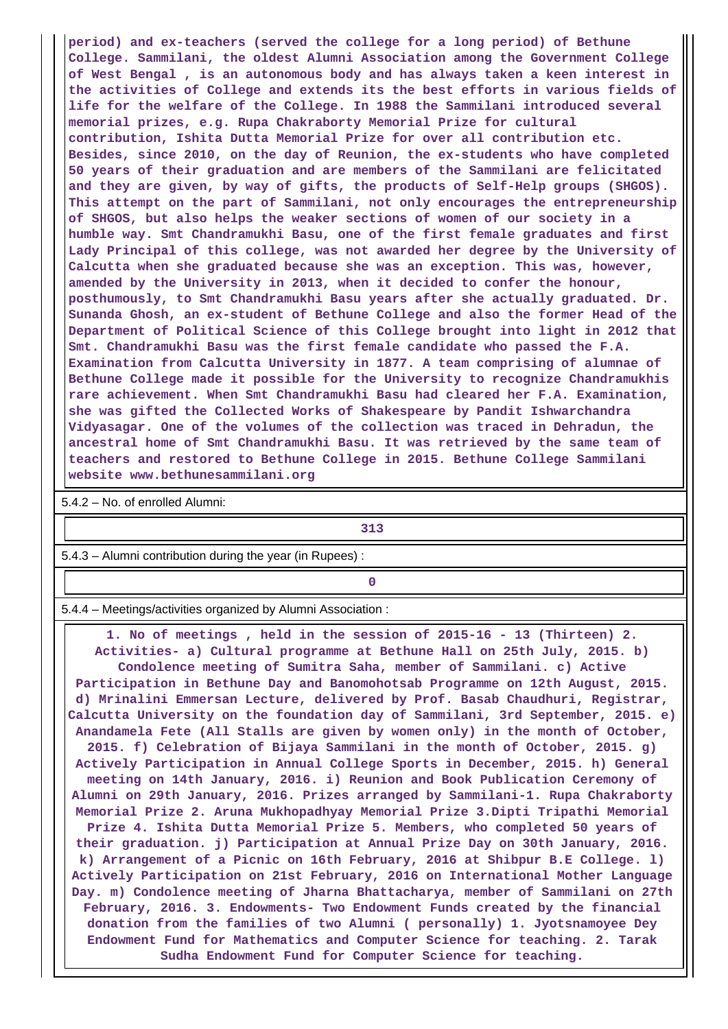**period) and ex-teachers (served the college for a long period) of Bethune College. Sammilani, the oldest Alumni Association among the Government College of West Bengal , is an autonomous body and has always taken a keen interest in the activities of College and extends its the best efforts in various fields of life for the welfare of the College. In 1988 the Sammilani introduced several memorial prizes, e.g. Rupa Chakraborty Memorial Prize for cultural contribution, Ishita Dutta Memorial Prize for over all contribution etc. Besides, since 2010, on the day of Reunion, the ex-students who have completed 50 years of their graduation and are members of the Sammilani are felicitated and they are given, by way of gifts, the products of Self-Help groups (SHGOS). This attempt on the part of Sammilani, not only encourages the entrepreneurship of SHGOS, but also helps the weaker sections of women of our society in a humble way. Smt Chandramukhi Basu, one of the first female graduates and first Lady Principal of this college, was not awarded her degree by the University of Calcutta when she graduated because she was an exception. This was, however, amended by the University in 2013, when it decided to confer the honour, posthumously, to Smt Chandramukhi Basu years after she actually graduated. Dr. Sunanda Ghosh, an ex-student of Bethune College and also the former Head of the Department of Political Science of this College brought into light in 2012 that Smt. Chandramukhi Basu was the first female candidate who passed the F.A. Examination from Calcutta University in 1877. A team comprising of alumnae of Bethune College made it possible for the University to recognize Chandramukhis rare achievement. When Smt Chandramukhi Basu had cleared her F.A. Examination, she was gifted the Collected Works of Shakespeare by Pandit Ishwarchandra Vidyasagar. One of the volumes of the collection was traced in Dehradun, the ancestral home of Smt Chandramukhi Basu. It was retrieved by the same team of teachers and restored to Bethune College in 2015. Bethune College Sammilani website www.bethunesammilani.org**

5.4.2 – No. of enrolled Alumni:

**313** 

5.4.3 – Alumni contribution during the year (in Rupees) :

**0**

5.4.4 – Meetings/activities organized by Alumni Association :

 **1. No of meetings , held in the session of 2015-16 - 13 (Thirteen) 2. Activities- a) Cultural programme at Bethune Hall on 25th July, 2015. b) Condolence meeting of Sumitra Saha, member of Sammilani. c) Active Participation in Bethune Day and Banomohotsab Programme on 12th August, 2015. d) Mrinalini Emmersan Lecture, delivered by Prof. Basab Chaudhuri, Registrar, Calcutta University on the foundation day of Sammilani, 3rd September, 2015. e) Anandamela Fete (All Stalls are given by women only) in the month of October, 2015. f) Celebration of Bijaya Sammilani in the month of October, 2015. g) Actively Participation in Annual College Sports in December, 2015. h) General meeting on 14th January, 2016. i) Reunion and Book Publication Ceremony of Alumni on 29th January, 2016. Prizes arranged by Sammilani-1. Rupa Chakraborty Memorial Prize 2. Aruna Mukhopadhyay Memorial Prize 3.Dipti Tripathi Memorial Prize 4. Ishita Dutta Memorial Prize 5. Members, who completed 50 years of their graduation. j) Participation at Annual Prize Day on 30th January, 2016. k) Arrangement of a Picnic on 16th February, 2016 at Shibpur B.E College. l) Actively Participation on 21st February, 2016 on International Mother Language Day. m) Condolence meeting of Jharna Bhattacharya, member of Sammilani on 27th February, 2016. 3. Endowments- Two Endowment Funds created by the financial donation from the families of two Alumni ( personally) 1. Jyotsnamoyee Dey Endowment Fund for Mathematics and Computer Science for teaching. 2. Tarak Sudha Endowment Fund for Computer Science for teaching.**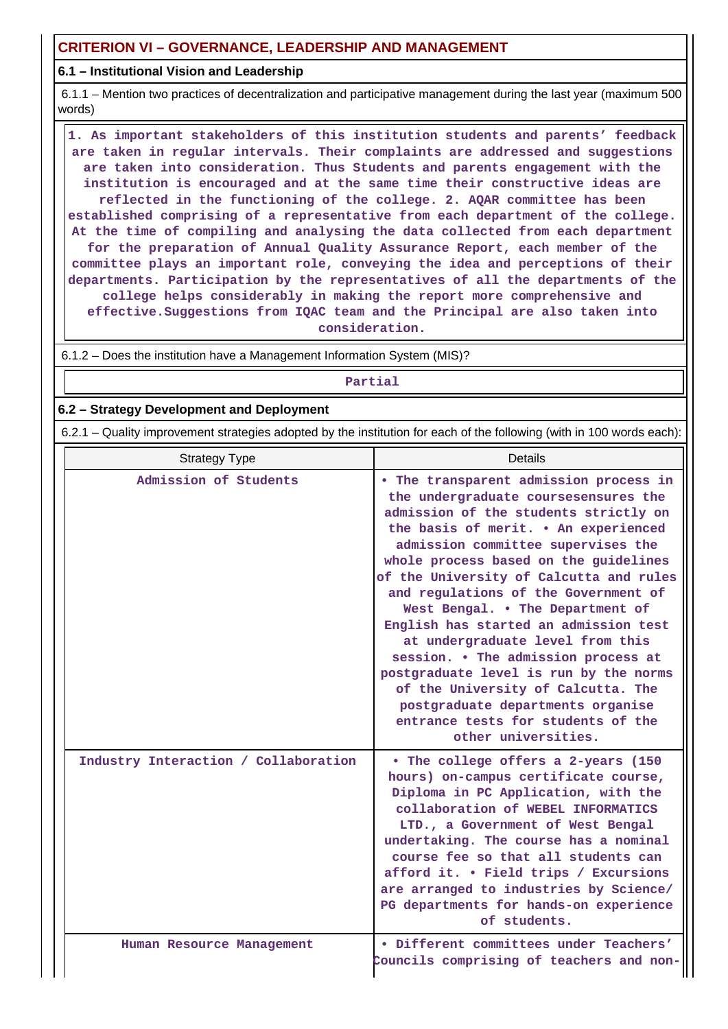# **CRITERION VI – GOVERNANCE, LEADERSHIP AND MANAGEMENT**

#### **6.1 – Institutional Vision and Leadership**

 6.1.1 – Mention two practices of decentralization and participative management during the last year (maximum 500 words)

 **1. As important stakeholders of this institution students and parents' feedback are taken in regular intervals. Their complaints are addressed and suggestions are taken into consideration. Thus Students and parents engagement with the institution is encouraged and at the same time their constructive ideas are reflected in the functioning of the college. 2. AQAR committee has been established comprising of a representative from each department of the college. At the time of compiling and analysing the data collected from each department for the preparation of Annual Quality Assurance Report, each member of the committee plays an important role, conveying the idea and perceptions of their departments. Participation by the representatives of all the departments of the college helps considerably in making the report more comprehensive and effective.Suggestions from IQAC team and the Principal are also taken into consideration.**

6.1.2 – Does the institution have a Management Information System (MIS)?

**Partial**

#### **6.2 – Strategy Development and Deployment**

6.2.1 – Quality improvement strategies adopted by the institution for each of the following (with in 100 words each):

| <b>Strategy Type</b>                 | Details                                                                                                                                                                                                                                                                                                                                                                                                                                                                                                                                                                                                                                                                     |  |  |  |  |
|--------------------------------------|-----------------------------------------------------------------------------------------------------------------------------------------------------------------------------------------------------------------------------------------------------------------------------------------------------------------------------------------------------------------------------------------------------------------------------------------------------------------------------------------------------------------------------------------------------------------------------------------------------------------------------------------------------------------------------|--|--|--|--|
| Admission of Students                | • The transparent admission process in<br>the undergraduate coursesensures the<br>admission of the students strictly on<br>the basis of merit. . An experienced<br>admission committee supervises the<br>whole process based on the guidelines<br>of the University of Calcutta and rules<br>and regulations of the Government of<br>West Bengal. . The Department of<br>English has started an admission test<br>at undergraduate level from this<br>session. . The admission process at<br>postgraduate level is run by the norms<br>of the University of Calcutta. The<br>postgraduate departments organise<br>entrance tests for students of the<br>other universities. |  |  |  |  |
| Industry Interaction / Collaboration | • The college offers a 2-years (150<br>hours) on-campus certificate course,<br>Diploma in PC Application, with the<br>collaboration of WEBEL INFORMATICS<br>LTD., a Government of West Bengal<br>undertaking. The course has a nominal<br>course fee so that all students can<br>afford it. • Field trips / Excursions<br>are arranged to industries by Science/<br>PG departments for hands-on experience<br>of students.                                                                                                                                                                                                                                                  |  |  |  |  |
| Human Resource Management            | · Different committees under Teachers'<br>Councils comprising of teachers and non-                                                                                                                                                                                                                                                                                                                                                                                                                                                                                                                                                                                          |  |  |  |  |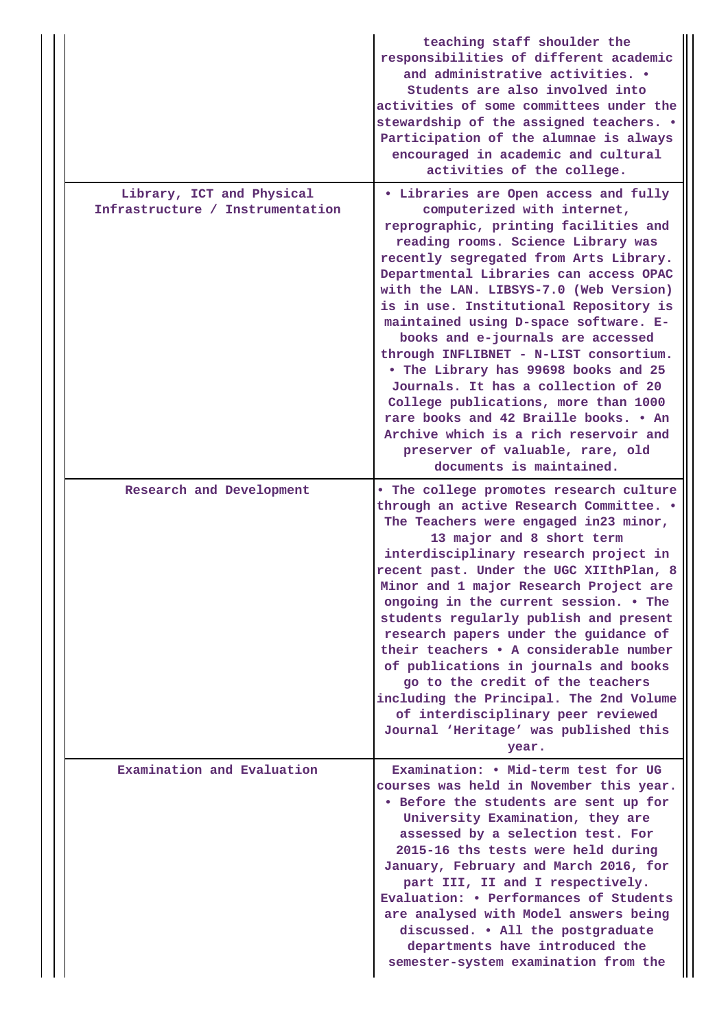|                                                               | teaching staff shoulder the<br>responsibilities of different academic<br>and administrative activities. .<br>Students are also involved into<br>activities of some committees under the<br>stewardship of the assigned teachers. .<br>Participation of the alumnae is always<br>encouraged in academic and cultural<br>activities of the college.                                                                                                                                                                                                                                                                                                                                                                            |
|---------------------------------------------------------------|------------------------------------------------------------------------------------------------------------------------------------------------------------------------------------------------------------------------------------------------------------------------------------------------------------------------------------------------------------------------------------------------------------------------------------------------------------------------------------------------------------------------------------------------------------------------------------------------------------------------------------------------------------------------------------------------------------------------------|
| Library, ICT and Physical<br>Infrastructure / Instrumentation | • Libraries are Open access and fully<br>computerized with internet,<br>reprographic, printing facilities and<br>reading rooms. Science Library was<br>recently segregated from Arts Library.<br>Departmental Libraries can access OPAC<br>with the LAN. LIBSYS-7.0 (Web Version)<br>is in use. Institutional Repository is<br>maintained using D-space software. E-<br>books and e-journals are accessed<br>through INFLIBNET - N-LIST consortium.<br>• The Library has 99698 books and 25<br>Journals. It has a collection of 20<br>College publications, more than 1000<br>rare books and 42 Braille books. . An<br>Archive which is a rich reservoir and<br>preserver of valuable, rare, old<br>documents is maintained. |
| Research and Development                                      | . The college promotes research culture<br>through an active Research Committee. .<br>The Teachers were engaged in23 minor,<br>13 major and 8 short term<br>interdisciplinary research project in<br>recent past. Under the UGC XIIthPlan, 8<br>Minor and 1 major Research Project are<br>ongoing in the current session. . The<br>students regularly publish and present<br>research papers under the guidance of<br>their teachers . A considerable number<br>of publications in journals and books<br>go to the credit of the teachers<br>including the Principal. The 2nd Volume<br>of interdisciplinary peer reviewed<br>Journal 'Heritage' was published this<br>year.                                                 |
| Examination and Evaluation                                    | Examination: . Mid-term test for UG<br>courses was held in November this year.<br>. Before the students are sent up for<br>University Examination, they are<br>assessed by a selection test. For<br>2015-16 ths tests were held during<br>January, February and March 2016, for<br>part III, II and I respectively.<br>Evaluation: • Performances of Students<br>are analysed with Model answers being<br>discussed. . All the postgraduate<br>departments have introduced the<br>semester-system examination from the                                                                                                                                                                                                       |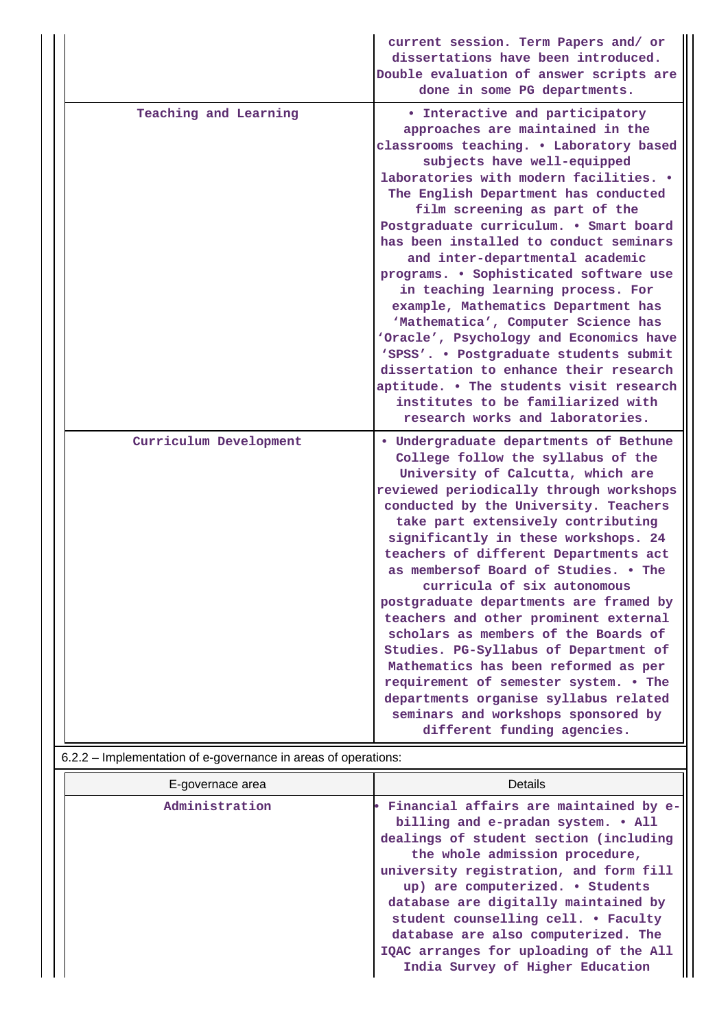|                                                                | current session. Term Papers and/ or<br>dissertations have been introduced.<br>Double evaluation of answer scripts are<br>done in some PG departments.                                                                                                                                                                                                                                                                                                                                                                                                                                                                                                                                                                                                                                                   |
|----------------------------------------------------------------|----------------------------------------------------------------------------------------------------------------------------------------------------------------------------------------------------------------------------------------------------------------------------------------------------------------------------------------------------------------------------------------------------------------------------------------------------------------------------------------------------------------------------------------------------------------------------------------------------------------------------------------------------------------------------------------------------------------------------------------------------------------------------------------------------------|
| Teaching and Learning                                          | • Interactive and participatory<br>approaches are maintained in the<br>classrooms teaching. . Laboratory based<br>subjects have well-equipped<br>laboratories with modern facilities. .<br>The English Department has conducted<br>film screening as part of the<br>Postgraduate curriculum. . Smart board<br>has been installed to conduct seminars<br>and inter-departmental academic<br>programs. . Sophisticated software use<br>in teaching learning process. For<br>example, Mathematics Department has<br>'Mathematica', Computer Science has<br>'Oracle', Psychology and Economics have<br>'SPSS'. . Postgraduate students submit<br>dissertation to enhance their research<br>aptitude. . The students visit research<br>institutes to be familiarized with<br>research works and laboratories. |
| Curriculum Development                                         | · Undergraduate departments of Bethune<br>College follow the syllabus of the<br>University of Calcutta, which are<br>reviewed periodically through workshops<br>conducted by the University. Teachers<br>take part extensively contributing<br>significantly in these workshops. 24<br>teachers of different Departments act<br>as membersof Board of Studies. . The<br>curricula of six autonomous<br>postgraduate departments are framed by<br>teachers and other prominent external<br>scholars as members of the Boards of<br>Studies. PG-Syllabus of Department of<br>Mathematics has been reformed as per<br>requirement of semester system. . The<br>departments organise syllabus related<br>seminars and workshops sponsored by<br>different funding agencies.                                  |
| 6.2.2 - Implementation of e-governance in areas of operations: |                                                                                                                                                                                                                                                                                                                                                                                                                                                                                                                                                                                                                                                                                                                                                                                                          |
|                                                                | Dotaile                                                                                                                                                                                                                                                                                                                                                                                                                                                                                                                                                                                                                                                                                                                                                                                                  |

| E-governace area | Details                                                                                                                                                                                                                                                                                                                                                                                                                                    |  |  |  |  |
|------------------|--------------------------------------------------------------------------------------------------------------------------------------------------------------------------------------------------------------------------------------------------------------------------------------------------------------------------------------------------------------------------------------------------------------------------------------------|--|--|--|--|
| Administration   | Financial affairs are maintained by e-<br>billing and e-pradan system. . All<br>dealings of student section (including<br>the whole admission procedure,<br>university registration, and form fill<br>up) are computerized. • Students<br>database are digitally maintained by<br>student counselling cell. . Faculty<br>database are also computerized. The<br>IQAC arranges for uploading of the All<br>India Survey of Higher Education |  |  |  |  |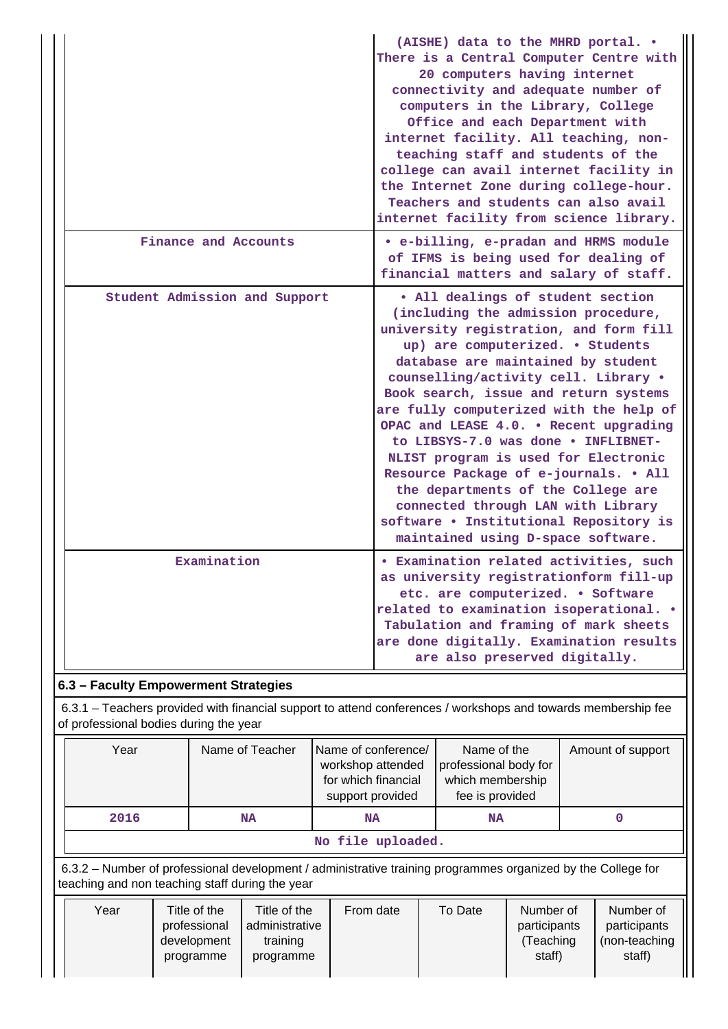|                                      | (AISHE) data to the MHRD portal. .<br>There is a Central Computer Centre with<br>20 computers having internet<br>connectivity and adequate number of<br>computers in the Library, College<br>Office and each Department with<br>internet facility. All teaching, non-<br>teaching staff and students of the<br>college can avail internet facility in<br>the Internet Zone during college-hour.<br>Teachers and students can also avail<br>internet facility from science library.                                                                                                                                                                     |  |  |  |  |  |  |
|--------------------------------------|--------------------------------------------------------------------------------------------------------------------------------------------------------------------------------------------------------------------------------------------------------------------------------------------------------------------------------------------------------------------------------------------------------------------------------------------------------------------------------------------------------------------------------------------------------------------------------------------------------------------------------------------------------|--|--|--|--|--|--|
| Finance and Accounts                 | • e-billing, e-pradan and HRMS module<br>of IFMS is being used for dealing of<br>financial matters and salary of staff.                                                                                                                                                                                                                                                                                                                                                                                                                                                                                                                                |  |  |  |  |  |  |
| Student Admission and Support        | . All dealings of student section<br>(including the admission procedure,<br>university registration, and form fill<br>up) are computerized. . Students<br>database are maintained by student<br>counselling/activity cell. Library .<br>Book search, issue and return systems<br>are fully computerized with the help of<br>OPAC and LEASE 4.0. . Recent upgrading<br>to LIBSYS-7.0 was done . INFLIBNET-<br>NLIST program is used for Electronic<br>Resource Package of e-journals. . All<br>the departments of the College are<br>connected through LAN with Library<br>software . Institutional Repository is<br>maintained using D-space software. |  |  |  |  |  |  |
| Examination                          | <b>• Examination related activities, such</b><br>as university registrationform fill-up<br>etc. are computerized. . Software<br>related to examination isoperational. .<br>Tabulation and framing of mark sheets<br>are done digitally. Examination results<br>are also preserved digitally.                                                                                                                                                                                                                                                                                                                                                           |  |  |  |  |  |  |
| 6.3 - Faculty Empowerment Strategies |                                                                                                                                                                                                                                                                                                                                                                                                                                                                                                                                                                                                                                                        |  |  |  |  |  |  |

 6.3.1 – Teachers provided with financial support to attend conferences / workshops and towards membership fee of professional bodies during the year

| Year                                            |                                                          | Name of Teacher                                         | Name of conference/<br>workshop attended<br>for which financial<br>support provided                          | Name of the<br>professional body for<br>which membership<br>fee is provided |                                                  | Amount of support |                                                      |
|-------------------------------------------------|----------------------------------------------------------|---------------------------------------------------------|--------------------------------------------------------------------------------------------------------------|-----------------------------------------------------------------------------|--------------------------------------------------|-------------------|------------------------------------------------------|
| 2016                                            |                                                          | <b>NA</b>                                               | <b>NA</b>                                                                                                    | <b>NA</b>                                                                   |                                                  |                   |                                                      |
| No file uploaded.                               |                                                          |                                                         |                                                                                                              |                                                                             |                                                  |                   |                                                      |
| teaching and non teaching staff during the year |                                                          |                                                         | 6.3.2 – Number of professional development / administrative training programmes organized by the College for |                                                                             |                                                  |                   |                                                      |
| Year                                            | Title of the<br>professional<br>development<br>programme | Title of the<br>administrative<br>training<br>programme | From date                                                                                                    | To Date                                                                     | Number of<br>participants<br>(Teaching<br>staff) |                   | Number of<br>participants<br>(non-teaching<br>staff) |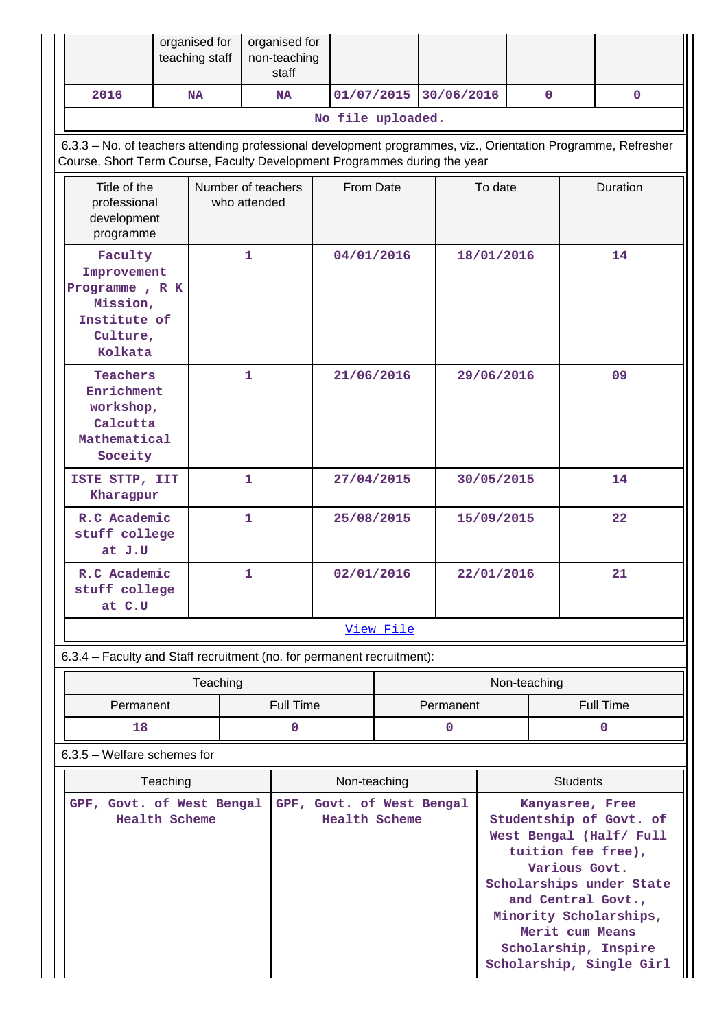|                                                                                                                                                                                            | organised for<br>teaching staff                                                                |              | organised for<br>non-teaching<br>staff |                                            |                          |             |                                                                                                                                                                                                                                                                 |                 |                  |              |
|--------------------------------------------------------------------------------------------------------------------------------------------------------------------------------------------|------------------------------------------------------------------------------------------------|--------------|----------------------------------------|--------------------------------------------|--------------------------|-------------|-----------------------------------------------------------------------------------------------------------------------------------------------------------------------------------------------------------------------------------------------------------------|-----------------|------------------|--------------|
| 2016                                                                                                                                                                                       | <b>NA</b>                                                                                      |              | <b>NA</b>                              | 01/07/2015                                 |                          | 30/06/2016  |                                                                                                                                                                                                                                                                 | $\mathbf{0}$    |                  | $\mathbf{0}$ |
|                                                                                                                                                                                            |                                                                                                |              |                                        | No file uploaded.                          |                          |             |                                                                                                                                                                                                                                                                 |                 |                  |              |
| 6.3.3 - No. of teachers attending professional development programmes, viz., Orientation Programme, Refresher<br>Course, Short Term Course, Faculty Development Programmes during the year |                                                                                                |              |                                        |                                            |                          |             |                                                                                                                                                                                                                                                                 |                 |                  |              |
|                                                                                                                                                                                            | Title of the<br>Number of teachers<br>professional<br>who attended<br>development<br>programme |              |                                        |                                            | From Date                |             | To date                                                                                                                                                                                                                                                         |                 |                  | Duration     |
| Faculty<br>Improvement<br>Programme, R K<br>Mission,<br>Institute of<br>Culture,<br>Kolkata                                                                                                |                                                                                                | $\mathbf{1}$ |                                        | 04/01/2016                                 |                          |             | 18/01/2016                                                                                                                                                                                                                                                      |                 |                  | 14           |
| Teachers<br>Enrichment<br>workshop,<br>Calcutta<br>Mathematical<br>Soceity                                                                                                                 |                                                                                                | $\mathbf{1}$ |                                        |                                            | 21/06/2016<br>29/06/2016 |             |                                                                                                                                                                                                                                                                 |                 | 09               |              |
| ISTE STTP, IIT<br>Kharagpur                                                                                                                                                                |                                                                                                | $\mathbf{1}$ |                                        | 27/04/2015                                 |                          |             | 30/05/2015                                                                                                                                                                                                                                                      |                 | 14               |              |
| R.C Academic<br>stuff college<br>at J.U                                                                                                                                                    |                                                                                                | $\mathbf{1}$ |                                        | 25/08/2015                                 |                          |             | 15/09/2015                                                                                                                                                                                                                                                      |                 |                  | 22           |
| R.C Academic<br>stuff college<br>at C.U                                                                                                                                                    |                                                                                                | 1            | 02/01/2016                             |                                            |                          |             | 22/01/2016                                                                                                                                                                                                                                                      |                 |                  | 21           |
|                                                                                                                                                                                            |                                                                                                |              |                                        |                                            | View File                |             |                                                                                                                                                                                                                                                                 |                 |                  |              |
| 6.3.4 - Faculty and Staff recruitment (no. for permanent recruitment):                                                                                                                     |                                                                                                |              |                                        |                                            |                          |             |                                                                                                                                                                                                                                                                 |                 |                  |              |
|                                                                                                                                                                                            | Teaching                                                                                       |              |                                        |                                            |                          |             |                                                                                                                                                                                                                                                                 | Non-teaching    |                  |              |
| Permanent                                                                                                                                                                                  |                                                                                                |              | <b>Full Time</b>                       |                                            |                          | Permanent   |                                                                                                                                                                                                                                                                 |                 | <b>Full Time</b> |              |
| 18                                                                                                                                                                                         |                                                                                                |              | $\mathbf 0$                            |                                            |                          | $\mathbf 0$ |                                                                                                                                                                                                                                                                 |                 |                  | $\mathbf 0$  |
| $6.3.5$ – Welfare schemes for                                                                                                                                                              |                                                                                                |              |                                        |                                            |                          |             |                                                                                                                                                                                                                                                                 |                 |                  |              |
|                                                                                                                                                                                            | Teaching                                                                                       |              |                                        | Non-teaching                               |                          |             |                                                                                                                                                                                                                                                                 | <b>Students</b> |                  |              |
| GPF, Govt. of West Bengal<br>Health Scheme                                                                                                                                                 |                                                                                                |              |                                        | GPF, Govt. of West Bengal<br>Health Scheme |                          |             | Kanyasree, Free<br>Studentship of Govt. of<br>West Bengal (Half/ Full<br>tuition fee free),<br>Various Govt.<br>Scholarships under State<br>and Central Govt.,<br>Minority Scholarships,<br>Merit cum Means<br>Scholarship, Inspire<br>Scholarship, Single Girl |                 |                  |              |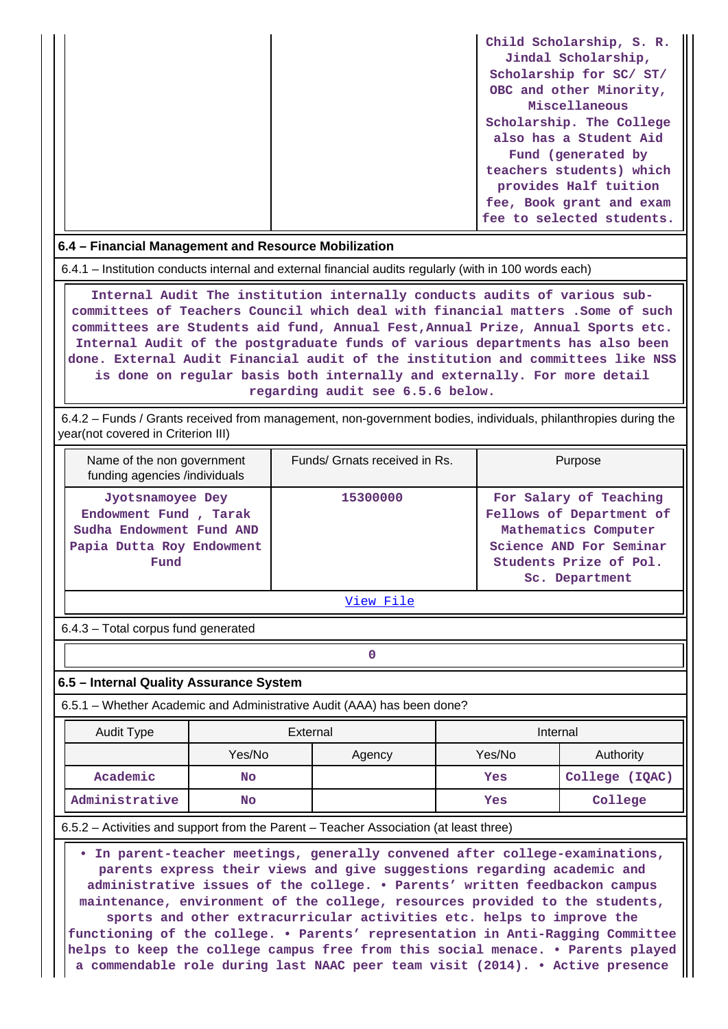| Child Scholarship, S. R.  |
|---------------------------|
| Jindal Scholarship,       |
| Scholarship for SC/ ST/   |
| OBC and other Minority,   |
| Miscellaneous             |
| Scholarship. The College  |
| also has a Student Aid    |
| Fund (generated by        |
| teachers students) which  |
| provides Half tuition     |
| fee, Book grant and exam  |
| fee to selected students. |

#### **6.4 – Financial Management and Resource Mobilization**

6.4.1 – Institution conducts internal and external financial audits regularly (with in 100 words each)

 **Internal Audit The institution internally conducts audits of various subcommittees of Teachers Council which deal with financial matters .Some of such committees are Students aid fund, Annual Fest,Annual Prize, Annual Sports etc. Internal Audit of the postgraduate funds of various departments has also been done. External Audit Financial audit of the institution and committees like NSS is done on regular basis both internally and externally. For more detail regarding audit see 6.5.6 below.**

 6.4.2 – Funds / Grants received from management, non-government bodies, individuals, philanthropies during the year(not covered in Criterion III)

| Name of the non government<br>funding agencies /individuals                                                | Funds/ Grnats received in Rs. | Purpose                                                                                                                                           |
|------------------------------------------------------------------------------------------------------------|-------------------------------|---------------------------------------------------------------------------------------------------------------------------------------------------|
| Jyotsnamoyee Dey<br>Endowment Fund, Tarak<br>Sudha Endowment Fund AND<br>Papia Dutta Roy Endowment<br>Fund | 15300000                      | For Salary of Teaching<br>Fellows of Department of<br>Mathematics Computer<br>Science AND For Seminar<br>Students Prize of Pol.<br>Sc. Department |

[View File](https://assessmentonline.naac.gov.in/public/Postacc/Funds_or_Grants/6149_Funds_or_Grants_1596144966.xlsx)

6.4.3 – Total corpus fund generated

#### **6.5 – Internal Quality Assurance System**

**0**

6.5.1 – Whether Academic and Administrative Audit (AAA) has been done?

| <b>Audit Type</b> | External |        | Internal |                |  |
|-------------------|----------|--------|----------|----------------|--|
|                   | Yes/No   | Agency | Yes/No   | Authority      |  |
| Academic          | No       |        | Yes      | College (IQAC) |  |
| Administrative    | No       |        | Yes      | College        |  |

#### 6.5.2 – Activities and support from the Parent – Teacher Association (at least three)

 **• In parent-teacher meetings, generally convened after college-examinations, parents express their views and give suggestions regarding academic and administrative issues of the college. • Parents' written feedbackon campus maintenance, environment of the college, resources provided to the students, sports and other extracurricular activities etc. helps to improve the functioning of the college. • Parents' representation in Anti-Ragging Committee helps to keep the college campus free from this social menace. • Parents played a commendable role during last NAAC peer team visit (2014). • Active presence**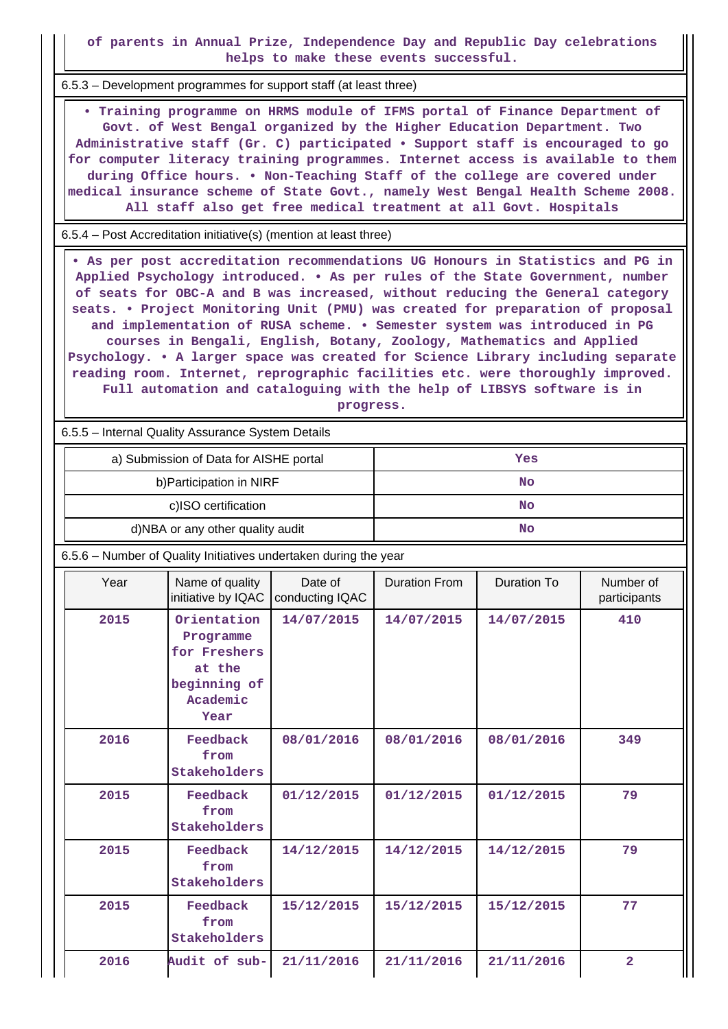**of parents in Annual Prize, Independence Day and Republic Day celebrations helps to make these events successful.**

6.5.3 – Development programmes for support staff (at least three)

 **• Training programme on HRMS module of IFMS portal of Finance Department of Govt. of West Bengal organized by the Higher Education Department. Two Administrative staff (Gr. C) participated • Support staff is encouraged to go for computer literacy training programmes. Internet access is available to them during Office hours. • Non-Teaching Staff of the college are covered under medical insurance scheme of State Govt., namely West Bengal Health Scheme 2008. All staff also get free medical treatment at all Govt. Hospitals**

6.5.4 – Post Accreditation initiative(s) (mention at least three)

 **• As per post accreditation recommendations UG Honours in Statistics and PG in Applied Psychology introduced. • As per rules of the State Government, number of seats for OBC-A and B was increased, without reducing the General category seats. • Project Monitoring Unit (PMU) was created for preparation of proposal and implementation of RUSA scheme. • Semester system was introduced in PG courses in Bengali, English, Botany, Zoology, Mathematics and Applied Psychology. • A larger space was created for Science Library including separate reading room. Internet, reprographic facilities etc. were thoroughly improved. Full automation and cataloguing with the help of LIBSYS software is in progress.**

6.5.5 – Internal Quality Assurance System Details

| 6.5.5 – Internal Quality Assurance System Details                |                                                                                        |                            |                      |                    |                           |  |  |  |
|------------------------------------------------------------------|----------------------------------------------------------------------------------------|----------------------------|----------------------|--------------------|---------------------------|--|--|--|
|                                                                  | a) Submission of Data for AISHE portal                                                 |                            | Yes                  |                    |                           |  |  |  |
|                                                                  | b) Participation in NIRF                                                               |                            | <b>No</b>            |                    |                           |  |  |  |
|                                                                  | c)ISO certification                                                                    |                            |                      | <b>No</b>          |                           |  |  |  |
|                                                                  | d)NBA or any other quality audit                                                       |                            |                      | No                 |                           |  |  |  |
| 6.5.6 - Number of Quality Initiatives undertaken during the year |                                                                                        |                            |                      |                    |                           |  |  |  |
| Year                                                             | Name of quality<br>initiative by IQAC                                                  | Date of<br>conducting IQAC | <b>Duration From</b> | <b>Duration To</b> | Number of<br>participants |  |  |  |
| 2015                                                             | Orientation<br>Programme<br>for Freshers<br>at the<br>beginning of<br>Academic<br>Year | 14/07/2015                 | 14/07/2015           | 14/07/2015         | 410                       |  |  |  |
| 2016                                                             | Feedback<br>from<br>Stakeholders                                                       | 08/01/2016                 | 08/01/2016           | 08/01/2016         | 349                       |  |  |  |
| 2015                                                             | Feedback<br>from<br>Stakeholders                                                       | 01/12/2015                 | 01/12/2015           | 01/12/2015         | 79                        |  |  |  |
| 2015                                                             | Feedback<br>from<br>Stakeholders                                                       | 14/12/2015                 | 14/12/2015           | 14/12/2015         | 79                        |  |  |  |
| 2015                                                             | Feedback<br>from<br>Stakeholders                                                       | 15/12/2015                 | 15/12/2015           | 15/12/2015         | 77                        |  |  |  |
| 2016                                                             | Audit of sub-                                                                          | 21/11/2016                 | 21/11/2016           | 21/11/2016         | $\overline{2}$            |  |  |  |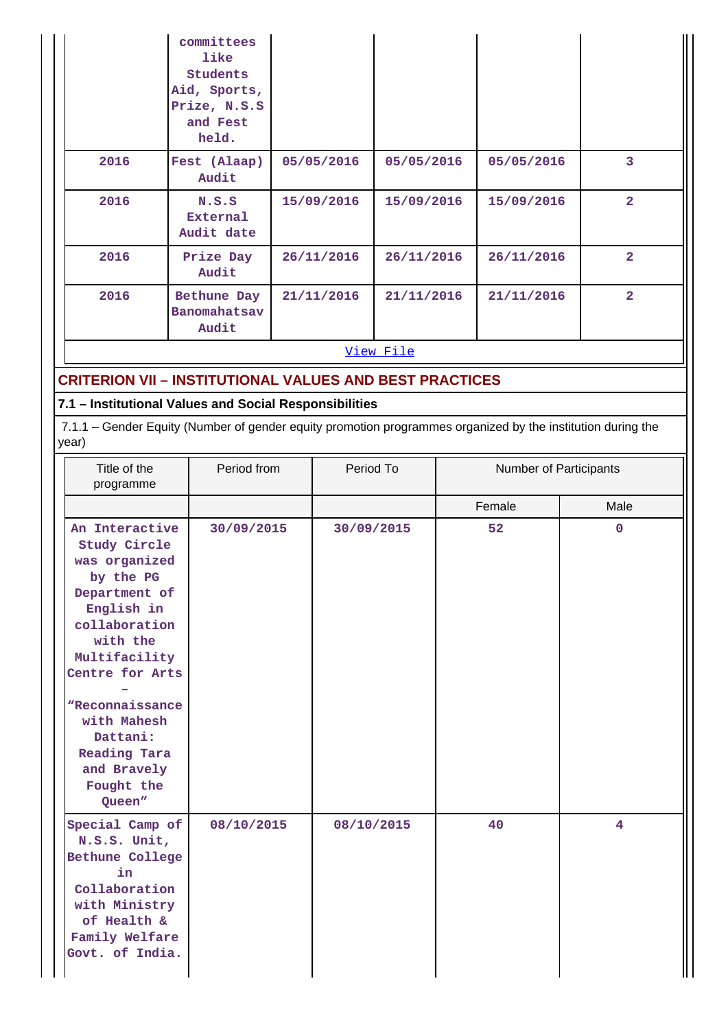|                                                                                                                                                                                                                                                                                               | committees<br>like<br><b>Students</b><br>Aid, Sports,<br>Prize, N.S.S<br>and Fest<br>held.                                                                            |            |            |            |    |                        |                |  |
|-----------------------------------------------------------------------------------------------------------------------------------------------------------------------------------------------------------------------------------------------------------------------------------------------|-----------------------------------------------------------------------------------------------------------------------------------------------------------------------|------------|------------|------------|----|------------------------|----------------|--|
| 2016                                                                                                                                                                                                                                                                                          | Fest (Alaap)<br>Audit                                                                                                                                                 |            | 05/05/2016 | 05/05/2016 |    | 05/05/2016             | 3              |  |
| 2016                                                                                                                                                                                                                                                                                          | N.S.S<br>External<br>Audit date                                                                                                                                       |            | 15/09/2016 | 15/09/2016 |    | 15/09/2016             | $\overline{2}$ |  |
| 2016                                                                                                                                                                                                                                                                                          | Prize Day<br>Audit                                                                                                                                                    |            | 26/11/2016 | 26/11/2016 |    | 26/11/2016             | $\overline{a}$ |  |
| 2016                                                                                                                                                                                                                                                                                          | Bethune Day<br>Banomahatsav<br>Audit                                                                                                                                  |            | 21/11/2016 | 21/11/2016 |    | 21/11/2016             | $\overline{2}$ |  |
|                                                                                                                                                                                                                                                                                               |                                                                                                                                                                       |            |            | View File  |    |                        |                |  |
|                                                                                                                                                                                                                                                                                               | <b>CRITERION VII - INSTITUTIONAL VALUES AND BEST PRACTICES</b>                                                                                                        |            |            |            |    |                        |                |  |
| year)                                                                                                                                                                                                                                                                                         | 7.1 - Institutional Values and Social Responsibilities<br>7.1.1 – Gender Equity (Number of gender equity promotion programmes organized by the institution during the |            |            |            |    |                        |                |  |
| Title of the<br>programme                                                                                                                                                                                                                                                                     | Period from                                                                                                                                                           |            | Period To  |            |    | Number of Participants |                |  |
|                                                                                                                                                                                                                                                                                               |                                                                                                                                                                       |            |            |            |    | Female                 | Male           |  |
| An Interactive<br>30/09/2015<br>Study Circle<br>was organized<br>by the PG<br>Department of<br>English in<br>collaboration<br>with the<br>Multifacility<br>Centre for Arts<br><i><b>"Reconnaissance</b></i><br>with Mahesh<br>Dattani:<br>Reading Tara<br>and Bravely<br>Fought the<br>Queen" |                                                                                                                                                                       | 30/09/2015 |            |            | 52 |                        | $\mathbf 0$    |  |
| Special Camp of<br>N.S.S. Unit,                                                                                                                                                                                                                                                               | 08/10/2015                                                                                                                                                            |            | 08/10/2015 |            |    | 40                     | 4              |  |

**Bethune College in Collaboration with Ministry of Health & Family Welfare Govt. of India.**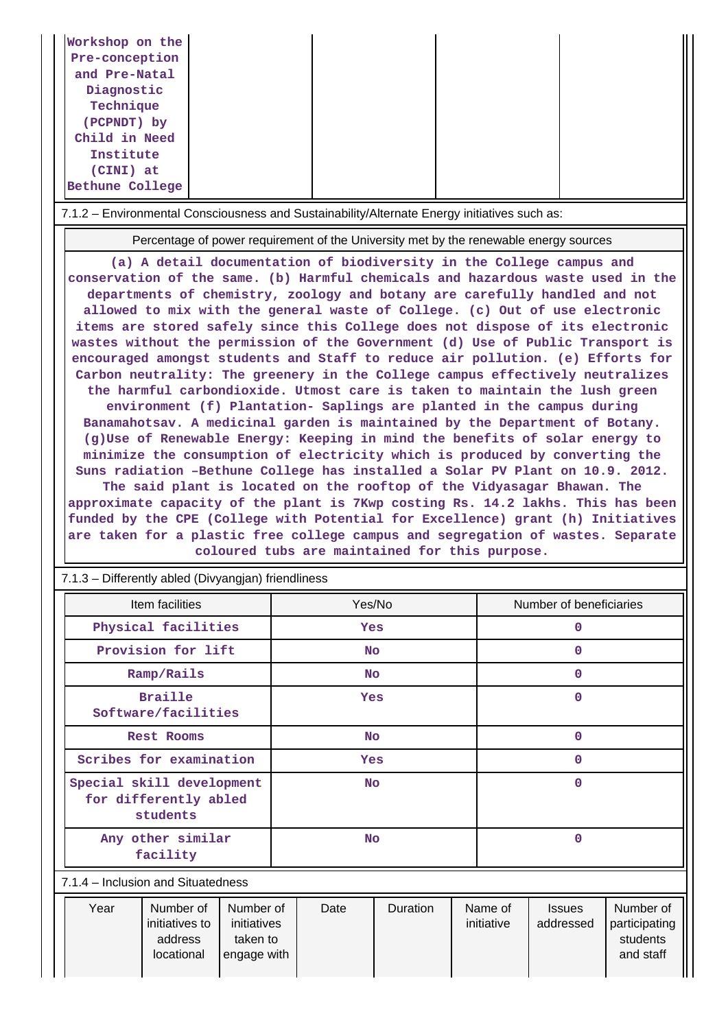| Workshop on the<br>Pre-conception<br>and Pre-Natal<br>Diagnostic<br>Technique<br>(PCPNDT) by<br>Child in Need<br>Institute<br>(CINI) at<br>Bethune College                                                                                                                                                                                                                                                                                                                                                                                                                                                                                                                                                                                                                                                                                                                                                                                                                                                                                                                                                                                                                                                                                                                                                                                                                                                                                                                                                                           |                                                                                       |                       |                                                                                   |  |  |  |  |  |
|--------------------------------------------------------------------------------------------------------------------------------------------------------------------------------------------------------------------------------------------------------------------------------------------------------------------------------------------------------------------------------------------------------------------------------------------------------------------------------------------------------------------------------------------------------------------------------------------------------------------------------------------------------------------------------------------------------------------------------------------------------------------------------------------------------------------------------------------------------------------------------------------------------------------------------------------------------------------------------------------------------------------------------------------------------------------------------------------------------------------------------------------------------------------------------------------------------------------------------------------------------------------------------------------------------------------------------------------------------------------------------------------------------------------------------------------------------------------------------------------------------------------------------------|---------------------------------------------------------------------------------------|-----------------------|-----------------------------------------------------------------------------------|--|--|--|--|--|
| 7.1.2 - Environmental Consciousness and Sustainability/Alternate Energy initiatives such as:                                                                                                                                                                                                                                                                                                                                                                                                                                                                                                                                                                                                                                                                                                                                                                                                                                                                                                                                                                                                                                                                                                                                                                                                                                                                                                                                                                                                                                         |                                                                                       |                       |                                                                                   |  |  |  |  |  |
|                                                                                                                                                                                                                                                                                                                                                                                                                                                                                                                                                                                                                                                                                                                                                                                                                                                                                                                                                                                                                                                                                                                                                                                                                                                                                                                                                                                                                                                                                                                                      | Percentage of power requirement of the University met by the renewable energy sources |                       |                                                                                   |  |  |  |  |  |
| (a) A detail documentation of biodiversity in the College campus and<br>conservation of the same. (b) Harmful chemicals and hazardous waste used in the<br>departments of chemistry, zoology and botany are carefully handled and not<br>allowed to mix with the general waste of College. (c) Out of use electronic<br>items are stored safely since this College does not dispose of its electronic<br>wastes without the permission of the Government (d) Use of Public Transport is<br>encouraged amongst students and Staff to reduce air pollution. (e) Efforts for<br>Carbon neutrality: The greenery in the College campus effectively neutralizes<br>the harmful carbondioxide. Utmost care is taken to maintain the lush green<br>environment (f) Plantation- Saplings are planted in the campus during<br>Banamahotsav. A medicinal garden is maintained by the Department of Botany.<br>(g)Use of Renewable Energy: Keeping in mind the benefits of solar energy to<br>minimize the consumption of electricity which is produced by converting the<br>Suns radiation -Bethune College has installed a Solar PV Plant on 10.9. 2012.<br>The said plant is located on the rooftop of the Vidyasagar Bhawan. The<br>approximate capacity of the plant is 7Kwp costing Rs. 14.2 lakhs. This has been<br>funded by the CPE (College with Potential for Excellence) grant (h) Initiatives<br>are taken for a plastic free college campus and segregation of wastes. Separate<br>coloured tubs are maintained for this purpose. |                                                                                       |                       |                                                                                   |  |  |  |  |  |
| 7.1.3 - Differently abled (Divyangjan) friendliness                                                                                                                                                                                                                                                                                                                                                                                                                                                                                                                                                                                                                                                                                                                                                                                                                                                                                                                                                                                                                                                                                                                                                                                                                                                                                                                                                                                                                                                                                  |                                                                                       |                       |                                                                                   |  |  |  |  |  |
| Item facilities<br>Physical facilities                                                                                                                                                                                                                                                                                                                                                                                                                                                                                                                                                                                                                                                                                                                                                                                                                                                                                                                                                                                                                                                                                                                                                                                                                                                                                                                                                                                                                                                                                               | Yes/No<br>Yes                                                                         |                       | Number of beneficiaries<br>$\mathbf 0$                                            |  |  |  |  |  |
| Provision for lift                                                                                                                                                                                                                                                                                                                                                                                                                                                                                                                                                                                                                                                                                                                                                                                                                                                                                                                                                                                                                                                                                                                                                                                                                                                                                                                                                                                                                                                                                                                   | <b>No</b>                                                                             |                       | $\mathbf{O}$                                                                      |  |  |  |  |  |
| Ramp/Rails                                                                                                                                                                                                                                                                                                                                                                                                                                                                                                                                                                                                                                                                                                                                                                                                                                                                                                                                                                                                                                                                                                                                                                                                                                                                                                                                                                                                                                                                                                                           | No.                                                                                   |                       | $\mathbf{0}$                                                                      |  |  |  |  |  |
| <b>Braille</b><br>Software/facilities                                                                                                                                                                                                                                                                                                                                                                                                                                                                                                                                                                                                                                                                                                                                                                                                                                                                                                                                                                                                                                                                                                                                                                                                                                                                                                                                                                                                                                                                                                | Yes                                                                                   |                       | $\mathbf 0$                                                                       |  |  |  |  |  |
| <b>Rest Rooms</b>                                                                                                                                                                                                                                                                                                                                                                                                                                                                                                                                                                                                                                                                                                                                                                                                                                                                                                                                                                                                                                                                                                                                                                                                                                                                                                                                                                                                                                                                                                                    | <b>No</b>                                                                             |                       | $\mathbf{0}$                                                                      |  |  |  |  |  |
| Scribes for examination                                                                                                                                                                                                                                                                                                                                                                                                                                                                                                                                                                                                                                                                                                                                                                                                                                                                                                                                                                                                                                                                                                                                                                                                                                                                                                                                                                                                                                                                                                              | Yes                                                                                   |                       | $\mathbf{0}$                                                                      |  |  |  |  |  |
| Special skill development<br>$\mathbf 0$<br>No.<br>for differently abled<br>students                                                                                                                                                                                                                                                                                                                                                                                                                                                                                                                                                                                                                                                                                                                                                                                                                                                                                                                                                                                                                                                                                                                                                                                                                                                                                                                                                                                                                                                 |                                                                                       |                       |                                                                                   |  |  |  |  |  |
| Any other similar<br>facility                                                                                                                                                                                                                                                                                                                                                                                                                                                                                                                                                                                                                                                                                                                                                                                                                                                                                                                                                                                                                                                                                                                                                                                                                                                                                                                                                                                                                                                                                                        | <b>No</b>                                                                             |                       | $\mathbf 0$                                                                       |  |  |  |  |  |
| 7.1.4 - Inclusion and Situatedness                                                                                                                                                                                                                                                                                                                                                                                                                                                                                                                                                                                                                                                                                                                                                                                                                                                                                                                                                                                                                                                                                                                                                                                                                                                                                                                                                                                                                                                                                                   |                                                                                       |                       |                                                                                   |  |  |  |  |  |
| Year<br>Number of<br>Number of<br>initiatives to<br>initiatives<br>address<br>taken to<br>locational<br>engage with                                                                                                                                                                                                                                                                                                                                                                                                                                                                                                                                                                                                                                                                                                                                                                                                                                                                                                                                                                                                                                                                                                                                                                                                                                                                                                                                                                                                                  | Duration<br>Date                                                                      | Name of<br>initiative | Number of<br><b>Issues</b><br>addressed<br>participating<br>students<br>and staff |  |  |  |  |  |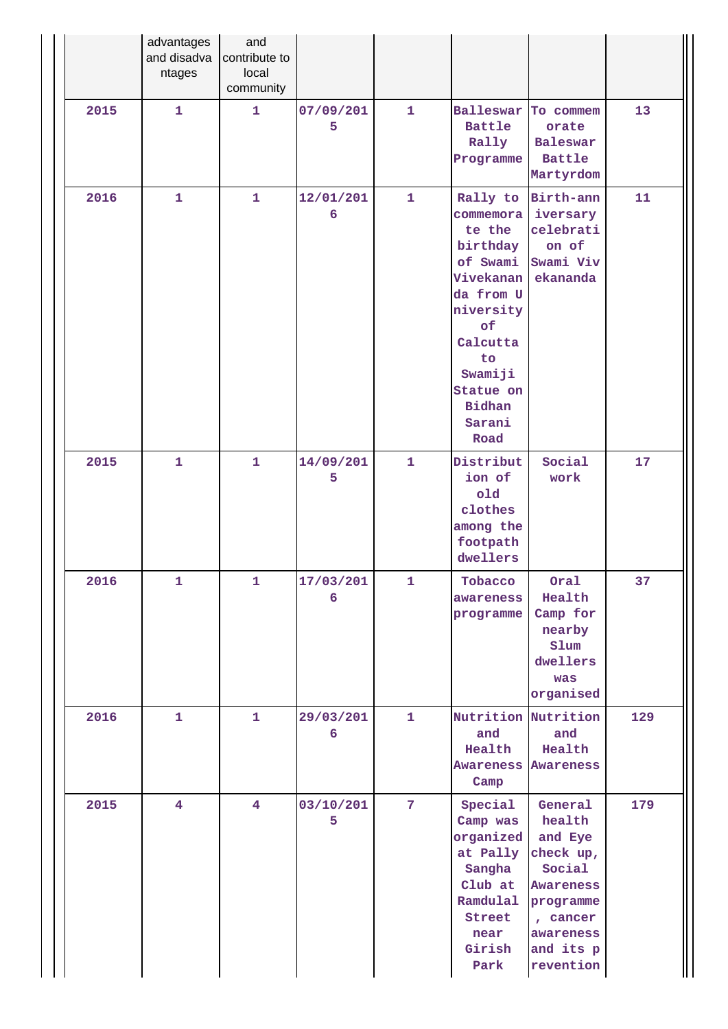|      | advantages<br>and disadva<br>ntages | and<br>contribute to<br>local<br>community |                |                |                                                                                                                                                                                   |                                                                                                                                         |     |
|------|-------------------------------------|--------------------------------------------|----------------|----------------|-----------------------------------------------------------------------------------------------------------------------------------------------------------------------------------|-----------------------------------------------------------------------------------------------------------------------------------------|-----|
| 2015 | $\mathbf{1}$                        | $\mathbf{1}$                               | 07/09/201<br>5 | $\mathbf{1}$   | Balleswar<br><b>Battle</b><br>Rally<br>Programme                                                                                                                                  | To commem<br>orate<br><b>Baleswar</b><br><b>Battle</b><br>Martyrdom                                                                     | 13  |
| 2016 | $\mathbf{1}$                        | $\mathbf{1}$                               | 12/01/201<br>6 | $\mathbf{1}$   | Rally to<br>commemora<br>te the<br>birthday<br>of Swami<br>Vivekanan<br>da from U<br>niversity<br>of<br>Calcutta<br>to<br>Swamiji<br>Statue on<br><b>Bidhan</b><br>Sarani<br>Road | Birth-ann<br>iversary<br>celebrati<br>on of<br>Swami Viv<br>ekananda                                                                    | 11  |
| 2015 | $\mathbf{1}$                        | $\mathbf{1}$                               | 14/09/201<br>5 | $\mathbf{1}$   | Distribut<br>ion of<br>old<br>clothes<br>among the<br>footpath<br>dwellers                                                                                                        | Social<br>work                                                                                                                          | 17  |
| 2016 | 1                                   | $\mathbf{1}$                               | 17/03/201<br>6 | $\mathbf{1}$   | Tobacco<br>awareness<br>programme                                                                                                                                                 | Oral<br>Health<br>Camp for<br>nearby<br>Slum<br>dwellers<br>was<br>organised                                                            | 37  |
| 2016 | $\mathbf{1}$                        | 1                                          | 29/03/201<br>6 | $\mathbf{1}$   | Nutrition Nutrition<br>and<br>Health<br><b>Awareness Awareness</b><br>Camp                                                                                                        | and<br>Health                                                                                                                           | 129 |
| 2015 | $\overline{\mathbf{4}}$             | $\overline{4}$                             | 03/10/201<br>5 | $\overline{7}$ | Special<br>Camp was<br>organized<br>at Pally<br>Sangha<br>Club at<br>Ramdulal<br>Street<br>near<br>Girish<br>Park                                                                 | General<br>health<br>and Eye<br>check up,<br>Social<br><b>Awareness</b><br>programme<br>, cancer<br>awareness<br>and its p<br>revention | 179 |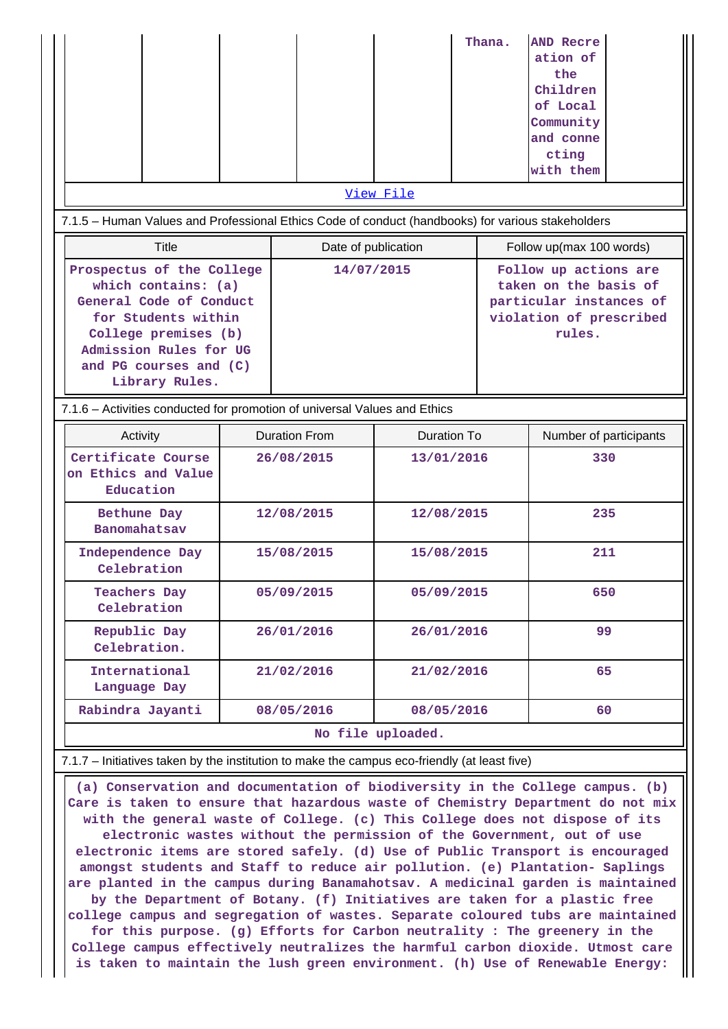|                                                                                                                                                                                                  |  |                                            |                   |                                                                                                                | Thana. | <b>AND Recre</b><br>ation of<br>the<br>Children<br>of Local<br>Community<br>and conne<br>cting<br>with them |
|--------------------------------------------------------------------------------------------------------------------------------------------------------------------------------------------------|--|--------------------------------------------|-------------------|----------------------------------------------------------------------------------------------------------------|--------|-------------------------------------------------------------------------------------------------------------|
| 7.1.5 - Human Values and Professional Ethics Code of conduct (handbooks) for various stakeholders                                                                                                |  |                                            | View File         |                                                                                                                |        |                                                                                                             |
| <b>Title</b>                                                                                                                                                                                     |  | Date of publication                        |                   |                                                                                                                |        | Follow up(max 100 words)                                                                                    |
| Prospectus of the College<br>which contains: (a)<br>General Code of Conduct<br>for Students within<br>College premises (b)<br>Admission Rules for UG<br>and PG courses and (C)<br>Library Rules. |  | 14/07/2015                                 |                   | Follow up actions are<br>taken on the basis of<br>particular instances of<br>violation of prescribed<br>rules. |        |                                                                                                             |
| 7.1.6 - Activities conducted for promotion of universal Values and Ethics                                                                                                                        |  |                                            |                   |                                                                                                                |        |                                                                                                             |
| Activity                                                                                                                                                                                         |  | <b>Duration From</b><br><b>Duration To</b> |                   |                                                                                                                |        | Number of participants                                                                                      |
| Certificate Course<br>on Ethics and Value<br>Education                                                                                                                                           |  | 26/08/2015<br>13/01/2016                   |                   |                                                                                                                |        | 330                                                                                                         |
| Bethune Day<br>Banomahatsav                                                                                                                                                                      |  | 12/08/2015                                 | 12/08/2015        |                                                                                                                |        | 235                                                                                                         |
| Independence Day<br>Celebration                                                                                                                                                                  |  | 15/08/2015                                 | 15/08/2015        |                                                                                                                |        | 211                                                                                                         |
| <b>Teachers Day</b><br>Celebration                                                                                                                                                               |  | 05/09/2015                                 | 05/09/2015        |                                                                                                                |        | 650                                                                                                         |
| Republic Day<br>Celebration.                                                                                                                                                                     |  | 26/01/2016                                 | 26/01/2016        |                                                                                                                |        | 99                                                                                                          |
| International<br>Language Day                                                                                                                                                                    |  | 21/02/2016                                 | 21/02/2016        |                                                                                                                |        | 65                                                                                                          |
| Rabindra Jayanti                                                                                                                                                                                 |  | 08/05/2016                                 | 08/05/2016        |                                                                                                                |        | 60                                                                                                          |
|                                                                                                                                                                                                  |  |                                            | No file uploaded. |                                                                                                                |        |                                                                                                             |
| 7.1.7 - Initiatives taken by the institution to make the campus eco-friendly (at least five)                                                                                                     |  |                                            |                   |                                                                                                                |        |                                                                                                             |

 **(a) Conservation and documentation of biodiversity in the College campus. (b) Care is taken to ensure that hazardous waste of Chemistry Department do not mix with the general waste of College. (c) This College does not dispose of its electronic wastes without the permission of the Government, out of use electronic items are stored safely. (d) Use of Public Transport is encouraged amongst students and Staff to reduce air pollution. (e) Plantation- Saplings are planted in the campus during Banamahotsav. A medicinal garden is maintained by the Department of Botany. (f) Initiatives are taken for a plastic free college campus and segregation of wastes. Separate coloured tubs are maintained for this purpose. (g) Efforts for Carbon neutrality : The greenery in the College campus effectively neutralizes the harmful carbon dioxide. Utmost care is taken to maintain the lush green environment. (h) Use of Renewable Energy:**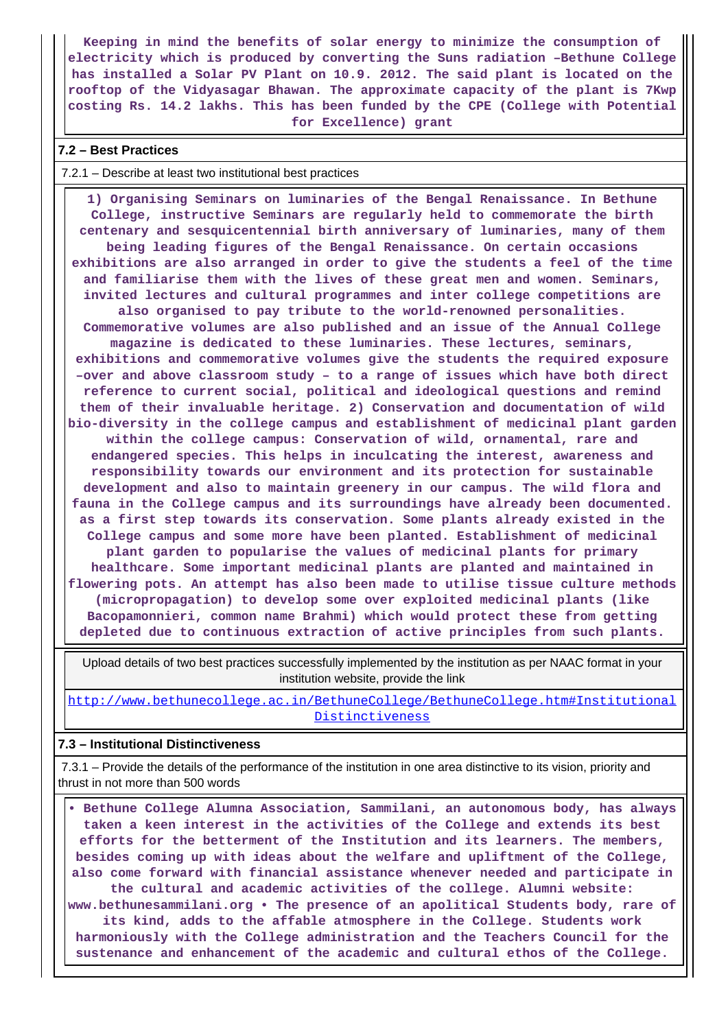**Keeping in mind the benefits of solar energy to minimize the consumption of electricity which is produced by converting the Suns radiation –Bethune College has installed a Solar PV Plant on 10.9. 2012. The said plant is located on the rooftop of the Vidyasagar Bhawan. The approximate capacity of the plant is 7Kwp costing Rs. 14.2 lakhs. This has been funded by the CPE (College with Potential for Excellence) grant**

#### **7.2 – Best Practices**

7.2.1 – Describe at least two institutional best practices

 **1) Organising Seminars on luminaries of the Bengal Renaissance. In Bethune College, instructive Seminars are regularly held to commemorate the birth centenary and sesquicentennial birth anniversary of luminaries, many of them being leading figures of the Bengal Renaissance. On certain occasions exhibitions are also arranged in order to give the students a feel of the time and familiarise them with the lives of these great men and women. Seminars, invited lectures and cultural programmes and inter college competitions are also organised to pay tribute to the world-renowned personalities. Commemorative volumes are also published and an issue of the Annual College magazine is dedicated to these luminaries. These lectures, seminars, exhibitions and commemorative volumes give the students the required exposure –over and above classroom study – to a range of issues which have both direct reference to current social, political and ideological questions and remind them of their invaluable heritage. 2) Conservation and documentation of wild bio-diversity in the college campus and establishment of medicinal plant garden within the college campus: Conservation of wild, ornamental, rare and endangered species. This helps in inculcating the interest, awareness and responsibility towards our environment and its protection for sustainable development and also to maintain greenery in our campus. The wild flora and fauna in the College campus and its surroundings have already been documented. as a first step towards its conservation. Some plants already existed in the College campus and some more have been planted. Establishment of medicinal plant garden to popularise the values of medicinal plants for primary healthcare. Some important medicinal plants are planted and maintained in flowering pots. An attempt has also been made to utilise tissue culture methods (micropropagation) to develop some over exploited medicinal plants (like Bacopamonnieri, common name Brahmi) which would protect these from getting depleted due to continuous extraction of active principles from such plants.**

 Upload details of two best practices successfully implemented by the institution as per NAAC format in your institution website, provide the link

[http://www.bethunecollege.ac.in/BethuneCollege/BethuneCollege.htm#Institutional](http://www.bethunecollege.ac.in/BethuneCollege/BethuneCollege.htm#InstitutionalDistinctiveness) [Distinctiveness](http://www.bethunecollege.ac.in/BethuneCollege/BethuneCollege.htm#InstitutionalDistinctiveness)

#### **7.3 – Institutional Distinctiveness**

 7.3.1 – Provide the details of the performance of the institution in one area distinctive to its vision, priority and thrust in not more than 500 words

 **• Bethune College Alumna Association, Sammilani, an autonomous body, has always taken a keen interest in the activities of the College and extends its best efforts for the betterment of the Institution and its learners. The members, besides coming up with ideas about the welfare and upliftment of the College, also come forward with financial assistance whenever needed and participate in the cultural and academic activities of the college. Alumni website: www.bethunesammilani.org • The presence of an apolitical Students body, rare of its kind, adds to the affable atmosphere in the College. Students work harmoniously with the College administration and the Teachers Council for the sustenance and enhancement of the academic and cultural ethos of the College.**